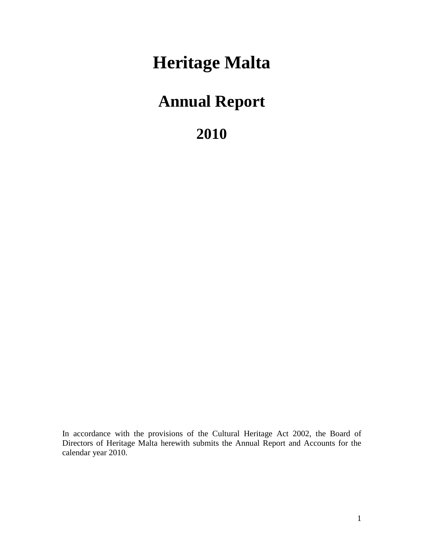# **Heritage Malta**

# **Annual Report**

**2010**

In accordance with the provisions of the Cultural Heritage Act 2002, the Board of Directors of Heritage Malta herewith submits the Annual Report and Accounts for the calendar year 2010.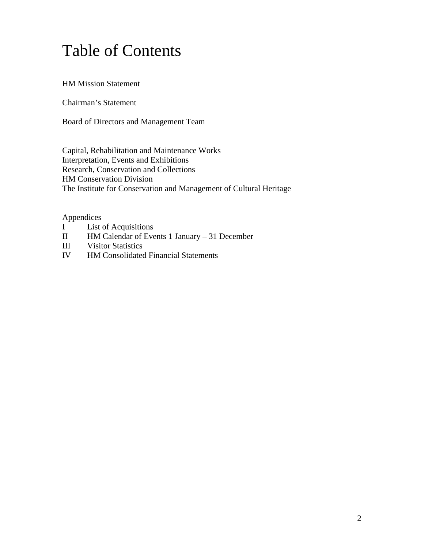# Table of Contents

HM Mission Statement

Chairman's Statement

Board of Directors and Management Team

Capital, Rehabilitation and Maintenance Works Interpretation, Events and Exhibitions Research, Conservation and Collections HM Conservation Division The Institute for Conservation and Management of Cultural Heritage

#### Appendices

- I List of Acquisitions
- II HM Calendar of Events 1 January 31 December
- III Visitor Statistics
- IV HM Consolidated Financial Statements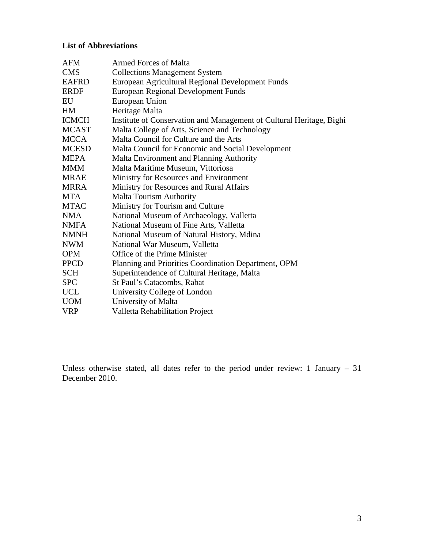### **List of Abbreviations**

| <b>AFM</b>   | <b>Armed Forces of Malta</b>                                         |  |  |
|--------------|----------------------------------------------------------------------|--|--|
| <b>CMS</b>   | <b>Collections Management System</b>                                 |  |  |
| <b>EAFRD</b> | European Agricultural Regional Development Funds                     |  |  |
| <b>ERDF</b>  | <b>European Regional Development Funds</b>                           |  |  |
| EU           | European Union                                                       |  |  |
| HM.          | Heritage Malta                                                       |  |  |
| <b>ICMCH</b> | Institute of Conservation and Management of Cultural Heritage, Bighi |  |  |
| <b>MCAST</b> | Malta College of Arts, Science and Technology                        |  |  |
| <b>MCCA</b>  | Malta Council for Culture and the Arts                               |  |  |
| <b>MCESD</b> | Malta Council for Economic and Social Development                    |  |  |
| <b>MEPA</b>  | Malta Environment and Planning Authority                             |  |  |
| <b>MMM</b>   | Malta Maritime Museum, Vittoriosa                                    |  |  |
| <b>MRAE</b>  | Ministry for Resources and Environment                               |  |  |
| <b>MRRA</b>  | Ministry for Resources and Rural Affairs                             |  |  |
| <b>MTA</b>   | <b>Malta Tourism Authority</b>                                       |  |  |
| <b>MTAC</b>  | Ministry for Tourism and Culture                                     |  |  |
| <b>NMA</b>   | National Museum of Archaeology, Valletta                             |  |  |
| <b>NMFA</b>  | National Museum of Fine Arts, Valletta                               |  |  |
| <b>NMNH</b>  | National Museum of Natural History, Mdina                            |  |  |
| <b>NWM</b>   | National War Museum, Valletta                                        |  |  |
| <b>OPM</b>   | Office of the Prime Minister                                         |  |  |
| <b>PPCD</b>  | Planning and Priorities Coordination Department, OPM                 |  |  |
| <b>SCH</b>   | Superintendence of Cultural Heritage, Malta                          |  |  |
| <b>SPC</b>   | St Paul's Catacombs, Rabat                                           |  |  |
| <b>UCL</b>   | University College of London                                         |  |  |
| <b>UOM</b>   | University of Malta                                                  |  |  |
| <b>VRP</b>   | Valletta Rehabilitation Project                                      |  |  |

Unless otherwise stated, all dates refer to the period under review: 1 January – 31 December 2010.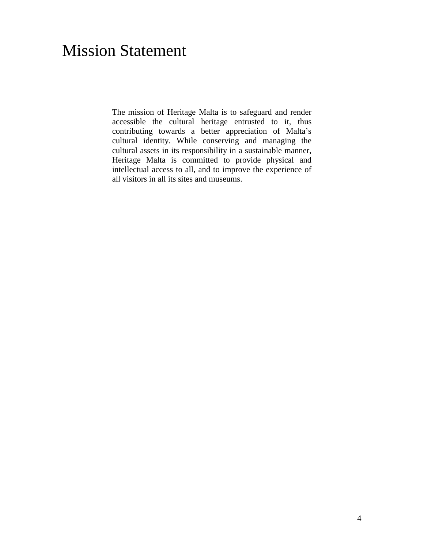# Mission Statement

The mission of Heritage Malta is to safeguard and render accessible the cultural heritage entrusted to it, thus contributing towards a better appreciation of Malta's cultural identity. While conserving and managing the cultural assets in its responsibility in a sustainable manner, Heritage Malta is committed to provide physical and intellectual access to all, and to improve the experience of all visitors in all its sites and museums.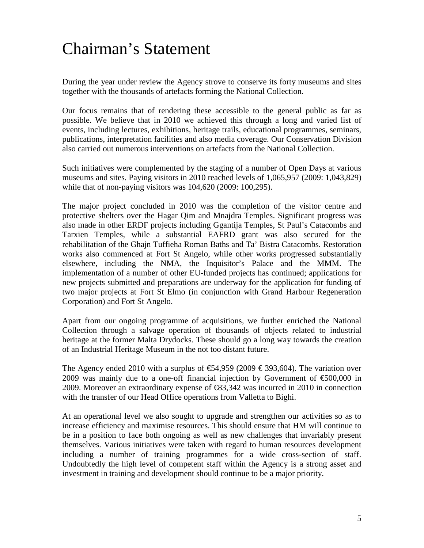# Chairman's Statement

During the year under review the Agency strove to conserve its forty museums and sites together with the thousands of artefacts forming the National Collection.

Our focus remains that of rendering these accessible to the general public as far as possible. We believe that in 2010 we achieved this through a long and varied list of events, including lectures, exhibitions, heritage trails, educational programmes, seminars, publications, interpretation facilities and also media coverage. Our Conservation Division also carried out numerous interventions on artefacts from the National Collection.

Such initiatives were complemented by the staging of a number of Open Days at various museums and sites. Paying visitors in 2010 reached levels of 1,065,957 (2009: 1,043,829) while that of non-paying visitors was 104,620 (2009: 100,295).

The major project concluded in 2010 was the completion of the visitor centre and protective shelters over the Hagar Qim and Mnajdra Temples. Significant progress was also made in other ERDF projects including Ggantija Temples, St Paul's Catacombs and Tarxien Temples, while a substantial EAFRD grant was also secured for the rehabilitation of the Ghajn Tuffieha Roman Baths and Ta' Bistra Catacombs. Restoration works also commenced at Fort St Angelo, while other works progressed substantially elsewhere, including the NMA, the Inquisitor's Palace and the MMM. The implementation of a number of other EU-funded projects has continued; applications for new projects submitted and preparations are underway for the application for funding of two major projects at Fort St Elmo (in conjunction with Grand Harbour Regeneration Corporation) and Fort St Angelo.

Apart from our ongoing programme of acquisitions, we further enriched the National Collection through a salvage operation of thousands of objects related to industrial heritage at the former Malta Drydocks. These should go a long way towards the creation of an Industrial Heritage Museum in the not too distant future.

The Agency ended 2010 with a surplus of  $\text{ } \in \text{ } 4,959$  (2009  $\text{ } \in \text{ } 393,604$ ). The variation over 2009 was mainly due to a one-off financial injection by Government of  $\epsilon$ 600,000 in 2009. Moreover an extraordinary expense of €83,342 was incurred in 2010 in connection with the transfer of our Head Office operations from Valletta to Bighi.

At an operational level we also sought to upgrade and strengthen our activities so as to increase efficiency and maximise resources. This should ensure that HM will continue to be in a position to face both ongoing as well as new challenges that invariably present themselves. Various initiatives were taken with regard to human resources development including a number of training programmes for a wide cross-section of staff. Undoubtedly the high level of competent staff within the Agency is a strong asset and investment in training and development should continue to be a major priority.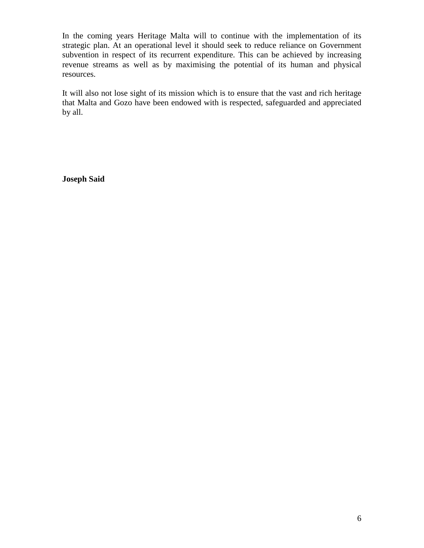In the coming years Heritage Malta will to continue with the implementation of its strategic plan. At an operational level it should seek to reduce reliance on Government subvention in respect of its recurrent expenditure. This can be achieved by increasing revenue streams as well as by maximising the potential of its human and physical resources.

It will also not lose sight of its mission which is to ensure that the vast and rich heritage that Malta and Gozo have been endowed with is respected, safeguarded and appreciated by all.

**Joseph Said**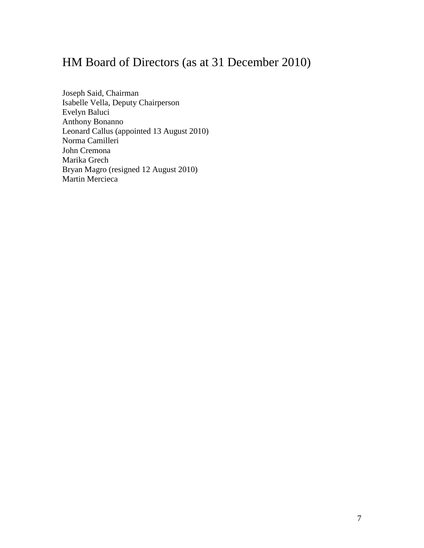# HM Board of Directors (as at 31 December 2010)

Joseph Said, Chairman Isabelle Vella, Deputy Chairperson Evelyn Baluci Anthony Bonanno Leonard Callus (appointed 13 August 2010) Norma Camilleri John Cremona Marika Grech Bryan Magro (resigned 12 August 2010) Martin Mercieca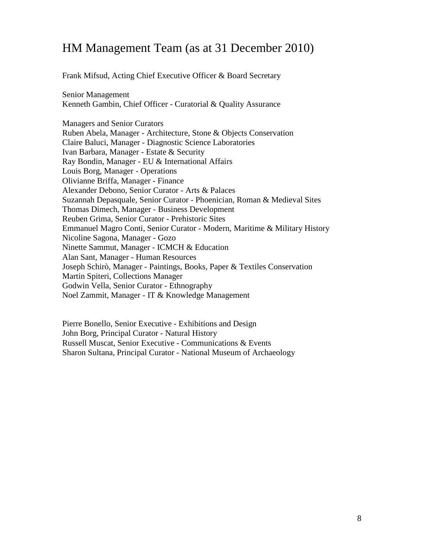# HM Management Team (as at 31 December 2010)

Frank Mifsud, Acting Chief Executive Officer & Board Secretary

Senior Management Kenneth Gambin, Chief Officer - Curatorial & Quality Assurance

Managers and Senior Curators Ruben Abela, Manager - Architecture, Stone & Objects Conservation Claire Baluci, Manager - Diagnostic Science Laboratories Ivan Barbara, Manager - Estate & Security Ray Bondin, Manager - EU & International Affairs Louis Borg, Manager - Operations Olivianne Briffa, Manager - Finance Alexander Debono, Senior Curator - Arts & Palaces Suzannah Depasquale, Senior Curator - Phoenician, Roman & Medieval Sites Thomas Dimech, Manager - Business Development Reuben Grima, Senior Curator - Prehistoric Sites Emmanuel Magro Conti, Senior Curator - Modern, Maritime & Military History Nicoline Sagona, Manager - Gozo Ninette Sammut, Manager - ICMCH & Education Alan Sant, Manager - Human Resources Joseph Schirò, Manager - Paintings, Books, Paper & Textiles Conservation Martin Spiteri, Collections Manager Godwin Vella, Senior Curator - Ethnography Noel Zammit, Manager - IT & Knowledge Management

Pierre Bonello, Senior Executive - Exhibitions and Design John Borg, Principal Curator - Natural History Russell Muscat, Senior Executive - Communications & Events Sharon Sultana, Principal Curator - National Museum of Archaeology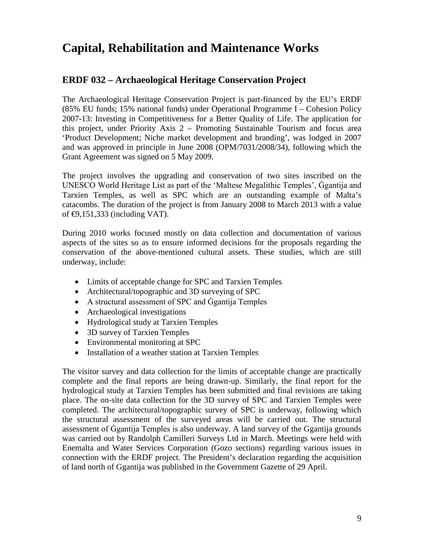# **Capital, Rehabilitation and Maintenance Works**

# **ERDF 032 – Archaeological Heritage Conservation Project**

The Archaeological Heritage Conservation Project is part-financed by the EU's ERDF (85% EU funds; 15% national funds) under Operational Programme I – Cohesion Policy 2007-13: Investing in Competitiveness for a Better Quality of Life. The application for this project, under Priority Axis 2 – Promoting Sustainable Tourism and focus area 'Product Development; Niche market development and branding', was lodged in 2007 and was approved in principle in June 2008 (OPM/7031/2008/34), following which the Grant Agreement was signed on 5 May 2009.

The project involves the upgrading and conservation of two sites inscribed on the UNESCO World Heritage List as part of the 'Maltese Megalithic Temples', Ġgantija and Tarxien Temples, as well as SPC which are an outstanding example of Malta's catacombs. The duration of the project is from January 2008 to March 2013 with a value of  $\bigoplus$ , 151, 333 (including VAT).

During 2010 works focused mostly on data collection and documentation of various aspects of the sites so as to ensure informed decisions for the proposals regarding the conservation of the above-mentioned cultural assets. These studies, which are still underway, include:

- Limits of acceptable change for SPC and Tarxien Temples
- Architectural/topographic and 3D surveying of SPC
- A structural assessment of SPC and Ggantija Temples
- Archaeological investigations
- Hydrological study at Tarxien Temples
- 3D survey of Tarxien Temples
- Environmental monitoring at SPC
- Installation of a weather station at Tarxien Temples

The visitor survey and data collection for the limits of acceptable change are practically complete and the final reports are being drawn-up. Similarly, the final report for the hydrological study at Tarxien Temples has been submitted and final revisions are taking place. The on-site data collection for the 3D survey of SPC and Tarxien Temples were completed. The architectural/topographic survey of SPC is underway, following which the structural assessment of the surveyed areas will be carried out. The structural assessment of Ġgantija Temples is also underway. A land survey of the Ggantija grounds was carried out by Randolph Camilleri Surveys Ltd in March. Meetings were held with Enemalta and Water Services Corporation (Gozo sections) regarding various issues in connection with the ERDF project. The President's declaration regarding the acquisition of land north of Ggantija was published in the Government Gazette of 29 April.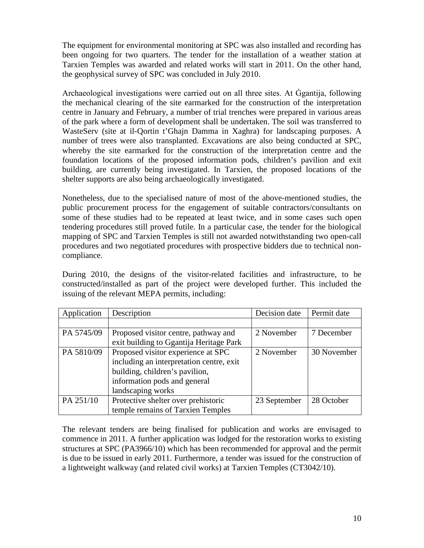The equipment for environmental monitoring at SPC was also installed and recording has been ongoing for two quarters. The tender for the installation of a weather station at Tarxien Temples was awarded and related works will start in 2011. On the other hand, the geophysical survey of SPC was concluded in July 2010.

Archaeological investigations were carried out on all three sites. At Ġgantija, following the mechanical clearing of the site earmarked for the construction of the interpretation centre in January and February, a number of trial trenches were prepared in various areas of the park where a form of development shall be undertaken. The soil was transferred to WasteServ (site at il-Qortin t'Ghajn Damma in Xaghra) for landscaping purposes. A number of trees were also transplanted. Excavations are also being conducted at SPC, whereby the site earmarked for the construction of the interpretation centre and the foundation locations of the proposed information pods, children's pavilion and exit building, are currently being investigated. In Tarxien, the proposed locations of the shelter supports are also being archaeologically investigated.

Nonetheless, due to the specialised nature of most of the above-mentioned studies, the public procurement process for the engagement of suitable contractors/consultants on some of these studies had to be repeated at least twice, and in some cases such open tendering procedures still proved futile. In a particular case, the tender for the biological mapping of SPC and Tarxien Temples is still not awarded notwithstanding two open-call procedures and two negotiated procedures with prospective bidders due to technical noncompliance.

During 2010, the designs of the visitor-related facilities and infrastructure, to be constructed/installed as part of the project were developed further. This included the issuing of the relevant MEPA permits, including:

| Application | Description                              | Decision date | Permit date |
|-------------|------------------------------------------|---------------|-------------|
|             |                                          |               |             |
| PA 5745/09  | Proposed visitor centre, pathway and     | 2 November    | 7 December  |
|             | exit building to Ggantija Heritage Park  |               |             |
| PA 5810/09  | Proposed visitor experience at SPC       | 2 November    | 30 November |
|             | including an interpretation centre, exit |               |             |
|             | building, children's pavilion,           |               |             |
|             | information pods and general             |               |             |
|             | landscaping works                        |               |             |
| PA 251/10   | Protective shelter over prehistoric      | 23 September  | 28 October  |
|             | temple remains of Tarxien Temples        |               |             |

The relevant tenders are being finalised for publication and works are envisaged to commence in 2011. A further application was lodged for the restoration works to existing structures at SPC (PA3966/10) which has been recommended for approval and the permit is due to be issued in early 2011. Furthermore, a tender was issued for the construction of a lightweight walkway (and related civil works) at Tarxien Temples (CT3042/10).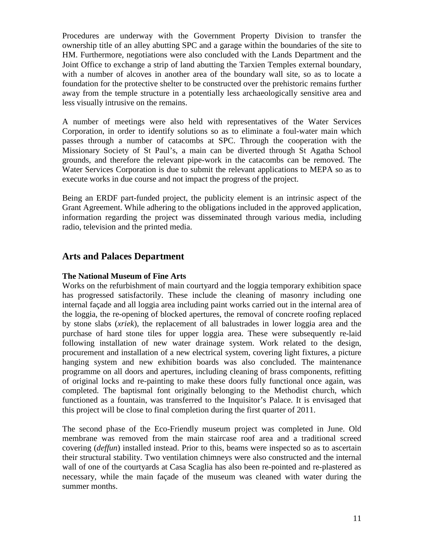Procedures are underway with the Government Property Division to transfer the ownership title of an alley abutting SPC and a garage within the boundaries of the site to HM. Furthermore, negotiations were also concluded with the Lands Department and the Joint Office to exchange a strip of land abutting the Tarxien Temples external boundary, with a number of alcoves in another area of the boundary wall site, so as to locate a foundation for the protective shelter to be constructed over the prehistoric remains further away from the temple structure in a potentially less archaeologically sensitive area and less visually intrusive on the remains.

A number of meetings were also held with representatives of the Water Services Corporation, in order to identify solutions so as to eliminate a foul-water main which passes through a number of catacombs at SPC. Through the cooperation with the Missionary Society of St Paul's, a main can be diverted through St Agatha School grounds, and therefore the relevant pipe-work in the catacombs can be removed. The Water Services Corporation is due to submit the relevant applications to MEPA so as to execute works in due course and not impact the progress of the project.

Being an ERDF part-funded project, the publicity element is an intrinsic aspect of the Grant Agreement. While adhering to the obligations included in the approved application, information regarding the project was disseminated through various media, including radio, television and the printed media.

# **Arts and Palaces Department**

#### **The National Museum of Fine Arts**

Works on the refurbishment of main courtyard and the loggia temporary exhibition space has progressed satisfactorily. These include the cleaning of masonry including one internal façade and all loggia area including paint works carried out in the internal area of the loggia, the re-opening of blocked apertures, the removal of concrete roofing replaced by stone slabs (*xriek*), the replacement of all balustrades in lower loggia area and the purchase of hard stone tiles for upper loggia area. These were subsequently re-laid following installation of new water drainage system. Work related to the design, procurement and installation of a new electrical system, covering light fixtures, a picture hanging system and new exhibition boards was also concluded. The maintenance programme on all doors and apertures, including cleaning of brass components, refitting of original locks and re-painting to make these doors fully functional once again, was completed. The baptismal font originally belonging to the Methodist church, which functioned as a fountain, was transferred to the Inquisitor's Palace. It is envisaged that this project will be close to final completion during the first quarter of 2011.

The second phase of the Eco-Friendly museum project was completed in June. Old membrane was removed from the main staircase roof area and a traditional screed covering (*deffun*) installed instead. Prior to this, beams were inspected so as to ascertain their structural stability. Two ventilation chimneys were also constructed and the internal wall of one of the courtyards at Casa Scaglia has also been re-pointed and re-plastered as necessary, while the main façade of the museum was cleaned with water during the summer months.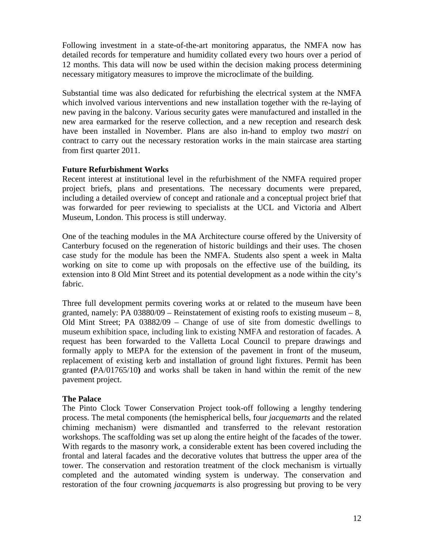Following investment in a state-of-the-art monitoring apparatus, the NMFA now has detailed records for temperature and humidity collated every two hours over a period of 12 months. This data will now be used within the decision making process determining necessary mitigatory measures to improve the microclimate of the building.

Substantial time was also dedicated for refurbishing the electrical system at the NMFA which involved various interventions and new installation together with the re-laying of new paving in the balcony. Various security gates were manufactured and installed in the new area earmarked for the reserve collection, and a new reception and research desk have been installed in November. Plans are also in-hand to employ two *mastri* on contract to carry out the necessary restoration works in the main staircase area starting from first quarter 2011.

#### **Future Refurbishment Works**

Recent interest at institutional level in the refurbishment of the NMFA required proper project briefs, plans and presentations. The necessary documents were prepared, including a detailed overview of concept and rationale and a conceptual project brief that was forwarded for peer reviewing to specialists at the UCL and Victoria and Albert Museum, London. This process is still underway.

One of the teaching modules in the MA Architecture course offered by the University of Canterbury focused on the regeneration of historic buildings and their uses. The chosen case study for the module has been the NMFA. Students also spent a week in Malta working on site to come up with proposals on the effective use of the building, its extension into 8 Old Mint Street and its potential development as a node within the city's fabric.

Three full development permits covering works at or related to the museum have been granted, namely: PA  $03880/09$  – Reinstatement of existing roofs to existing museum – 8, Old Mint Street; PA 03882/09 – Change of use of site from domestic dwellings to museum exhibition space, including link to existing NMFA and restoration of facades. A request has been forwarded to the Valletta Local Council to prepare drawings and formally apply to MEPA for the extension of the pavement in front of the museum, replacement of existing kerb and installation of ground light fixtures. Permit has been granted **(**PA/01765/10**)** and works shall be taken in hand within the remit of the new pavement project.

#### **The Palace**

The Pinto Clock Tower Conservation Project took-off following a lengthy tendering process. The metal components (the hemispherical bells, four *jacquemarts* and the related chiming mechanism) were dismantled and transferred to the relevant restoration workshops. The scaffolding was set up along the entire height of the facades of the tower. With regards to the masonry work, a considerable extent has been covered including the frontal and lateral facades and the decorative volutes that buttress the upper area of the tower. The conservation and restoration treatment of the clock mechanism is virtually completed and the automated winding system is underway. The conservation and restoration of the four crowning *jacquemarts* is also progressing but proving to be very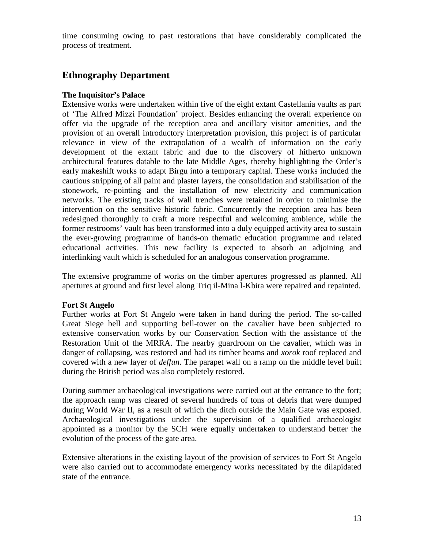time consuming owing to past restorations that have considerably complicated the process of treatment.

# **Ethnography Department**

#### **The Inquisitor's Palace**

Extensive works were undertaken within five of the eight extant Castellania vaults as part of 'The Alfred Mizzi Foundation' project. Besides enhancing the overall experience on offer via the upgrade of the reception area and ancillary visitor amenities, and the provision of an overall introductory interpretation provision, this project is of particular relevance in view of the extrapolation of a wealth of information on the early development of the extant fabric and due to the discovery of hitherto unknown architectural features datable to the late Middle Ages, thereby highlighting the Order's early makeshift works to adapt Birgu into a temporary capital. These works included the cautious stripping of all paint and plaster layers, the consolidation and stabilisation of the stonework, re-pointing and the installation of new electricity and communication networks. The existing tracks of wall trenches were retained in order to minimise the intervention on the sensitive historic fabric. Concurrently the reception area has been redesigned thoroughly to craft a more respectful and welcoming ambience, while the former restrooms' vault has been transformed into a duly equipped activity area to sustain the ever-growing programme of hands-on thematic education programme and related educational activities. This new facility is expected to absorb an adjoining and interlinking vault which is scheduled for an analogous conservation programme.

The extensive programme of works on the timber apertures progressed as planned. All apertures at ground and first level along Triq il-Mina l-Kbira were repaired and repainted.

#### **Fort St Angelo**

Further works at Fort St Angelo were taken in hand during the period. The so-called Great Siege bell and supporting bell-tower on the cavalier have been subjected to extensive conservation works by our Conservation Section with the assistance of the Restoration Unit of the MRRA. The nearby guardroom on the cavalier, which was in danger of collapsing, was restored and had its timber beams and *xorok* roof replaced and covered with a new layer of *deffun*. The parapet wall on a ramp on the middle level built during the British period was also completely restored.

During summer archaeological investigations were carried out at the entrance to the fort; the approach ramp was cleared of several hundreds of tons of debris that were dumped during World War II, as a result of which the ditch outside the Main Gate was exposed. Archaeological investigations under the supervision of a qualified archaeologist appointed as a monitor by the SCH were equally undertaken to understand better the evolution of the process of the gate area.

Extensive alterations in the existing layout of the provision of services to Fort St Angelo were also carried out to accommodate emergency works necessitated by the dilapidated state of the entrance.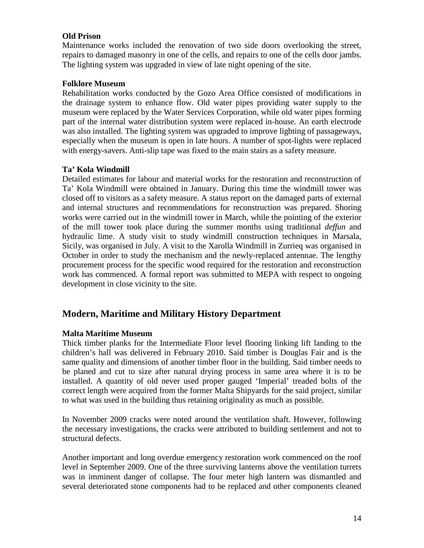#### **Old Prison**

Maintenance works included the renovation of two side doors overlooking the street, repairs to damaged masonry in one of the cells, and repairs to one of the cells door jambs. The lighting system was upgraded in view of late night opening of the site.

#### **Folklore Museum**

Rehabilitation works conducted by the Gozo Area Office consisted of modifications in the drainage system to enhance flow. Old water pipes providing water supply to the museum were replaced by the Water Services Corporation, while old water pipes forming part of the internal water distribution system were replaced in-house. An earth electrode was also installed. The lighting system was upgraded to improve lighting of passageways, especially when the museum is open in late hours. A number of spot-lights were replaced with energy-savers. Anti-slip tape was fixed to the main stairs as a safety measure.

#### **Ta' Kola Windmill**

Detailed estimates for labour and material works for the restoration and reconstruction of Ta' Kola Windmill were obtained in January. During this time the windmill tower was closed off to visitors as a safety measure. A status report on the damaged parts of external and internal structures and recommendations for reconstruction was prepared. Shoring works were carried out in the windmill tower in March, while the pointing of the exterior of the mill tower took place during the summer months using traditional *deffun* and hydraulic lime. A study visit to study windmill construction techniques in Marsala, Sicily, was organised in July. A visit to the Xarolla Windmill in Zurrieq was organised in October in order to study the mechanism and the newly-replaced antennae. The lengthy procurement process for the specific wood required for the restoration and reconstruction work has commenced. A formal report was submitted to MEPA with respect to ongoing development in close vicinity to the site.

## **Modern, Maritime and Military History Department**

#### **Malta Maritime Museum**

Thick timber planks for the Intermediate Floor level flooring linking lift landing to the children's hall was delivered in February 2010. Said timber is Douglas Fair and is the same quality and dimensions of another timber floor in the building. Said timber needs to be planed and cut to size after natural drying process in same area where it is to be installed. A quantity of old never used proper gauged 'Imperial' treaded bolts of the correct length were acquired from the former Malta Shipyards for the said project, similar to what was used in the building thus retaining originality as much as possible.

In November 2009 cracks were noted around the ventilation shaft. However, following the necessary investigations, the cracks were attributed to building settlement and not to structural defects.

Another important and long overdue emergency restoration work commenced on the roof level in September 2009. One of the three surviving lanterns above the ventilation turrets was in imminent danger of collapse. The four meter high lantern was dismantled and several deteriorated stone components had to be replaced and other components cleaned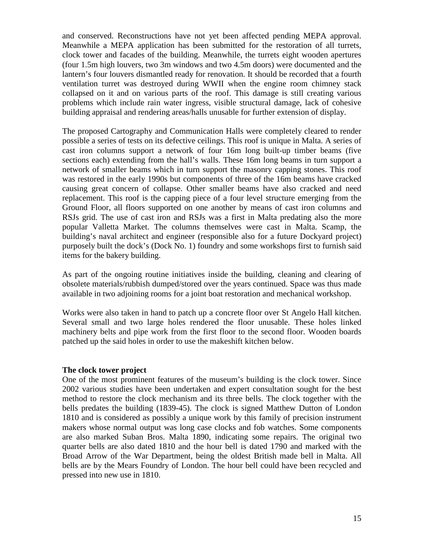and conserved. Reconstructions have not yet been affected pending MEPA approval. Meanwhile a MEPA application has been submitted for the restoration of all turrets, clock tower and facades of the building. Meanwhile, the turrets eight wooden apertures (four 1.5m high louvers, two 3m windows and two 4.5m doors) were documented and the lantern's four louvers dismantled ready for renovation. It should be recorded that a fourth ventilation turret was destroyed during WWII when the engine room chimney stack collapsed on it and on various parts of the roof. This damage is still creating various problems which include rain water ingress, visible structural damage, lack of cohesive building appraisal and rendering areas/halls unusable for further extension of display.

The proposed Cartography and Communication Halls were completely cleared to render possible a series of tests on its defective ceilings. This roof is unique in Malta. A series of cast iron columns support a network of four 16m long built-up timber beams (five sections each) extending from the hall's walls. These 16m long beams in turn support a network of smaller beams which in turn support the masonry capping stones. This roof was restored in the early 1990s but components of three of the 16m beams have cracked causing great concern of collapse. Other smaller beams have also cracked and need replacement. This roof is the capping piece of a four level structure emerging from the Ground Floor, all floors supported on one another by means of cast iron columns and RSJs grid. The use of cast iron and RSJs was a first in Malta predating also the more popular Valletta Market. The columns themselves were cast in Malta. Scamp, the building's naval architect and engineer (responsible also for a future Dockyard project) purposely built the dock's (Dock No. 1) foundry and some workshops first to furnish said items for the bakery building.

As part of the ongoing routine initiatives inside the building, cleaning and clearing of obsolete materials/rubbish dumped/stored over the years continued. Space was thus made available in two adjoining rooms for a joint boat restoration and mechanical workshop.

Works were also taken in hand to patch up a concrete floor over St Angelo Hall kitchen. Several small and two large holes rendered the floor unusable. These holes linked machinery belts and pipe work from the first floor to the second floor. Wooden boards patched up the said holes in order to use the makeshift kitchen below.

#### **The clock tower project**

One of the most prominent features of the museum's building is the clock tower. Since 2002 various studies have been undertaken and expert consultation sought for the best method to restore the clock mechanism and its three bells. The clock together with the bells predates the building (1839-45). The clock is signed Matthew Dutton of London 1810 and is considered as possibly a unique work by this family of precision instrument makers whose normal output was long case clocks and fob watches. Some components are also marked Suban Bros. Malta 1890, indicating some repairs. The original two quarter bells are also dated 1810 and the hour bell is dated 1790 and marked with the Broad Arrow of the War Department, being the oldest British made bell in Malta. All bells are by the Mears Foundry of London. The hour bell could have been recycled and pressed into new use in 1810.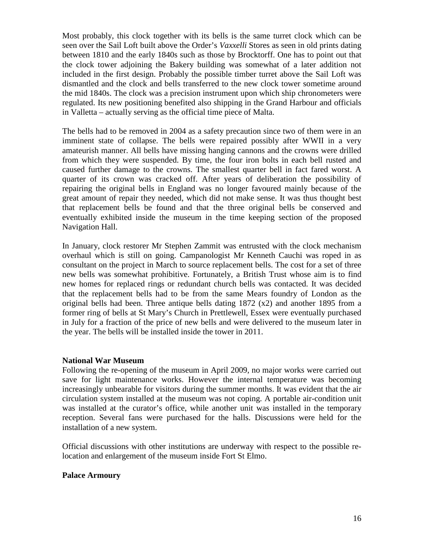Most probably, this clock together with its bells is the same turret clock which can be seen over the Sail Loft built above the Order's *Vaxxelli* Stores as seen in old prints dating between 1810 and the early 1840s such as those by Brocktorff. One has to point out that the clock tower adjoining the Bakery building was somewhat of a later addition not included in the first design. Probably the possible timber turret above the Sail Loft was dismantled and the clock and bells transferred to the new clock tower sometime around the mid 1840s. The clock was a precision instrument upon which ship chronometers were regulated. Its new positioning benefited also shipping in the Grand Harbour and officials in Valletta – actually serving as the official time piece of Malta.

The bells had to be removed in 2004 as a safety precaution since two of them were in an imminent state of collapse. The bells were repaired possibly after WWII in a very amateurish manner. All bells have missing hanging cannons and the crowns were drilled from which they were suspended. By time, the four iron bolts in each bell rusted and caused further damage to the crowns. The smallest quarter bell in fact fared worst. A quarter of its crown was cracked off. After years of deliberation the possibility of repairing the original bells in England was no longer favoured mainly because of the great amount of repair they needed, which did not make sense. It was thus thought best that replacement bells be found and that the three original bells be conserved and eventually exhibited inside the museum in the time keeping section of the proposed Navigation Hall.

In January, clock restorer Mr Stephen Zammit was entrusted with the clock mechanism overhaul which is still on going. Campanologist Mr Kenneth Cauchi was roped in as consultant on the project in March to source replacement bells. The cost for a set of three new bells was somewhat prohibitive. Fortunately, a British Trust whose aim is to find new homes for replaced rings or redundant church bells was contacted. It was decided that the replacement bells had to be from the same Mears foundry of London as the original bells had been. Three antique bells dating 1872 (x2) and another 1895 from a former ring of bells at St Mary's Church in Prettlewell, Essex were eventually purchased in July for a fraction of the price of new bells and were delivered to the museum later in the year. The bells will be installed inside the tower in 2011.

#### **National War Museum**

Following the re-opening of the museum in April 2009, no major works were carried out save for light maintenance works. However the internal temperature was becoming increasingly unbearable for visitors during the summer months. It was evident that the air circulation system installed at the museum was not coping. A portable air-condition unit was installed at the curator's office, while another unit was installed in the temporary reception. Several fans were purchased for the halls. Discussions were held for the installation of a new system.

Official discussions with other institutions are underway with respect to the possible relocation and enlargement of the museum inside Fort St Elmo.

#### **Palace Armoury**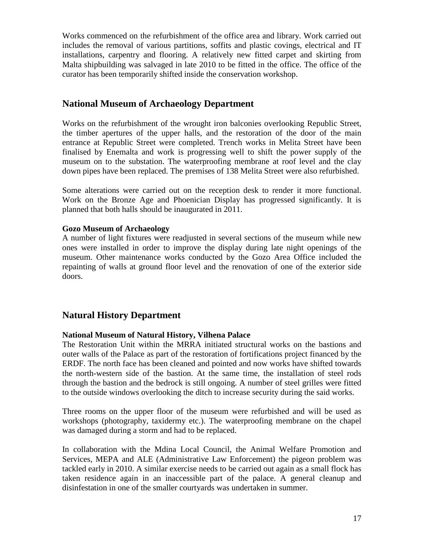Works commenced on the refurbishment of the office area and library. Work carried out includes the removal of various partitions, soffits and plastic covings, electrical and IT installations, carpentry and flooring. A relatively new fitted carpet and skirting from Malta shipbuilding was salvaged in late 2010 to be fitted in the office. The office of the curator has been temporarily shifted inside the conservation workshop.

# **National Museum of Archaeology Department**

Works on the refurbishment of the wrought iron balconies overlooking Republic Street, the timber apertures of the upper halls, and the restoration of the door of the main entrance at Republic Street were completed. Trench works in Melita Street have been finalised by Enemalta and work is progressing well to shift the power supply of the museum on to the substation. The waterproofing membrane at roof level and the clay down pipes have been replaced. The premises of 138 Melita Street were also refurbished.

Some alterations were carried out on the reception desk to render it more functional. Work on the Bronze Age and Phoenician Display has progressed significantly. It is planned that both halls should be inaugurated in 2011.

#### **Gozo Museum of Archaeology**

A number of light fixtures were readjusted in several sections of the museum while new ones were installed in order to improve the display during late night openings of the museum. Other maintenance works conducted by the Gozo Area Office included the repainting of walls at ground floor level and the renovation of one of the exterior side doors.

# **Natural History Department**

#### **National Museum of Natural History, Vilhena Palace**

The Restoration Unit within the MRRA initiated structural works on the bastions and outer walls of the Palace as part of the restoration of fortifications project financed by the ERDF. The north face has been cleaned and pointed and now works have shifted towards the north-western side of the bastion. At the same time, the installation of steel rods through the bastion and the bedrock is still ongoing. A number of steel grilles were fitted to the outside windows overlooking the ditch to increase security during the said works.

Three rooms on the upper floor of the museum were refurbished and will be used as workshops (photography, taxidermy etc.). The waterproofing membrane on the chapel was damaged during a storm and had to be replaced.

In collaboration with the Mdina Local Council, the Animal Welfare Promotion and Services, MEPA and ALE (Administrative Law Enforcement) the pigeon problem was tackled early in 2010. A similar exercise needs to be carried out again as a small flock has taken residence again in an inaccessible part of the palace. A general cleanup and disinfestation in one of the smaller courtyards was undertaken in summer.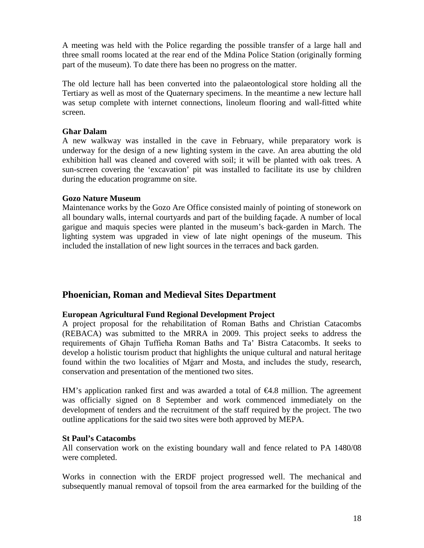A meeting was held with the Police regarding the possible transfer of a large hall and three small rooms located at the rear end of the Mdina Police Station (originally forming part of the museum). To date there has been no progress on the matter.

The old lecture hall has been converted into the palaeontological store holding all the Tertiary as well as most of the Quaternary specimens. In the meantime a new lecture hall was setup complete with internet connections, linoleum flooring and wall-fitted white screen.

#### **Għar Dalam**

A new walkway was installed in the cave in February, while preparatory work is underway for the design of a new lighting system in the cave. An area abutting the old exhibition hall was cleaned and covered with soil; it will be planted with oak trees. A sun-screen covering the 'excavation' pit was installed to facilitate its use by children during the education programme on site.

#### **Gozo Nature Museum**

Maintenance works by the Gozo Are Office consisted mainly of pointing of stonework on all boundary walls, internal courtyards and part of the building façade. A number of local garigue and maquis species were planted in the museum's back-garden in March. The lighting system was upgraded in view of late night openings of the museum. This included the installation of new light sources in the terraces and back garden.

## **Phoenician, Roman and Medieval Sites Department**

#### **European Agricultural Fund Regional Development Project**

A project proposal for the rehabilitation of Roman Baths and Christian Catacombs (REBACA) was submitted to the MRRA in 2009. This project seeks to address the requirements of Għajn Tuffieħa Roman Baths and Ta' Bistra Catacombs. It seeks to develop a holistic tourism product that highlights the unique cultural and natural heritage found within the two localities of Mġarr and Mosta, and includes the study, research, conservation and presentation of the mentioned two sites.

HM's application ranked first and was awarded a total of €4.8 million. The agreement was officially signed on 8 September and work commenced immediately on the development of tenders and the recruitment of the staff required by the project. The two outline applications for the said two sites were both approved by MEPA.

#### **St Paul's Catacombs**

All conservation work on the existing boundary wall and fence related to PA 1480/08 were completed.

Works in connection with the ERDF project progressed well. The mechanical and subsequently manual removal of topsoil from the area earmarked for the building of the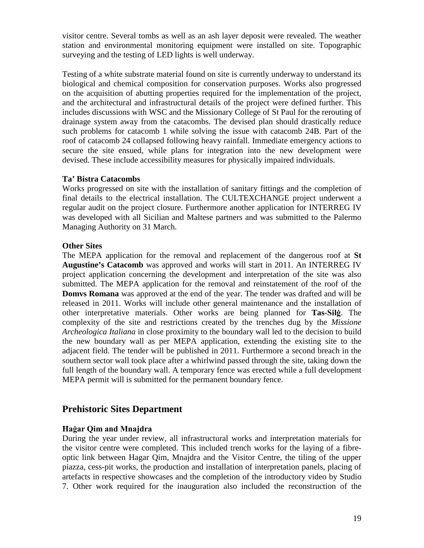visitor centre. Several tombs as well as an ash layer deposit were revealed. The weather station and environmental monitoring equipment were installed on site. Topographic surveying and the testing of LED lights is well underway.

Testing of a white substrate material found on site is currently underway to understand its biological and chemical composition for conservation purposes. Works also progressed on the acquisition of abutting properties required for the implementation of the project, and the architectural and infrastructural details of the project were defined further. This includes discussions with WSC and the Missionary College of St Paul for the rerouting of drainage system away from the catacombs. The devised plan should drastically reduce such problems for catacomb 1 while solving the issue with catacomb 24B. Part of the roof of catacomb 24 collapsed following heavy rainfall. Immediate emergency actions to secure the site ensued, while plans for integration into the new development were devised. These include accessibility measures for physically impaired individuals.

#### **Ta' Bistra Catacombs**

Works progressed on site with the installation of sanitary fittings and the completion of final details to the electrical installation. The CULTEXCHANGE project underwent a regular audit on the project closure. Furthermore another application for INTERREG IV was developed with all Sicilian and Maltese partners and was submitted to the Palermo Managing Authority on 31 March.

#### **Other Sites**

The MEPA application for the removal and replacement of the dangerous roof at **St Augustine's Catacomb** was approved and works will start in 2011. An INTERREG IV project application concerning the development and interpretation of the site was also submitted. The MEPA application for the removal and reinstatement of the roof of the **Domvs Romana** was approved at the end of the year. The tender was drafted and will be released in 2011. Works will include other general maintenance and the installation of other interpretative materials. Other works are being planned for **Tas-Silġ**. The complexity of the site and restrictions created by the trenches dug by the *Missione Archeologica Italiana* in close proximity to the boundary wall led to the decision to build the new boundary wall as per MEPA application, extending the existing site to the adjacent field. The tender will be published in 2011. Furthermore a second breach in the southern sector wall took place after a whirlwind passed through the site, taking down the full length of the boundary wall. A temporary fence was erected while a full development MEPA permit will is submitted for the permanent boundary fence.

## **Prehistoric Sites Department**

#### **Ħaġar Qim and Mnajdra**

During the year under review, all infrastructural works and interpretation materials for the visitor centre were completed. This included trench works for the laying of a fibreoptic link between Hagar Qim, Mnajdra and the Visitor Centre, the tiling of the upper piazza, cess-pit works, the production and installation of interpretation panels, placing of artefacts in respective showcases and the completion of the introductory video by Studio 7. Other work required for the inauguration also included the reconstruction of the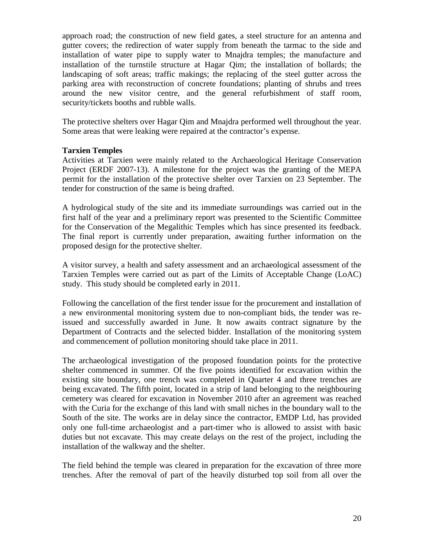approach road; the construction of new field gates, a steel structure for an antenna and gutter covers; the redirection of water supply from beneath the tarmac to the side and installation of water pipe to supply water to Mnajdra temples; the manufacture and installation of the turnstile structure at Hagar Qim; the installation of bollards; the landscaping of soft areas; traffic makings; the replacing of the steel gutter across the parking area with reconstruction of concrete foundations; planting of shrubs and trees around the new visitor centre, and the general refurbishment of staff room, security/tickets booths and rubble walls.

The protective shelters over Hagar Qim and Mnajdra performed well throughout the year. Some areas that were leaking were repaired at the contractor's expense.

#### **Tarxien Temples**

Activities at Tarxien were mainly related to the Archaeological Heritage Conservation Project (ERDF 2007-13). A milestone for the project was the granting of the MEPA permit for the installation of the protective shelter over Tarxien on 23 September. The tender for construction of the same is being drafted.

A hydrological study of the site and its immediate surroundings was carried out in the first half of the year and a preliminary report was presented to the Scientific Committee for the Conservation of the Megalithic Temples which has since presented its feedback. The final report is currently under preparation, awaiting further information on the proposed design for the protective shelter.

A visitor survey, a health and safety assessment and an archaeological assessment of the Tarxien Temples were carried out as part of the Limits of Acceptable Change (LoAC) study. This study should be completed early in 2011.

Following the cancellation of the first tender issue for the procurement and installation of a new environmental monitoring system due to non-compliant bids, the tender was reissued and successfully awarded in June. It now awaits contract signature by the Department of Contracts and the selected bidder. Installation of the monitoring system and commencement of pollution monitoring should take place in 2011.

The archaeological investigation of the proposed foundation points for the protective shelter commenced in summer. Of the five points identified for excavation within the existing site boundary, one trench was completed in Quarter 4 and three trenches are being excavated. The fifth point, located in a strip of land belonging to the neighbouring cemetery was cleared for excavation in November 2010 after an agreement was reached with the Curia for the exchange of this land with small niches in the boundary wall to the South of the site. The works are in delay since the contractor, EMDP Ltd, has provided only one full-time archaeologist and a part-timer who is allowed to assist with basic duties but not excavate. This may create delays on the rest of the project, including the installation of the walkway and the shelter.

The field behind the temple was cleared in preparation for the excavation of three more trenches. After the removal of part of the heavily disturbed top soil from all over the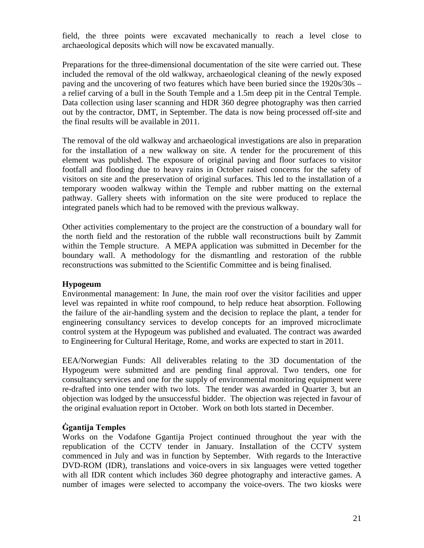field, the three points were excavated mechanically to reach a level close to archaeological deposits which will now be excavated manually.

Preparations for the three-dimensional documentation of the site were carried out. These included the removal of the old walkway, archaeological cleaning of the newly exposed paving and the uncovering of two features which have been buried since the 1920s/30s – a relief carving of a bull in the South Temple and a 1.5m deep pit in the Central Temple. Data collection using laser scanning and HDR 360 degree photography was then carried out by the contractor, DMT, in September. The data is now being processed off-site and the final results will be available in 2011.

The removal of the old walkway and archaeological investigations are also in preparation for the installation of a new walkway on site. A tender for the procurement of this element was published. The exposure of original paving and floor surfaces to visitor footfall and flooding due to heavy rains in October raised concerns for the safety of visitors on site and the preservation of original surfaces. This led to the installation of a temporary wooden walkway within the Temple and rubber matting on the external pathway. Gallery sheets with information on the site were produced to replace the integrated panels which had to be removed with the previous walkway.

Other activities complementary to the project are the construction of a boundary wall for the north field and the restoration of the rubble wall reconstructions built by Zammit within the Temple structure. A MEPA application was submitted in December for the boundary wall. A methodology for the dismantling and restoration of the rubble reconstructions was submitted to the Scientific Committee and is being finalised.

#### **Hypogeum**

Environmental management: In June, the main roof over the visitor facilities and upper level was repainted in white roof compound, to help reduce heat absorption. Following the failure of the air-handling system and the decision to replace the plant, a tender for engineering consultancy services to develop concepts for an improved microclimate control system at the Hypogeum was published and evaluated. The contract was awarded to Engineering for Cultural Heritage, Rome, and works are expected to start in 2011.

EEA/Norwegian Funds: All deliverables relating to the 3D documentation of the Hypogeum were submitted and are pending final approval. Two tenders, one for consultancy services and one for the supply of environmental monitoring equipment were re-drafted into one tender with two lots. The tender was awarded in Quarter 3, but an objection was lodged by the unsuccessful bidder. The objection was rejected in favour of the original evaluation report in October. Work on both lots started in December.

#### **Ġgantija Temples**

Works on the Vodafone Ggantija Project continued throughout the year with the republication of the CCTV tender in January. Installation of the CCTV system commenced in July and was in function by September. With regards to the Interactive DVD-ROM (IDR), translations and voice-overs in six languages were vetted together with all IDR content which includes 360 degree photography and interactive games. A number of images were selected to accompany the voice-overs. The two kiosks were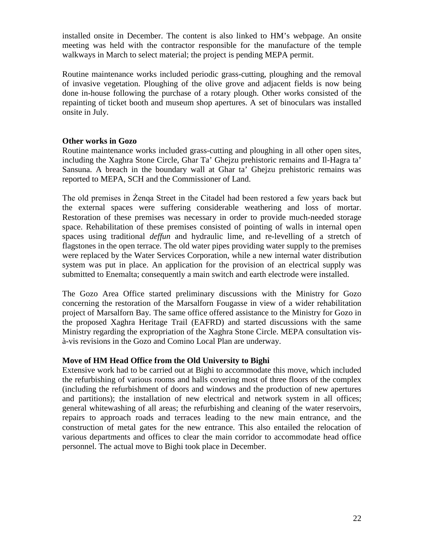installed onsite in December. The content is also linked to HM's webpage. An onsite meeting was held with the contractor responsible for the manufacture of the temple walkways in March to select material; the project is pending MEPA permit.

Routine maintenance works included periodic grass-cutting, ploughing and the removal of invasive vegetation. Ploughing of the olive grove and adjacent fields is now being done in-house following the purchase of a rotary plough. Other works consisted of the repainting of ticket booth and museum shop apertures. A set of binoculars was installed onsite in July.

#### **Other works in Gozo**

Routine maintenance works included grass-cutting and ploughing in all other open sites, including the Xaghra Stone Circle, Ghar Ta' Ghejzu prehistoric remains and Il-Hagra ta' Sansuna. A breach in the boundary wall at Ghar ta' Ghejzu prehistoric remains was reported to MEPA, SCH and the Commissioner of Land.

The old premises in Żenqa Street in the Citadel had been restored a few years back but the external spaces were suffering considerable weathering and loss of mortar. Restoration of these premises was necessary in order to provide much-needed storage space. Rehabilitation of these premises consisted of pointing of walls in internal open spaces using traditional *deffun* and hydraulic lime, and re-levelling of a stretch of flagstones in the open terrace. The old water pipes providing water supply to the premises were replaced by the Water Services Corporation, while a new internal water distribution system was put in place. An application for the provision of an electrical supply was submitted to Enemalta; consequently a main switch and earth electrode were installed.

The Gozo Area Office started preliminary discussions with the Ministry for Gozo concerning the restoration of the Marsalforn Fougasse in view of a wider rehabilitation project of Marsalforn Bay. The same office offered assistance to the Ministry for Gozo in the proposed Xaghra Heritage Trail (EAFRD) and started discussions with the same Ministry regarding the expropriation of the Xaghra Stone Circle. MEPA consultation visà-vis revisions in the Gozo and Comino Local Plan are underway.

#### **Move of HM Head Office from the Old University to Bighi**

Extensive work had to be carried out at Bighi to accommodate this move, which included the refurbishing of various rooms and halls covering most of three floors of the complex (including the refurbishment of doors and windows and the production of new apertures and partitions); the installation of new electrical and network system in all offices; general whitewashing of all areas; the refurbishing and cleaning of the water reservoirs, repairs to approach roads and terraces leading to the new main entrance, and the construction of metal gates for the new entrance. This also entailed the relocation of various departments and offices to clear the main corridor to accommodate head office personnel. The actual move to Bighi took place in December.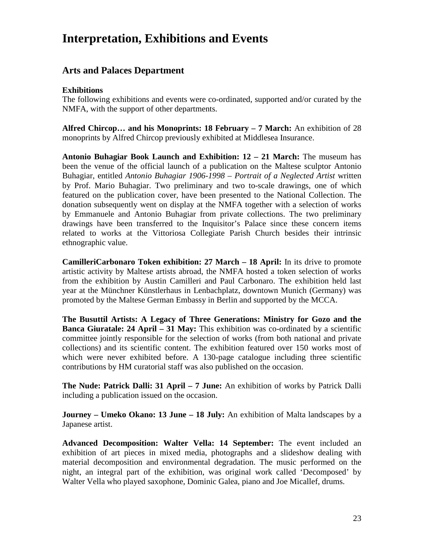# **Interpretation, Exhibitions and Events**

# **Arts and Palaces Department**

#### **Exhibitions**

The following exhibitions and events were co-ordinated, supported and/or curated by the NMFA, with the support of other departments.

**Alfred Chircop… and his Monoprints: 18 February – 7 March:** An exhibition of 28 monoprints by Alfred Chircop previously exhibited at Middlesea Insurance.

**Antonio Buhagiar Book Launch and Exhibition: 12 – 21 March:** The museum has been the venue of the official launch of a publication on the Maltese sculptor Antonio Buhagiar, entitled *Antonio Buhagiar 1906-1998 – Portrait of a Neglected Artist* written by Prof. Mario Buhagiar. Two preliminary and two to-scale drawings, one of which featured on the publication cover, have been presented to the National Collection. The donation subsequently went on display at the NMFA together with a selection of works by Emmanuele and Antonio Buhagiar from private collections. The two preliminary drawings have been transferred to the Inquisitor's Palace since these concern items related to works at the Vittoriosa Collegiate Parish Church besides their intrinsic ethnographic value.

**CamilleriCarbonaro Token exhibition: 27 March – 18 April:** In its drive to promote artistic activity by Maltese artists abroad, the NMFA hosted a token selection of works from the exhibition by Austin Camilleri and Paul Carbonaro. The exhibition held last year at the Münchner Künstlerhaus in Lenbachplatz, downtown Munich (Germany) was promoted by the Maltese German Embassy in Berlin and supported by the MCCA.

**The Busuttil Artists: A Legacy of Three Generations: Ministry for Gozo and the Banca Giuratale: 24 April – 31 May:** This exhibition was co-ordinated by a scientific committee jointly responsible for the selection of works (from both national and private collections) and its scientific content. The exhibition featured over 150 works most of which were never exhibited before. A 130-page catalogue including three scientific contributions by HM curatorial staff was also published on the occasion.

**The Nude: Patrick Dalli: 31 April – 7 June:** An exhibition of works by Patrick Dalli including a publication issued on the occasion.

**Journey – Umeko Okano: 13 June – 18 July:** An exhibition of Malta landscapes by a Japanese artist.

**Advanced Decomposition: Walter Vella: 14 September:** The event included an exhibition of art pieces in mixed media, photographs and a slideshow dealing with material decomposition and environmental degradation. The music performed on the night, an integral part of the exhibition, was original work called 'Decomposed' by Walter Vella who played saxophone, Dominic Galea, piano and Joe Micallef, drums.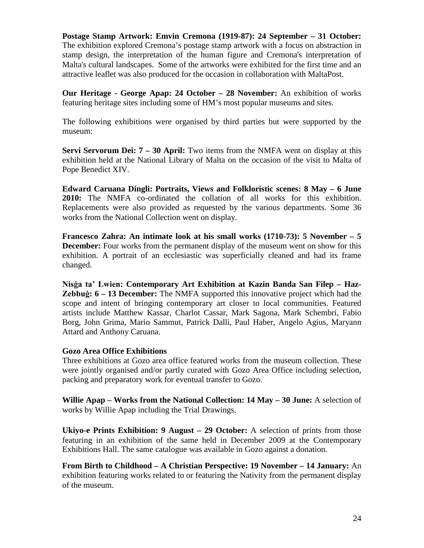**Postage Stamp Artwork: Emvin Cremona (1919-87): 24 September – 31 October:**  The exhibition explored Cremona's postage stamp artwork with a focus on abstraction in stamp design, the interpretation of the human figure and Cremona's interpretation of Malta's cultural landscapes. Some of the artworks were exhibited for the first time and an attractive leaflet was also produced for the occasion in collaboration with MaltaPost.

**Our Heritage - George Apap: 24 October – 28 November:** An exhibition of works featuring heritage sites including some of HM's most popular museums and sites.

The following exhibitions were organised by third parties but were supported by the museum:

**Servi Servorum Dei: 7 – 30 April:** Two items from the NMFA went on display at this exhibition held at the National Library of Malta on the occasion of the visit to Malta of Pope Benedict XIV.

**Edward Caruana Dingli: Portraits, Views and Folkloristic scenes: 8 May – 6 June 2010:** The NMFA co-ordinated the collation of all works for this exhibition. Replacements were also provided as requested by the various departments. Some 36 works from the National Collection went on display.

**Francesco Zahra: An intimate look at his small works (1710-73): 5 November – 5 December:** Four works from the permanent display of the museum went on show for this exhibition. A portrait of an ecclesiastic was superficially cleaned and had its frame changed.

**Nisġa ta' Lwien: Contemporary Art Exhibition at Kazin Banda San Filep – Haz-Zebbuġ: 6 – 13 December:** The NMFA supported this innovative project which had the scope and intent of bringing contemporary art closer to local communities. Featured artists include Matthew Kassar, Charlot Cassar, Mark Sagona, Mark Schembri, Fabio Borg, John Grima, Mario Sammut, Patrick Dalli, Paul Haber, Angelo Agius, Maryann Attard and Anthony Caruana.

#### **Gozo Area Office Exhibitions**

Three exhibitions at Gozo area office featured works from the museum collection. These were jointly organised and/or partly curated with Gozo Area Office including selection, packing and preparatory work for eventual transfer to Gozo.

**Willie Apap – Works from the National Collection: 14 May – 30 June:** A selection of works by Willie Apap including the Trial Drawings.

**Ukiyo-e Prints Exhibition: 9 August – 29 October:** A selection of prints from those featuring in an exhibition of the same held in December 2009 at the Contemporary Exhibitions Hall. The same catalogue was available in Gozo against a donation.

**From Birth to Childhood – A Christian Perspective: 19 November – 14 January:** An exhibition featuring works related to or featuring the Nativity from the permanent display of the museum.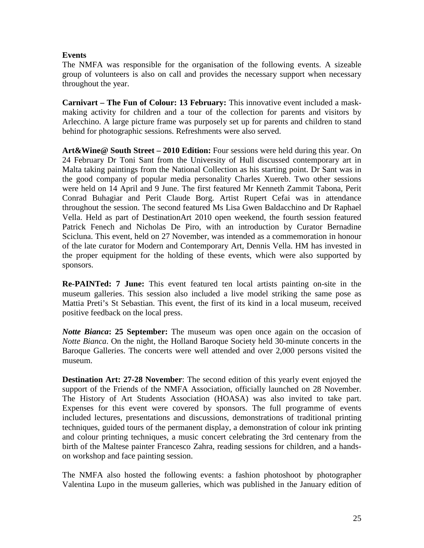#### **Events**

The NMFA was responsible for the organisation of the following events. A sizeable group of volunteers is also on call and provides the necessary support when necessary throughout the year.

**Carnivart – The Fun of Colour: 13 February:** This innovative event included a maskmaking activity for children and a tour of the collection for parents and visitors by Arlecchino. A large picture frame was purposely set up for parents and children to stand behind for photographic sessions. Refreshments were also served.

**Art&Wine@ South Street – 2010 Edition:** Four sessions were held during this year. On 24 February Dr Toni Sant from the University of Hull discussed contemporary art in Malta taking paintings from the National Collection as his starting point. Dr Sant was in the good company of popular media personality Charles Xuereb. Two other sessions were held on 14 April and 9 June. The first featured Mr Kenneth Zammit Tabona, Perit Conrad Buhagiar and Perit Claude Borg. Artist Rupert Cefai was in attendance throughout the session. The second featured Ms Lisa Gwen Baldacchino and Dr Raphael Vella. Held as part of DestinationArt 2010 open weekend, the fourth session featured Patrick Fenech and Nicholas De Piro, with an introduction by Curator Bernadine Scicluna. This event, held on 27 November, was intended as a commemoration in honour of the late curator for Modern and Contemporary Art, Dennis Vella. HM has invested in the proper equipment for the holding of these events, which were also supported by sponsors.

**Re-PAINTed: 7 June:** This event featured ten local artists painting on-site in the museum galleries. This session also included a live model striking the same pose as Mattia Preti's St Sebastian. This event, the first of its kind in a local museum, received positive feedback on the local press.

*Notte Bianca***: 25 September:** The museum was open once again on the occasion of *Notte Bianca*. On the night, the Holland Baroque Society held 30-minute concerts in the Baroque Galleries. The concerts were well attended and over 2,000 persons visited the museum.

**Destination Art: 27-28 November:** The second edition of this yearly event enjoyed the support of the Friends of the NMFA Association, officially launched on 28 November. The History of Art Students Association (HOASA) was also invited to take part. Expenses for this event were covered by sponsors. The full programme of events included lectures, presentations and discussions, demonstrations of traditional printing techniques, guided tours of the permanent display, a demonstration of colour ink printing and colour printing techniques, a music concert celebrating the 3rd centenary from the birth of the Maltese painter Francesco Zahra, reading sessions for children, and a handson workshop and face painting session.

The NMFA also hosted the following events: a fashion photoshoot by photographer Valentina Lupo in the museum galleries, which was published in the January edition of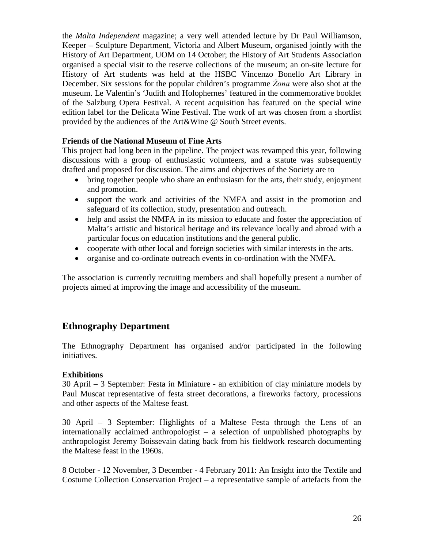the *Malta Independent* magazine; a very well attended lecture by Dr Paul Williamson, Keeper – Sculpture Department, Victoria and Albert Museum, organised jointly with the History of Art Department, UOM on 14 October; the History of Art Students Association organised a special visit to the reserve collections of the museum; an on-site lecture for History of Art students was held at the HSBC Vincenzo Bonello Art Library in December. Six sessions for the popular children's programme *Żona* were also shot at the museum. Le Valentin's 'Judith and Holophernes' featured in the commemorative booklet of the Salzburg Opera Festival. A recent acquisition has featured on the special wine edition label for the Delicata Wine Festival. The work of art was chosen from a shortlist provided by the audiences of the Art&Wine @ South Street events.

#### **Friends of the National Museum of Fine Arts**

This project had long been in the pipeline. The project was revamped this year, following discussions with a group of enthusiastic volunteers, and a statute was subsequently drafted and proposed for discussion. The aims and objectives of the Society are to

- bring together people who share an enthusiasm for the arts, their study, enjoyment and promotion.
- support the work and activities of the NMFA and assist in the promotion and safeguard of its collection, study, presentation and outreach.
- help and assist the NMFA in its mission to educate and foster the appreciation of Malta's artistic and historical heritage and its relevance locally and abroad with a particular focus on education institutions and the general public.
- cooperate with other local and foreign societies with similar interests in the arts.
- organise and co-ordinate outreach events in co-ordination with the NMFA.

The association is currently recruiting members and shall hopefully present a number of projects aimed at improving the image and accessibility of the museum.

# **Ethnography Department**

The Ethnography Department has organised and/or participated in the following initiatives.

#### **Exhibitions**

30 April – 3 September: Festa in Miniature - an exhibition of clay miniature models by Paul Muscat representative of festa street decorations, a fireworks factory, processions and other aspects of the Maltese feast.

30 April – 3 September: Highlights of a Maltese Festa through the Lens of an internationally acclaimed anthropologist – a selection of unpublished photographs by anthropologist Jeremy Boissevain dating back from his fieldwork research documenting the Maltese feast in the 1960s.

8 October - 12 November, 3 December - 4 February 2011: An Insight into the Textile and Costume Collection Conservation Project – a representative sample of artefacts from the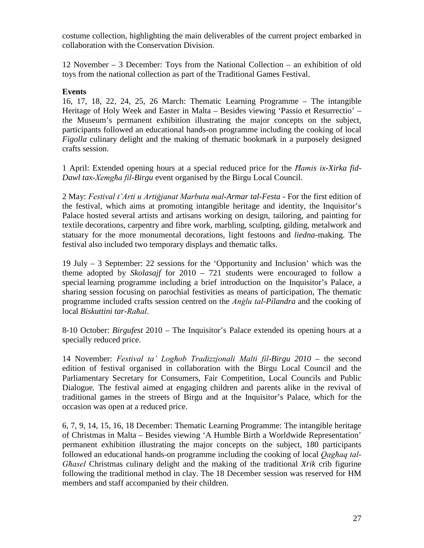costume collection, highlighting the main deliverables of the current project embarked in collaboration with the Conservation Division.

12 November – 3 December: Toys from the National Collection – an exhibition of old toys from the national collection as part of the Traditional Games Festival.

#### **Events**

16, 17, 18, 22, 24, 25, 26 March: Thematic Learning Programme – The intangible Heritage of Holy Week and Easter in Malta – Besides viewing 'Passio et Resurrectio' – the Museum's permanent exhibition illustrating the major concepts on the subject, participants followed an educational hands-on programme including the cooking of local *Figolla* culinary delight and the making of thematic bookmark in a purposely designed crafts session.

1 April: Extended opening hours at a special reduced price for the *Ħamis ix-Xirka fid-Dawl tax-Xemgħa fil-Birgu* event organised by the Birgu Local Council.

2 May: *Festival t'Arti u Artiġjanat Marbuta mal-Armar tal-Festa* - For the first edition of the festival, which aims at promoting intangible heritage and identity, the Inquisitor's Palace hosted several artists and artisans working on design, tailoring, and painting for textile decorations, carpentry and fibre work, marbling, sculpting, gilding, metalwork and statuary for the more monumental decorations, light festoons and *liedna-*making. The festival also included two temporary displays and thematic talks.

19 July – 3 September: 22 sessions for the 'Opportunity and Inclusion' which was the theme adopted by *Skolasajf* for 2010 – 721 students were encouraged to follow a special learning programme including a brief introduction on the Inquisitor's Palace, a sharing session focusing on parochial festivities as means of participation, The thematic programme included crafts session centred on the *Anġlu tal-Pilandra* and the cooking of local *Biskuttini tar-Raħal*.

8-10 October: *Birgufest* 2010 – The Inquisitor's Palace extended its opening hours at a specially reduced price.

14 November: *Festival ta' Logħob Tradizzjonali Malti fil-Birgu 2010* – the second edition of festival organised in collaboration with the Birgu Local Council and the Parliamentary Secretary for Consumers, Fair Competition, Local Councils and Public Dialogue*.* The festival aimed at engaging children and parents alike in the revival of traditional games in the streets of Birgu and at the Inquisitor's Palace, which for the occasion was open at a reduced price.

6, 7, 9, 14, 15, 16, 18 December: Thematic Learning Programme: The intangible heritage of Christmas in Malta – Besides viewing 'A Humble Birth a Worldwide Representation' permanent exhibition illustrating the major concepts on the subject, 180 participants followed an educational hands-on programme including the cooking of local *Qagħaq tal-Għasel* Christmas culinary delight and the making of the traditional *Xrik* crib figurine following the traditional method in clay. The 18 December session was reserved for HM members and staff accompanied by their children.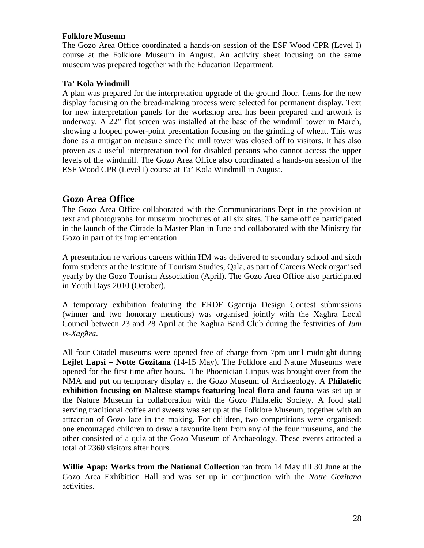#### **Folklore Museum**

The Gozo Area Office coordinated a hands-on session of the ESF Wood CPR (Level I) course at the Folklore Museum in August. An activity sheet focusing on the same museum was prepared together with the Education Department.

#### **Ta' Kola Windmill**

A plan was prepared for the interpretation upgrade of the ground floor. Items for the new display focusing on the bread-making process were selected for permanent display. Text for new interpretation panels for the workshop area has been prepared and artwork is underway. A 22" flat screen was installed at the base of the windmill tower in March, showing a looped power-point presentation focusing on the grinding of wheat. This was done as a mitigation measure since the mill tower was closed off to visitors. It has also proven as a useful interpretation tool for disabled persons who cannot access the upper levels of the windmill. The Gozo Area Office also coordinated a hands-on session of the ESF Wood CPR (Level I) course at Ta' Kola Windmill in August.

# **Gozo Area Office**

The Gozo Area Office collaborated with the Communications Dept in the provision of text and photographs for museum brochures of all six sites. The same office participated in the launch of the Cittadella Master Plan in June and collaborated with the Ministry for Gozo in part of its implementation.

A presentation re various careers within HM was delivered to secondary school and sixth form students at the Institute of Tourism Studies, Qala, as part of Careers Week organised yearly by the Gozo Tourism Association (April). The Gozo Area Office also participated in Youth Days 2010 (October).

A temporary exhibition featuring the ERDF Ggantija Design Contest submissions (winner and two honorary mentions) was organised jointly with the Xagħra Local Council between 23 and 28 April at the Xaghra Band Club during the festivities of *Jum ix-Xagħra*.

All four Citadel museums were opened free of charge from 7pm until midnight during **Lejlet Lapsi – Notte Gozitana** (14-15 May). The Folklore and Nature Museums were opened for the first time after hours. The Phoenician Cippus was brought over from the NMA and put on temporary display at the Gozo Museum of Archaeology. A **Philatelic exhibition focusing on Maltese stamps featuring local flora and fauna** was set up at the Nature Museum in collaboration with the Gozo Philatelic Society. A food stall serving traditional coffee and sweets was set up at the Folklore Museum, together with an attraction of Gozo lace in the making. For children, two competitions were organised: one encouraged children to draw a favourite item from any of the four museums, and the other consisted of a quiz at the Gozo Museum of Archaeology. These events attracted a total of 2360 visitors after hours.

**Willie Apap: Works from the National Collection** ran from 14 May till 30 June at the Gozo Area Exhibition Hall and was set up in conjunction with the *Notte Gozitana* activities.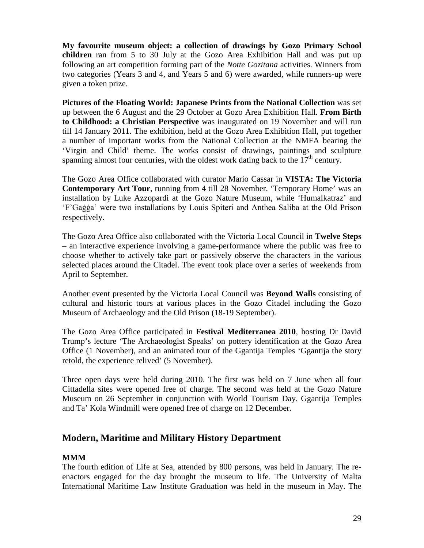**My favourite museum object: a collection of drawings by Gozo Primary School children** ran from 5 to 30 July at the Gozo Area Exhibition Hall and was put up following an art competition forming part of the *Notte Gozitana* activities. Winners from two categories (Years 3 and 4, and Years 5 and 6) were awarded, while runners-up were given a token prize.

**Pictures of the Floating World: Japanese Prints from the National Collection** was set up between the 6 August and the 29 October at Gozo Area Exhibition Hall. **From Birth to Childhood: a Christian Perspective** was inaugurated on 19 November and will run till 14 January 2011. The exhibition, held at the Gozo Area Exhibition Hall, put together a number of important works from the National Collection at the NMFA bearing the 'Virgin and Child' theme. The works consist of drawings, paintings and sculpture spanning almost four centuries, with the oldest work dating back to the  $17<sup>th</sup>$  century.

The Gozo Area Office collaborated with curator Mario Cassar in **VISTA: The Victoria Contemporary Art Tour**, running from 4 till 28 November. 'Temporary Home' was an installation by Luke Azzopardi at the Gozo Nature Museum, while 'Humalkatraz' and 'F'Gaġġa' were two installations by Louis Spiteri and Anthea Saliba at the Old Prison respectively.

The Gozo Area Office also collaborated with the Victoria Local Council in **Twelve Steps** – an interactive experience involving a game-performance where the public was free to choose whether to actively take part or passively observe the characters in the various selected places around the Citadel. The event took place over a series of weekends from April to September.

Another event presented by the Victoria Local Council was **Beyond Walls** consisting of cultural and historic tours at various places in the Gozo Citadel including the Gozo Museum of Archaeology and the Old Prison (18-19 September).

The Gozo Area Office participated in **Festival Mediterranea 2010**, hosting Dr David Trump's lecture 'The Archaeologist Speaks' on pottery identification at the Gozo Area Office (1 November), and an animated tour of the Ggantija Temples 'Ggantija the story retold, the experience relived' (5 November).

Three open days were held during 2010. The first was held on 7 June when all four Cittadella sites were opened free of charge. The second was held at the Gozo Nature Museum on 26 September in conjunction with World Tourism Day. Ggantija Temples and Ta' Kola Windmill were opened free of charge on 12 December.

## **Modern, Maritime and Military History Department**

#### **MMM**

The fourth edition of Life at Sea, attended by 800 persons, was held in January. The reenactors engaged for the day brought the museum to life. The University of Malta International Maritime Law Institute Graduation was held in the museum in May. The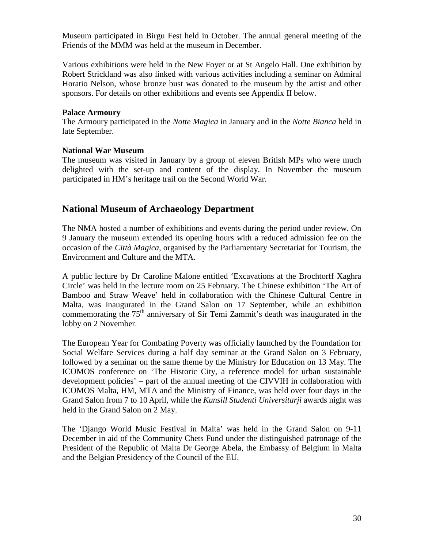Museum participated in Birgu Fest held in October. The annual general meeting of the Friends of the MMM was held at the museum in December.

Various exhibitions were held in the New Foyer or at St Angelo Hall. One exhibition by Robert Strickland was also linked with various activities including a seminar on Admiral Horatio Nelson, whose bronze bust was donated to the museum by the artist and other sponsors. For details on other exhibitions and events see Appendix II below.

#### **Palace Armoury**

The Armoury participated in the *Notte Magica* in January and in the *Notte Bianca* held in late September.

#### **National War Museum**

The museum was visited in January by a group of eleven British MPs who were much delighted with the set-up and content of the display. In November the museum participated in HM's heritage trail on the Second World War.

# **National Museum of Archaeology Department**

The NMA hosted a number of exhibitions and events during the period under review. On 9 January the museum extended its opening hours with a reduced admission fee on the occasion of the *Città Magica*, organised by the Parliamentary Secretariat for Tourism, the Environment and Culture and the MTA.

A public lecture by Dr Caroline Malone entitled 'Excavations at the Brochtorff Xaghra Circle' was held in the lecture room on 25 February. The Chinese exhibition 'The Art of Bamboo and Straw Weave' held in collaboration with the Chinese Cultural Centre in Malta, was inaugurated in the Grand Salon on 17 September, while an exhibition commemorating the 75<sup>th</sup> anniversary of Sir Temi Zammit's death was inaugurated in the lobby on 2 November.

The European Year for Combating Poverty was officially launched by the Foundation for Social Welfare Services during a half day seminar at the Grand Salon on 3 February, followed by a seminar on the same theme by the Ministry for Education on 13 May. The ICOMOS conference on 'The Historic City, a reference model for urban sustainable development policies' – part of the annual meeting of the CIVVIH in collaboration with ICOMOS Malta, HM, MTA and the Ministry of Finance, was held over four days in the Grand Salon from 7 to 10 April, while the *Kunsill Studenti Universitarji* awards night was held in the Grand Salon on 2 May.

The 'Django World Music Festival in Malta' was held in the Grand Salon on 9-11 December in aid of the Community Chets Fund under the distinguished patronage of the President of the Republic of Malta Dr George Abela, the Embassy of Belgium in Malta and the Belgian Presidency of the Council of the EU.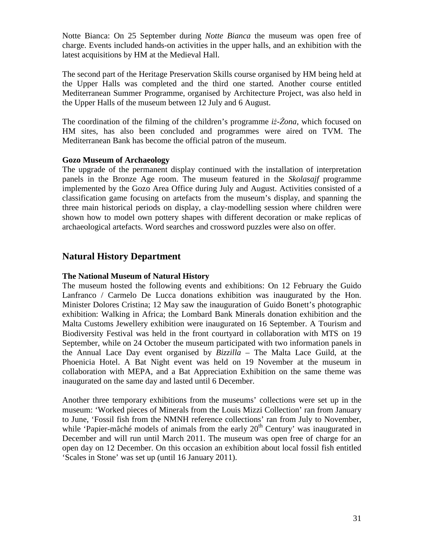Notte Bianca: On 25 September during *Notte Bianca* the museum was open free of charge. Events included hands-on activities in the upper halls, and an exhibition with the latest acquisitions by HM at the Medieval Hall.

The second part of the Heritage Preservation Skills course organised by HM being held at the Upper Halls was completed and the third one started. Another course entitled Mediterranean Summer Programme, organised by Architecture Project, was also held in the Upper Halls of the museum between 12 July and 6 August.

The coordination of the filming of the children's programme *iż-Żona*, which focused on HM sites, has also been concluded and programmes were aired on TVM. The Mediterranean Bank has become the official patron of the museum.

#### **Gozo Museum of Archaeology**

The upgrade of the permanent display continued with the installation of interpretation panels in the Bronze Age room. The museum featured in the *Skolasajf* programme implemented by the Gozo Area Office during July and August. Activities consisted of a classification game focusing on artefacts from the museum's display, and spanning the three main historical periods on display, a clay-modelling session where children were shown how to model own pottery shapes with different decoration or make replicas of archaeological artefacts. Word searches and crossword puzzles were also on offer.

# **Natural History Department**

#### **The National Museum of Natural History**

The museum hosted the following events and exhibitions: On 12 February the Guido Lanfranco / Carmelo De Lucca donations exhibition was inaugurated by the Hon. Minister Dolores Cristina; 12 May saw the inauguration of Guido Bonett's photographic exhibition: Walking in Africa; the Lombard Bank Minerals donation exhibition and the Malta Customs Jewellery exhibition were inaugurated on 16 September. A Tourism and Biodiversity Festival was held in the front courtyard in collaboration with MTS on 19 September, while on 24 October the museum participated with two information panels in the Annual Lace Day event organised by *Bizzilla* – The Malta Lace Guild, at the Phoenicia Hotel. A Bat Night event was held on 19 November at the museum in collaboration with MEPA, and a Bat Appreciation Exhibition on the same theme was inaugurated on the same day and lasted until 6 December.

Another three temporary exhibitions from the museums' collections were set up in the museum: 'Worked pieces of Minerals from the Louis Mizzi Collection' ran from January to June, 'Fossil fish from the NMNH reference collections' ran from July to November, while 'Papier-mâché models of animals from the early 20<sup>th</sup> Century' was inaugurated in December and will run until March 2011. The museum was open free of charge for an open day on 12 December. On this occasion an exhibition about local fossil fish entitled 'Scales in Stone' was set up (until 16 January 2011).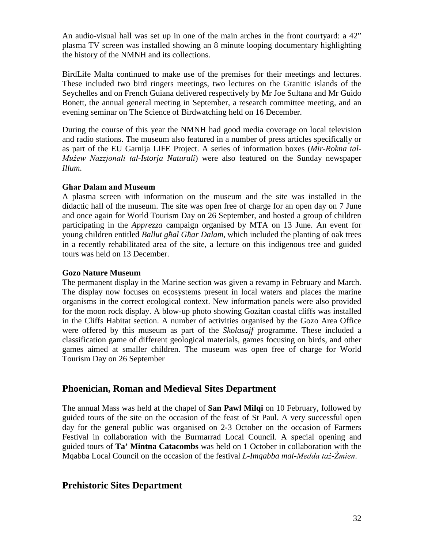An audio-visual hall was set up in one of the main arches in the front courtyard: a 42" plasma TV screen was installed showing an 8 minute looping documentary highlighting the history of the NMNH and its collections.

BirdLife Malta continued to make use of the premises for their meetings and lectures. These included two bird ringers meetings, two lectures on the Granitic islands of the Seychelles and on French Guiana delivered respectively by Mr Joe Sultana and Mr Guido Bonett, the annual general meeting in September, a research committee meeting, and an evening seminar on The Science of Birdwatching held on 16 December.

During the course of this year the NMNH had good media coverage on local television and radio stations. The museum also featured in a number of press articles specifically or as part of the EU Garnija LIFE Project. A series of information boxes (*Mir-Rokna tal-Mużew Nazzjonali tal-Istorja Naturali*) were also featured on the Sunday newspaper *Illum*.

#### **Għar Dalam and Museum**

A plasma screen with information on the museum and the site was installed in the didactic hall of the museum. The site was open free of charge for an open day on 7 June and once again for World Tourism Day on 26 September, and hosted a group of children participating in the *Apprezza* campaign organised by MTA on 13 June. An event for young children entitled *Ballut għal Għar Dalam*, which included the planting of oak trees in a recently rehabilitated area of the site, a lecture on this indigenous tree and guided tours was held on 13 December.

#### **Gozo Nature Museum**

The permanent display in the Marine section was given a revamp in February and March. The display now focuses on ecosystems present in local waters and places the marine organisms in the correct ecological context. New information panels were also provided for the moon rock display. A blow-up photo showing Gozitan coastal cliffs was installed in the Cliffs Habitat section. A number of activities organised by the Gozo Area Office were offered by this museum as part of the *Skolasajf* programme. These included a classification game of different geological materials, games focusing on birds, and other games aimed at smaller children. The museum was open free of charge for World Tourism Day on 26 September

## **Phoenician, Roman and Medieval Sites Department**

The annual Mass was held at the chapel of **San Pawl Milqi** on 10 February, followed by guided tours of the site on the occasion of the feast of St Paul. A very successful open day for the general public was organised on 2-3 October on the occasion of Farmers Festival in collaboration with the Burmarrad Local Council. A special opening and guided tours of **Ta' Mintna Catacombs** was held on 1 October in collaboration with the Mqabba Local Council on the occasion of the festival *L-Imqabba mal-Medda taż-Żmien*.

## **Prehistoric Sites Department**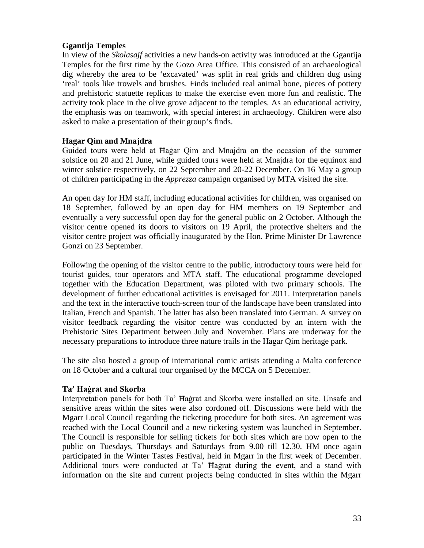#### **Ggantija Temples**

In view of the *Skolasajf* activities a new hands-on activity was introduced at the Ggantija Temples for the first time by the Gozo Area Office. This consisted of an archaeological dig whereby the area to be 'excavated' was split in real grids and children dug using 'real' tools like trowels and brushes. Finds included real animal bone, pieces of pottery and prehistoric statuette replicas to make the exercise even more fun and realistic. The activity took place in the olive grove adjacent to the temples. As an educational activity, the emphasis was on teamwork, with special interest in archaeology. Children were also asked to make a presentation of their group's finds.

#### **Hagar Qim and Mnajdra**

Guided tours were held at Ħaġar Qim and Mnajdra on the occasion of the summer solstice on 20 and 21 June, while guided tours were held at Mnajdra for the equinox and winter solstice respectively, on 22 September and 20-22 December. On 16 May a group of children participating in the *Apprezza* campaign organised by MTA visited the site.

An open day for HM staff, including educational activities for children, was organised on 18 September, followed by an open day for HM members on 19 September and eventually a very successful open day for the general public on 2 October. Although the visitor centre opened its doors to visitors on 19 April, the protective shelters and the visitor centre project was officially inaugurated by the Hon. Prime Minister Dr Lawrence Gonzi on 23 September.

Following the opening of the visitor centre to the public, introductory tours were held for tourist guides, tour operators and MTA staff. The educational programme developed together with the Education Department, was piloted with two primary schools. The development of further educational activities is envisaged for 2011. Interpretation panels and the text in the interactive touch-screen tour of the landscape have been translated into Italian, French and Spanish. The latter has also been translated into German. A survey on visitor feedback regarding the visitor centre was conducted by an intern with the Prehistoric Sites Department between July and November. Plans are underway for the necessary preparations to introduce three nature trails in the Hagar Qim heritage park.

The site also hosted a group of international comic artists attending a Malta conference on 18 October and a cultural tour organised by the MCCA on 5 December.

#### **Ta' Ħaġrat and Skorba**

Interpretation panels for both Ta' Ħaġrat and Skorba were installed on site. Unsafe and sensitive areas within the sites were also cordoned off. Discussions were held with the Mgarr Local Council regarding the ticketing procedure for both sites. An agreement was reached with the Local Council and a new ticketing system was launched in September. The Council is responsible for selling tickets for both sites which are now open to the public on Tuesdays, Thursdays and Saturdays from 9.00 till 12.30. HM once again participated in the Winter Tastes Festival, held in Mgarr in the first week of December. Additional tours were conducted at Ta' Ħaġrat during the event, and a stand with information on the site and current projects being conducted in sites within the Mgarr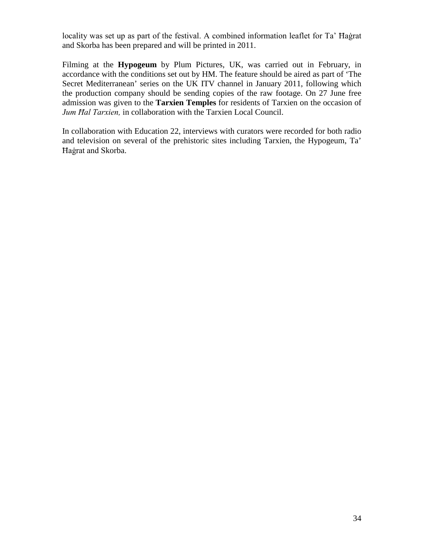locality was set up as part of the festival. A combined information leaflet for Ta' Ħaġrat and Skorba has been prepared and will be printed in 2011.

Filming at the **Hypogeum** by Plum Pictures, UK, was carried out in February, in accordance with the conditions set out by HM. The feature should be aired as part of 'The Secret Mediterranean' series on the UK ITV channel in January 2011, following which the production company should be sending copies of the raw footage. On 27 June free admission was given to the **Tarxien Temples** for residents of Tarxien on the occasion of *Jum Ħal Tarxien,* in collaboration with the Tarxien Local Council.

In collaboration with Education 22, interviews with curators were recorded for both radio and television on several of the prehistoric sites including Tarxien, the Hypogeum, Ta' Ħaġrat and Skorba.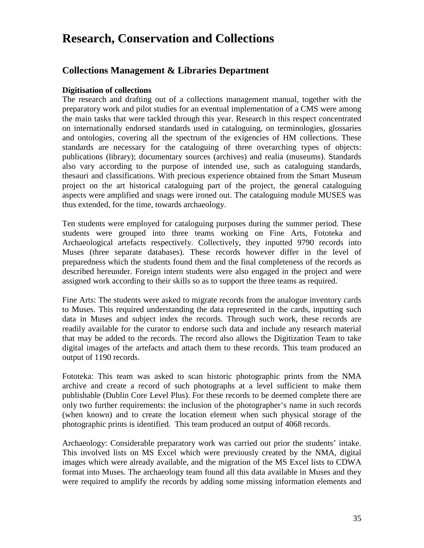# **Research, Conservation and Collections**

## **Collections Management & Libraries Department**

#### **Digitisation of collections**

The research and drafting out of a collections management manual, together with the preparatory work and pilot studies for an eventual implementation of a CMS were among the main tasks that were tackled through this year. Research in this respect concentrated on internationally endorsed standards used in cataloguing, on terminologies, glossaries and ontologies, covering all the spectrum of the exigencies of HM collections. These standards are necessary for the cataloguing of three overarching types of objects: publications (library); documentary sources (archives) and realia (museums). Standards also vary according to the purpose of intended use, such as cataloguing standards, thesauri and classifications. With precious experience obtained from the Smart Museum project on the art historical cataloguing part of the project, the general cataloguing aspects were amplified and snags were ironed out. The cataloguing module MUSES was thus extended, for the time, towards archaeology.

Ten students were employed for cataloguing purposes during the summer period. These students were grouped into three teams working on Fine Arts, Fototeka and Archaeological artefacts respectively. Collectively, they inputted 9790 records into Muses (three separate databases). These records however differ in the level of preparedness which the students found them and the final completeness of the records as described hereunder. Foreign intern students were also engaged in the project and were assigned work according to their skills so as to support the three teams as required.

Fine Arts: The students were asked to migrate records from the analogue inventory cards to Muses. This required understanding the data represented in the cards, inputting such data in Muses and subject index the records. Through such work, these records are readily available for the curator to endorse such data and include any research material that may be added to the records. The record also allows the Digitization Team to take digital images of the artefacts and attach them to these records. This team produced an output of 1190 records.

Fototeka: This team was asked to scan historic photographic prints from the NMA archive and create a record of such photographs at a level sufficient to make them publishable (Dublin Core Level Plus). For these records to be deemed complete there are only two further requirements: the inclusion of the photographer's name in such records (when known) and to create the location element when such physical storage of the photographic prints is identified. This team produced an output of 4068 records.

Archaeology: Considerable preparatory work was carried out prior the students' intake. This involved lists on MS Excel which were previously created by the NMA, digital images which were already available, and the migration of the MS Excel lists to CDWA format into Muses. The archaeology team found all this data available in Muses and they were required to amplify the records by adding some missing information elements and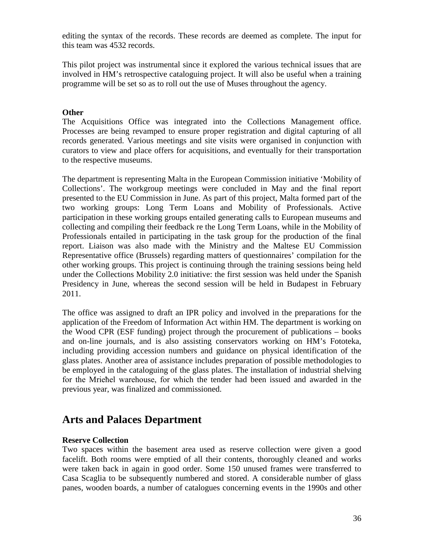editing the syntax of the records. These records are deemed as complete. The input for this team was 4532 records.

This pilot project was instrumental since it explored the various technical issues that are involved in HM's retrospective cataloguing project. It will also be useful when a training programme will be set so as to roll out the use of Muses throughout the agency.

#### **Other**

The Acquisitions Office was integrated into the Collections Management office. Processes are being revamped to ensure proper registration and digital capturing of all records generated. Various meetings and site visits were organised in conjunction with curators to view and place offers for acquisitions, and eventually for their transportation to the respective museums.

The department is representing Malta in the European Commission initiative 'Mobility of Collections'. The workgroup meetings were concluded in May and the final report presented to the EU Commission in June. As part of this project, Malta formed part of the two working groups: Long Term Loans and Mobility of Professionals. Active participation in these working groups entailed generating calls to European museums and collecting and compiling their feedback re the Long Term Loans, while in the Mobility of Professionals entailed in participating in the task group for the production of the final report. Liaison was also made with the Ministry and the Maltese EU Commission Representative office (Brussels) regarding matters of questionnaires' compilation for the other working groups. This project is continuing through the training sessions being held under the Collections Mobility 2.0 initiative: the first session was held under the Spanish Presidency in June, whereas the second session will be held in Budapest in February 2011.

The office was assigned to draft an IPR policy and involved in the preparations for the application of the Freedom of Information Act within HM. The department is working on the Wood CPR (ESF funding) project through the procurement of publications – books and on-line journals, and is also assisting conservators working on HM's Fototeka, including providing accession numbers and guidance on physical identification of the glass plates. Another area of assistance includes preparation of possible methodologies to be employed in the cataloguing of the glass plates. The installation of industrial shelving for the Mrieħel warehouse, for which the tender had been issued and awarded in the previous year, was finalized and commissioned.

# **Arts and Palaces Department**

#### **Reserve Collection**

Two spaces within the basement area used as reserve collection were given a good facelift. Both rooms were emptied of all their contents, thoroughly cleaned and works were taken back in again in good order. Some 150 unused frames were transferred to Casa Scaglia to be subsequently numbered and stored. A considerable number of glass panes, wooden boards, a number of catalogues concerning events in the 1990s and other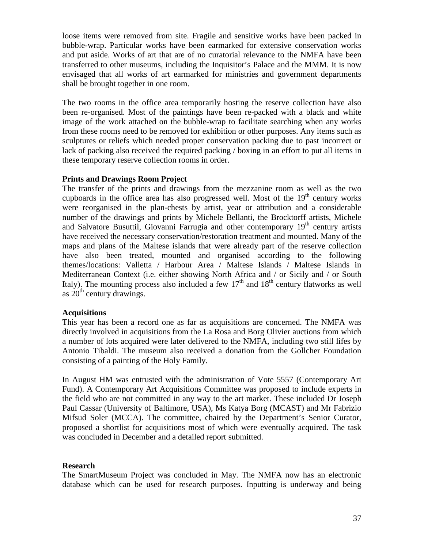loose items were removed from site. Fragile and sensitive works have been packed in bubble-wrap. Particular works have been earmarked for extensive conservation works and put aside. Works of art that are of no curatorial relevance to the NMFA have been transferred to other museums, including the Inquisitor's Palace and the MMM. It is now envisaged that all works of art earmarked for ministries and government departments shall be brought together in one room.

The two rooms in the office area temporarily hosting the reserve collection have also been re-organised. Most of the paintings have been re-packed with a black and white image of the work attached on the bubble-wrap to facilitate searching when any works from these rooms need to be removed for exhibition or other purposes. Any items such as sculptures or reliefs which needed proper conservation packing due to past incorrect or lack of packing also received the required packing / boxing in an effort to put all items in these temporary reserve collection rooms in order.

## **Prints and Drawings Room Project**

The transfer of the prints and drawings from the mezzanine room as well as the two cupboards in the office area has also progressed well. Most of the  $19<sup>th</sup>$  century works were reorganised in the plan-chests by artist, year or attribution and a considerable number of the drawings and prints by Michele Bellanti, the Brocktorff artists, Michele and Salvatore Busuttil, Giovanni Farrugia and other contemporary 19<sup>th</sup> century artists have received the necessary conservation/restoration treatment and mounted. Many of the maps and plans of the Maltese islands that were already part of the reserve collection have also been treated, mounted and organised according to the following themes/locations: Valletta / Harbour Area / Maltese Islands / Maltese Islands in Mediterranean Context (i.e. either showing North Africa and / or Sicily and / or South Italy). The mounting process also included a few  $17<sup>th</sup>$  and  $18<sup>th</sup>$  century flatworks as well as  $20<sup>th</sup>$  century drawings.

## **Acquisitions**

This year has been a record one as far as acquisitions are concerned. The NMFA was directly involved in acquisitions from the La Rosa and Borg Olivier auctions from which a number of lots acquired were later delivered to the NMFA, including two still lifes by Antonio Tibaldi. The museum also received a donation from the Gollcher Foundation consisting of a painting of the Holy Family.

In August HM was entrusted with the administration of Vote 5557 (Contemporary Art Fund). A Contemporary Art Acquisitions Committee was proposed to include experts in the field who are not committed in any way to the art market. These included Dr Joseph Paul Cassar (University of Baltimore, USA), Ms Katya Borg (MCAST) and Mr Fabrizio Mifsud Soler (MCCA). The committee, chaired by the Department's Senior Curator, proposed a shortlist for acquisitions most of which were eventually acquired. The task was concluded in December and a detailed report submitted.

## **Research**

The SmartMuseum Project was concluded in May. The NMFA now has an electronic database which can be used for research purposes. Inputting is underway and being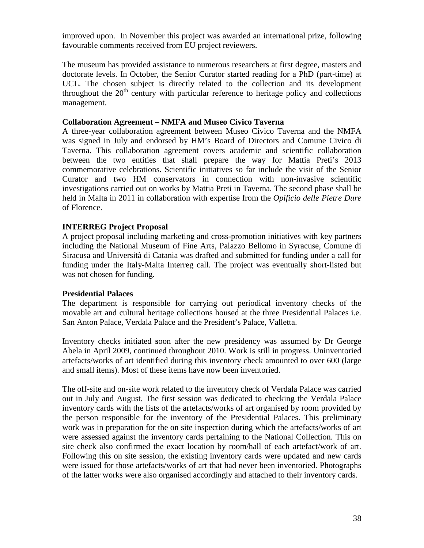improved upon. In November this project was awarded an international prize, following favourable comments received from EU project reviewers.

The museum has provided assistance to numerous researchers at first degree, masters and doctorate levels. In October, the Senior Curator started reading for a PhD (part-time) at UCL. The chosen subject is directly related to the collection and its development throughout the  $20<sup>th</sup>$  century with particular reference to heritage policy and collections management.

#### **Collaboration Agreement – NMFA and Museo Civico Taverna**

A three-year collaboration agreement between Museo Civico Taverna and the NMFA was signed in July and endorsed by HM's Board of Directors and Comune Civico di Taverna. This collaboration agreement covers academic and scientific collaboration between the two entities that shall prepare the way for Mattia Preti's 2013 commemorative celebrations. Scientific initiatives so far include the visit of the Senior Curator and two HM conservators in connection with non-invasive scientific investigations carried out on works by Mattia Preti in Taverna. The second phase shall be held in Malta in 2011 in collaboration with expertise from the *Opificio delle Pietre Dure* of Florence.

## **INTERREG Project Proposal**

A project proposal including marketing and cross-promotion initiatives with key partners including the National Museum of Fine Arts, Palazzo Bellomo in Syracuse, Comune di Siracusa and Università di Catania was drafted and submitted for funding under a call for funding under the Italy-Malta Interreg call. The project was eventually short-listed but was not chosen for funding.

## **Presidential Palaces**

The department is responsible for carrying out periodical inventory checks of the movable art and cultural heritage collections housed at the three Presidential Palaces i.e. San Anton Palace, Verdala Palace and the President's Palace, Valletta.

Inventory checks initiated **s**oon after the new presidency was assumed by Dr George Abela in April 2009, continued throughout 2010. Work is still in progress. Uninventoried artefacts/works of art identified during this inventory check amounted to over 600 (large and small items). Most of these items have now been inventoried.

The off-site and on-site work related to the inventory check of Verdala Palace was carried out in July and August. The first session was dedicated to checking the Verdala Palace inventory cards with the lists of the artefacts/works of art organised by room provided by the person responsible for the inventory of the Presidential Palaces. This preliminary work was in preparation for the on site inspection during which the artefacts/works of art were assessed against the inventory cards pertaining to the National Collection. This on site check also confirmed the exact location by room/hall of each artefact/work of art. Following this on site session, the existing inventory cards were updated and new cards were issued for those artefacts/works of art that had never been inventoried. Photographs of the latter works were also organised accordingly and attached to their inventory cards.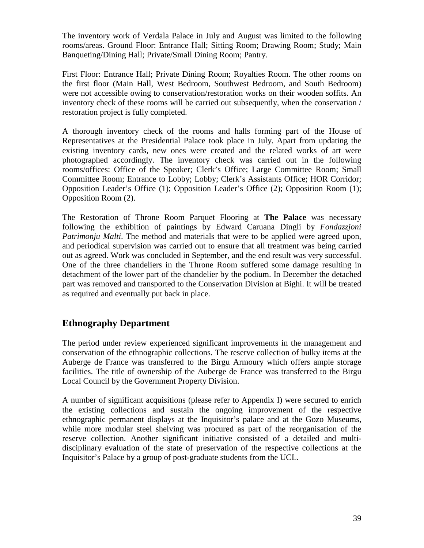The inventory work of Verdala Palace in July and August was limited to the following rooms/areas. Ground Floor: Entrance Hall; Sitting Room; Drawing Room; Study; Main Banqueting/Dining Hall; Private/Small Dining Room; Pantry.

First Floor: Entrance Hall; Private Dining Room; Royalties Room. The other rooms on the first floor (Main Hall, West Bedroom, Southwest Bedroom, and South Bedroom) were not accessible owing to conservation/restoration works on their wooden soffits. An inventory check of these rooms will be carried out subsequently, when the conservation / restoration project is fully completed.

A thorough inventory check of the rooms and halls forming part of the House of Representatives at the Presidential Palace took place in July. Apart from updating the existing inventory cards, new ones were created and the related works of art were photographed accordingly. The inventory check was carried out in the following rooms/offices: Office of the Speaker; Clerk's Office; Large Committee Room; Small Committee Room; Entrance to Lobby; Lobby; Clerk's Assistants Office; HOR Corridor; Opposition Leader's Office (1); Opposition Leader's Office (2); Opposition Room (1); Opposition Room (2).

The Restoration of Throne Room Parquet Flooring at **The Palace** was necessary following the exhibition of paintings by Edward Caruana Dingli by *Fondazzjoni Patrimonju Malti*. The method and materials that were to be applied were agreed upon, and periodical supervision was carried out to ensure that all treatment was being carried out as agreed. Work was concluded in September, and the end result was very successful. One of the three chandeliers in the Throne Room suffered some damage resulting in detachment of the lower part of the chandelier by the podium. In December the detached part was removed and transported to the Conservation Division at Bighi. It will be treated as required and eventually put back in place.

# **Ethnography Department**

The period under review experienced significant improvements in the management and conservation of the ethnographic collections. The reserve collection of bulky items at the Auberge de France was transferred to the Birgu Armoury which offers ample storage facilities. The title of ownership of the Auberge de France was transferred to the Birgu Local Council by the Government Property Division.

A number of significant acquisitions (please refer to Appendix I) were secured to enrich the existing collections and sustain the ongoing improvement of the respective ethnographic permanent displays at the Inquisitor's palace and at the Gozo Museums, while more modular steel shelving was procured as part of the reorganisation of the reserve collection. Another significant initiative consisted of a detailed and multidisciplinary evaluation of the state of preservation of the respective collections at the Inquisitor's Palace by a group of post-graduate students from the UCL.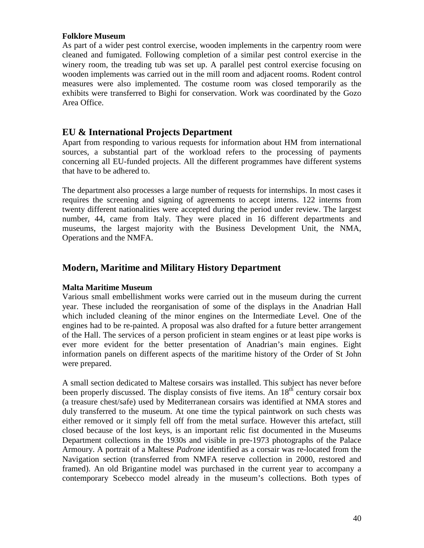## **Folklore Museum**

As part of a wider pest control exercise, wooden implements in the carpentry room were cleaned and fumigated. Following completion of a similar pest control exercise in the winery room, the treading tub was set up. A parallel pest control exercise focusing on wooden implements was carried out in the mill room and adjacent rooms. Rodent control measures were also implemented. The costume room was closed temporarily as the exhibits were transferred to Bighi for conservation. Work was coordinated by the Gozo Area Office.

# **EU & International Projects Department**

Apart from responding to various requests for information about HM from international sources, a substantial part of the workload refers to the processing of payments concerning all EU-funded projects. All the different programmes have different systems that have to be adhered to.

The department also processes a large number of requests for internships. In most cases it requires the screening and signing of agreements to accept interns. 122 interns from twenty different nationalities were accepted during the period under review. The largest number, 44, came from Italy. They were placed in 16 different departments and museums, the largest majority with the Business Development Unit, the NMA, Operations and the NMFA.

# **Modern, Maritime and Military History Department**

## **Malta Maritime Museum**

Various small embellishment works were carried out in the museum during the current year. These included the reorganisation of some of the displays in the Anadrian Hall which included cleaning of the minor engines on the Intermediate Level. One of the engines had to be re-painted. A proposal was also drafted for a future better arrangement of the Hall. The services of a person proficient in steam engines or at least pipe works is ever more evident for the better presentation of Anadrian's main engines. Eight information panels on different aspects of the maritime history of the Order of St John were prepared.

A small section dedicated to Maltese corsairs was installed. This subject has never before been properly discussed. The display consists of five items. An 18<sup>th</sup> century corsair box (a treasure chest/safe) used by Mediterranean corsairs was identified at NMA stores and duly transferred to the museum. At one time the typical paintwork on such chests was either removed or it simply fell off from the metal surface. However this artefact, still closed because of the lost keys, is an important relic fist documented in the Museums Department collections in the 1930s and visible in pre-1973 photographs of the Palace Armoury. A portrait of a Maltese *Padrone* identified as a corsair was re-located from the Navigation section (transferred from NMFA reserve collection in 2000, restored and framed). An old Brigantine model was purchased in the current year to accompany a contemporary Scebecco model already in the museum's collections. Both types of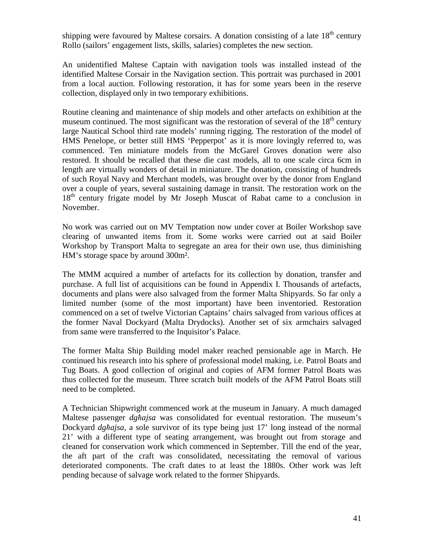shipping were favoured by Maltese corsairs. A donation consisting of a late  $18<sup>th</sup>$  century Rollo (sailors' engagement lists, skills, salaries) completes the new section.

An unidentified Maltese Captain with navigation tools was installed instead of the identified Maltese Corsair in the Navigation section. This portrait was purchased in 2001 from a local auction. Following restoration, it has for some years been in the reserve collection, displayed only in two temporary exhibitions.

Routine cleaning and maintenance of ship models and other artefacts on exhibition at the museum continued. The most significant was the restoration of several of the  $18<sup>th</sup>$  century large Nautical School third rate models' running rigging. The restoration of the model of HMS Penelope, or better still HMS 'Pepperpot' as it is more lovingly referred to, was commenced. Ten miniature models from the McGarel Groves donation were also restored. It should be recalled that these die cast models, all to one scale circa 6cm in length are virtually wonders of detail in miniature. The donation, consisting of hundreds of such Royal Navy and Merchant models, was brought over by the donor from England over a couple of years, several sustaining damage in transit. The restoration work on the 18<sup>th</sup> century frigate model by Mr Joseph Muscat of Rabat came to a conclusion in November.

No work was carried out on MV Temptation now under cover at Boiler Workshop save clearing of unwanted items from it. Some works were carried out at said Boiler Workshop by Transport Malta to segregate an area for their own use, thus diminishing HM's storage space by around 300m².

The MMM acquired a number of artefacts for its collection by donation, transfer and purchase. A full list of acquisitions can be found in Appendix I. Thousands of artefacts, documents and plans were also salvaged from the former Malta Shipyards. So far only a limited number (some of the most important) have been inventoried. Restoration commenced on a set of twelve Victorian Captains' chairs salvaged from various offices at the former Naval Dockyard (Malta Drydocks). Another set of six armchairs salvaged from same were transferred to the Inquisitor's Palace.

The former Malta Ship Building model maker reached pensionable age in March. He continued his research into his sphere of professional model making, i.e. Patrol Boats and Tug Boats. A good collection of original and copies of AFM former Patrol Boats was thus collected for the museum. Three scratch built models of the AFM Patrol Boats still need to be completed.

A Technician Shipwright commenced work at the museum in January. A much damaged Maltese passenger *dgħajsa* was consolidated for eventual restoration. The museum's Dockyard *dgħajsa,* a sole survivor of its type being just 17' long instead of the normal 21' with a different type of seating arrangement, was brought out from storage and cleaned for conservation work which commenced in September. Till the end of the year, the aft part of the craft was consolidated, necessitating the removal of various deteriorated components. The craft dates to at least the 1880s. Other work was left pending because of salvage work related to the former Shipyards.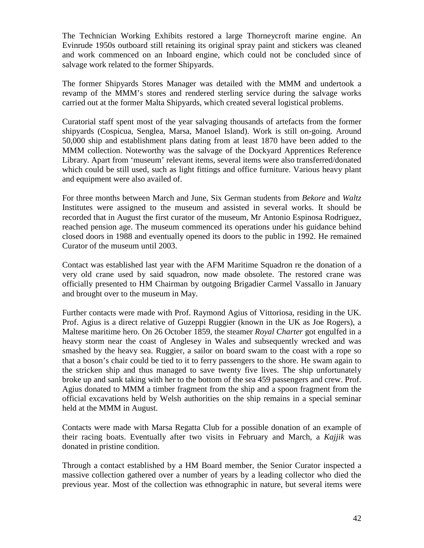The Technician Working Exhibits restored a large Thorneycroft marine engine. An Evinrude 1950s outboard still retaining its original spray paint and stickers was cleaned and work commenced on an Inboard engine, which could not be concluded since of salvage work related to the former Shipyards.

The former Shipyards Stores Manager was detailed with the MMM and undertook a revamp of the MMM's stores and rendered sterling service during the salvage works carried out at the former Malta Shipyards, which created several logistical problems.

Curatorial staff spent most of the year salvaging thousands of artefacts from the former shipyards (Cospicua, Senglea, Marsa, Manoel Island). Work is still on-going. Around 50,000 ship and establishment plans dating from at least 1870 have been added to the MMM collection. Noteworthy was the salvage of the Dockyard Apprentices Reference Library. Apart from 'museum' relevant items, several items were also transferred/donated which could be still used, such as light fittings and office furniture. Various heavy plant and equipment were also availed of.

For three months between March and June, Six German students from *Bekore* and *Waltz*  Institutes were assigned to the museum and assisted in several works. It should be recorded that in August the first curator of the museum, Mr Antonio Espinosa Rodriguez, reached pension age. The museum commenced its operations under his guidance behind closed doors in 1988 and eventually opened its doors to the public in 1992. He remained Curator of the museum until 2003.

Contact was established last year with the AFM Maritime Squadron re the donation of a very old crane used by said squadron, now made obsolete. The restored crane was officially presented to HM Chairman by outgoing Brigadier Carmel Vassallo in January and brought over to the museum in May.

Further contacts were made with Prof. Raymond Agius of Vittoriosa, residing in the UK. Prof. Agius is a direct relative of Guzeppi Ruggier (known in the UK as Joe Rogers), a Maltese maritime hero. On 26 October 1859, the steamer *Royal Charter* got engulfed in a heavy storm near the coast of Anglesey in Wales and subsequently wrecked and was smashed by the heavy sea. Ruggier, a sailor on board swam to the coast with a rope so that a boson's chair could be tied to it to ferry passengers to the shore. He swam again to the stricken ship and thus managed to save twenty five lives. The ship unfortunately broke up and sank taking with her to the bottom of the sea 459 passengers and crew. Prof. Agius donated to MMM a timber fragment from the ship and a spoon fragment from the official excavations held by Welsh authorities on the ship remains in a special seminar held at the MMM in August.

Contacts were made with Marsa Regatta Club for a possible donation of an example of their racing boats. Eventually after two visits in February and March, a *Kajjik* was donated in pristine condition.

Through a contact established by a HM Board member, the Senior Curator inspected a massive collection gathered over a number of years by a leading collector who died the previous year. Most of the collection was ethnographic in nature, but several items were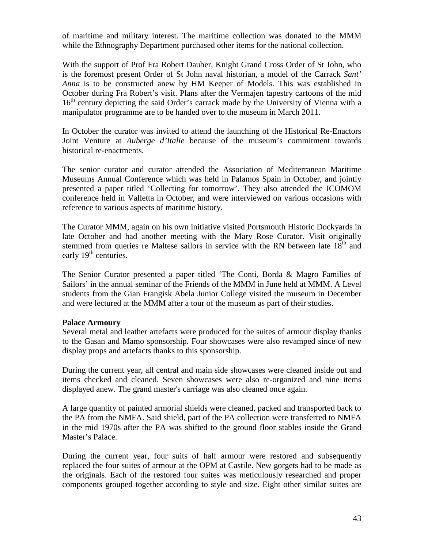of maritime and military interest. The maritime collection was donated to the MMM while the Ethnography Department purchased other items for the national collection.

With the support of Prof Fra Robert Dauber, Knight Grand Cross Order of St John, who is the foremost present Order of St John naval historian, a model of the Carrack *Sant' Anna* is to be constructed anew by HM Keeper of Models. This was established in October during Fra Robert's visit. Plans after the Vermajen tapestry cartoons of the mid 16<sup>th</sup> century depicting the said Order's carrack made by the University of Vienna with a manipulator programme are to be handed over to the museum in March 2011.

In October the curator was invited to attend the launching of the Historical Re-Enactors Joint Venture at *Auberge d'Italie* because of the museum's commitment towards historical re-enactments.

The senior curator and curator attended the Association of Mediterranean Maritime Museums Annual Conference which was held in Palamos Spain in October, and jointly presented a paper titled 'Collecting for tomorrow'. They also attended the ICOMOM conference held in Valletta in October, and were interviewed on various occasions with reference to various aspects of maritime history.

The Curator MMM, again on his own initiative visited Portsmouth Historic Dockyards in late October and had another meeting with the Mary Rose Curator. Visit originally stemmed from queries re Maltese sailors in service with the RN between late  $18<sup>th</sup>$  and early 19<sup>th</sup> centuries.

The Senior Curator presented a paper titled 'The Conti, Borda & Magro Families of Sailors' in the annual seminar of the Friends of the MMM in June held at MMM. A Level students from the Gian Frangisk Abela Junior College visited the museum in December and were lectured at the MMM after a tour of the museum as part of their studies.

## **Palace Armoury**

Several metal and leather artefacts were produced for the suites of armour display thanks to the Gasan and Mamo sponsorship. Four showcases were also revamped since of new display props and artefacts thanks to this sponsorship.

During the current year, all central and main side showcases were cleaned inside out and items checked and cleaned. Seven showcases were also re-organized and nine items displayed anew. The grand master's carriage was also cleaned once again.

A large quantity of painted armorial shields were cleaned, packed and transported back to the PA from the NMFA. Said shield, part of the PA collection were transferred to NMFA in the mid 1970s after the PA was shifted to the ground floor stables inside the Grand Master's Palace.

During the current year, four suits of half armour were restored and subsequently replaced the four suites of armour at the OPM at Castile. New gorgets had to be made as the originals. Each of the restored four suites was meticulously researched and proper components grouped together according to style and size. Eight other similar suites are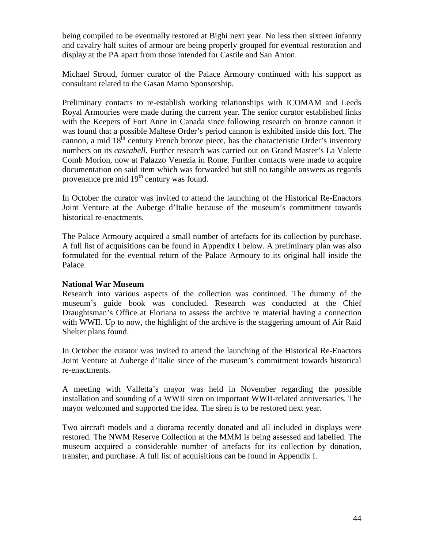being compiled to be eventually restored at Bighi next year. No less then sixteen infantry and cavalry half suites of armour are being properly grouped for eventual restoration and display at the PA apart from those intended for Castile and San Anton.

Michael Stroud, former curator of the Palace Armoury continued with his support as consultant related to the Gasan Mamo Sponsorship.

Preliminary contacts to re-establish working relationships with ICOMAM and Leeds Royal Armouries were made during the current year. The senior curator established links with the Keepers of Fort Anne in Canada since following research on bronze cannon it was found that a possible Maltese Order's period cannon is exhibited inside this fort. The cannon, a mid  $18<sup>th</sup>$  century French bronze piece, has the characteristic Order's inventory numbers on its *cascabell*. Further research was carried out on Grand Master's La Valette Comb Morion, now at Palazzo Venezia in Rome. Further contacts were made to acquire documentation on said item which was forwarded but still no tangible answers as regards provenance pre mid  $19<sup>th</sup>$  century was found.

In October the curator was invited to attend the launching of the Historical Re-Enactors Joint Venture at the Auberge d'Italie because of the museum's commitment towards historical re-enactments.

The Palace Armoury acquired a small number of artefacts for its collection by purchase. A full list of acquisitions can be found in Appendix I below. A preliminary plan was also formulated for the eventual return of the Palace Armoury to its original hall inside the Palace.

## **National War Museum**

Research into various aspects of the collection was continued. The dummy of the museum's guide book was concluded. Research was conducted at the Chief Draughtsman's Office at Floriana to assess the archive re material having a connection with WWII. Up to now, the highlight of the archive is the staggering amount of Air Raid Shelter plans found.

In October the curator was invited to attend the launching of the Historical Re-Enactors Joint Venture at Auberge d'Italie since of the museum's commitment towards historical re-enactments.

A meeting with Valletta's mayor was held in November regarding the possible installation and sounding of a WWII siren on important WWII-related anniversaries. The mayor welcomed and supported the idea. The siren is to be restored next year.

Two aircraft models and a diorama recently donated and all included in displays were restored. The NWM Reserve Collection at the MMM is being assessed and labelled. The museum acquired a considerable number of artefacts for its collection by donation, transfer, and purchase. A full list of acquisitions can be found in Appendix I.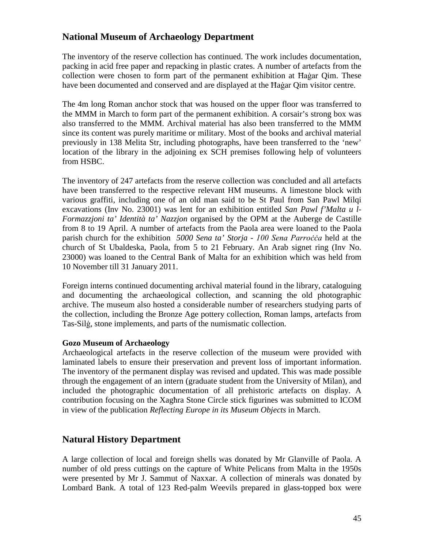# **National Museum of Archaeology Department**

The inventory of the reserve collection has continued. The work includes documentation, packing in acid free paper and repacking in plastic crates. A number of artefacts from the collection were chosen to form part of the permanent exhibition at Ħaġar Qim. These have been documented and conserved and are displayed at the Hagar Qim visitor centre.

The 4m long Roman anchor stock that was housed on the upper floor was transferred to the MMM in March to form part of the permanent exhibition. A corsair's strong box was also transferred to the MMM. Archival material has also been transferred to the MMM since its content was purely maritime or military. Most of the books and archival material previously in 138 Melita Str, including photographs, have been transferred to the 'new' location of the library in the adjoining ex SCH premises following help of volunteers from HSBC.

The inventory of 247 artefacts from the reserve collection was concluded and all artefacts have been transferred to the respective relevant HM museums. A limestone block with various graffiti, including one of an old man said to be St Paul from San Pawl Milqi excavations (Inv No. 23001) was lent for an exhibition entitled *San Pawl f'Malta u l-Formazzjoni ta' Identità ta' Nazzjon* organised by the OPM at the Auberge de Castille from 8 to 19 April. A number of artefacts from the Paola area were loaned to the Paola parish church for the exhibition *5000 Sena ta' Storja - 100 Sena Parroċċa* held at the church of St Ubaldeska, Paola, from 5 to 21 February. An Arab signet ring (Inv No. 23000) was loaned to the Central Bank of Malta for an exhibition which was held from 10 November till 31 January 2011.

Foreign interns continued documenting archival material found in the library, cataloguing and documenting the archaeological collection, and scanning the old photographic archive. The museum also hosted a considerable number of researchers studying parts of the collection, including the Bronze Age pottery collection, Roman lamps, artefacts from Tas-Silġ, stone implements, and parts of the numismatic collection.

## **Gozo Museum of Archaeology**

Archaeological artefacts in the reserve collection of the museum were provided with laminated labels to ensure their preservation and prevent loss of important information. The inventory of the permanent display was revised and updated. This was made possible through the engagement of an intern (graduate student from the University of Milan), and included the photographic documentation of all prehistoric artefacts on display. A contribution focusing on the Xagħra Stone Circle stick figurines was submitted to ICOM in view of the publication *Reflecting Europe in its Museum Objects* in March.

## **Natural History Department**

A large collection of local and foreign shells was donated by Mr Glanville of Paola. A number of old press cuttings on the capture of White Pelicans from Malta in the 1950s were presented by Mr J. Sammut of Naxxar. A collection of minerals was donated by Lombard Bank. A total of 123 Red-palm Weevils prepared in glass-topped box were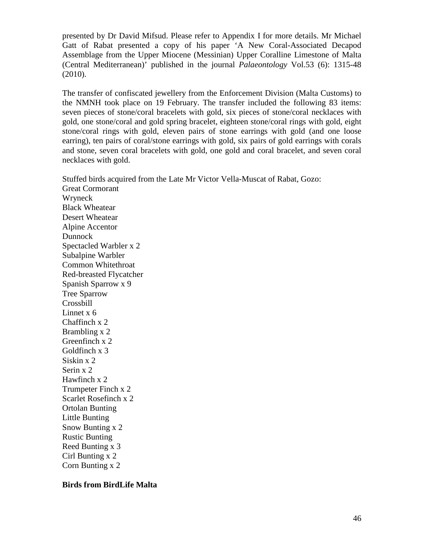presented by Dr David Mifsud. Please refer to Appendix I for more details. Mr Michael Gatt of Rabat presented a copy of his paper 'A New Coral-Associated Decapod Assemblage from the Upper Miocene (Messinian) Upper Coralline Limestone of Malta (Central Mediterranean)' published in the journal *Palaeontology* Vol.53 (6): 1315-48 (2010).

The transfer of confiscated jewellery from the Enforcement Division (Malta Customs) to the NMNH took place on 19 February. The transfer included the following 83 items: seven pieces of stone/coral bracelets with gold, six pieces of stone/coral necklaces with gold, one stone/coral and gold spring bracelet, eighteen stone/coral rings with gold, eight stone/coral rings with gold, eleven pairs of stone earrings with gold (and one loose earring), ten pairs of coral/stone earrings with gold, six pairs of gold earrings with corals and stone, seven coral bracelets with gold, one gold and coral bracelet, and seven coral necklaces with gold.

Stuffed birds acquired from the Late Mr Victor Vella-Muscat of Rabat, Gozo: Great Cormorant Wryneck Black Wheatear Desert Wheatear Alpine Accentor Dunnock Spectacled Warbler x 2 Subalpine Warbler Common Whitethroat Red-breasted Flycatcher Spanish Sparrow x 9 Tree Sparrow Crossbill Linnet x 6 Chaffinch x 2 Brambling x 2 Greenfinch x 2 Goldfinch x 3 Siskin x 2 Serin x 2 Hawfinch x 2 Trumpeter Finch x 2 Scarlet Rosefinch x 2 Ortolan Bunting Little Bunting Snow Bunting x 2 Rustic Bunting Reed Bunting x 3 Cirl Bunting x 2

Corn Bunting x 2

## **Birds from BirdLife Malta**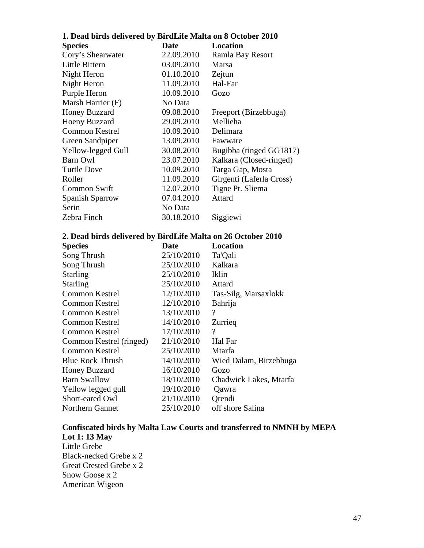| 1. Dead birds delivered by BirdLife Malta on 8 October 2010 |  |  |
|-------------------------------------------------------------|--|--|
|-------------------------------------------------------------|--|--|

| <b>Species</b>        | Date       | Location                 |
|-----------------------|------------|--------------------------|
| Cory's Shearwater     | 22.09.2010 | Ramla Bay Resort         |
| Little Bittern        | 03.09.2010 | Marsa                    |
| Night Heron           | 01.10.2010 | Zejtun                   |
| Night Heron           | 11.09.2010 | Hal-Far                  |
| Purple Heron          | 10.09.2010 | Gozo                     |
| Marsh Harrier (F)     | No Data    |                          |
| Honey Buzzard         | 09.08.2010 | Freeport (Birzebbuga)    |
| <b>Hoeny Buzzard</b>  | 29.09.2010 | Mellieha                 |
| <b>Common Kestrel</b> | 10.09.2010 | Delimara                 |
| Green Sandpiper       | 13.09.2010 | Fawware                  |
| Yellow-legged Gull    | 30.08.2010 | Bugibba (ringed GG1817)  |
| Barn Owl              | 23.07.2010 | Kalkara (Closed-ringed)  |
| <b>Turtle Dove</b>    | 10.09.2010 | Targa Gap, Mosta         |
| Roller                | 11.09.2010 | Girgenti (Laferla Cross) |
| <b>Common Swift</b>   | 12.07.2010 | Tigne Pt. Sliema         |
| Spanish Sparrow       | 07.04.2010 | Attard                   |
| Serin                 | No Data    |                          |
| Zebra Finch           | 30.18.2010 | Siggiewi                 |

## **2. Dead birds delivered by BirdLife Malta on 26 October 2010**

| <b>Species</b>          | Date       | Location                 |
|-------------------------|------------|--------------------------|
| Song Thrush             | 25/10/2010 | Ta'Qali                  |
| Song Thrush             | 25/10/2010 | Kalkara                  |
| <b>Starling</b>         | 25/10/2010 | Iklin                    |
| <b>Starling</b>         | 25/10/2010 | Attard                   |
| Common Kestrel          | 12/10/2010 | Tas-Silg, Marsaxlokk     |
| <b>Common Kestrel</b>   | 12/10/2010 | Bahrija                  |
| <b>Common Kestrel</b>   | 13/10/2010 | $\gamma$                 |
| Common Kestrel          | 14/10/2010 | Zurrieg                  |
| <b>Common Kestrel</b>   | 17/10/2010 | $\overline{\mathcal{L}}$ |
| Common Kestrel (ringed) | 21/10/2010 | Hal Far                  |
| Common Kestrel          | 25/10/2010 | Mtarfa                   |
| <b>Blue Rock Thrush</b> | 14/10/2010 | Wied Dalam, Birzebbuga   |
| <b>Honey Buzzard</b>    | 16/10/2010 | Gozo                     |
| <b>Barn Swallow</b>     | 18/10/2010 | Chadwick Lakes, Mtarfa   |
| Yellow legged gull      | 19/10/2010 | Qawra                    |
| Short-eared Owl         | 21/10/2010 | Orendi                   |
| <b>Northern Gannet</b>  | 25/10/2010 | off shore Salina         |

# **Confiscated birds by Malta Law Courts and transferred to NMNH by MEPA Lot 1: 13 May**  Little Grebe

Black-necked Grebe x 2 Great Crested Grebe x 2 Snow Goose x 2 American Wigeon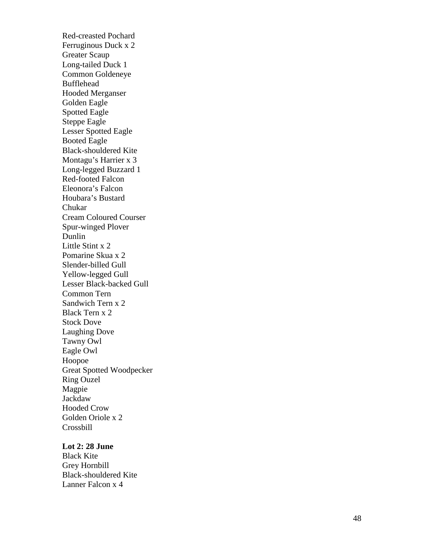Red -creasted Pochard Ferruginous Duck x 2 Greater Scaup Long -tailed Duck 1 Common Goldeneye Bufflehead Hooded Merganser Golden Eagle Spotted Eagle Steppe Eagle Lesser Spotted Eagle Booted Eagle Black -shouldered Kite Montagu's Harrier x 3 Long -legged Buzzard 1 Red -footed Falcon Eleonora's Falcon Houbara's Bustard Chukar Cream Coloured Courser Spur -winged Plover Dunlin Little Stint x 2 Pomarine Skua x 2 Slender -billed Gull Yellow -legged Gull Lesser Black -backed Gull Common Tern Sandwich Tern x 2 Black Tern x 2 Stock Dove Laughing Dove Tawny Owl Eagle Owl Hoopoe Great Spotted Woodpecker Ring Ouzel Magpie Jackdaw Hooded Crow Golden Oriole x 2 Crossbill

## **Lot 2: 28 June**

Black Kite Grey Hornbill Black -shouldered Kite Lanner Falcon x 4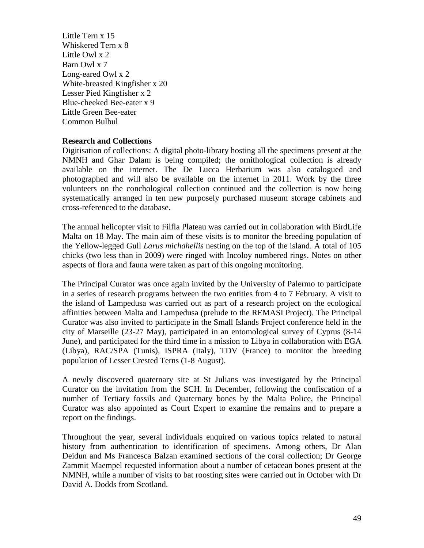Little Tern x 15 Whiskered Tern x 8 Little Owl x 2 Barn Owl x 7 Long-eared Owl x 2 White-breasted Kingfisher x 20 Lesser Pied Kingfisher x 2 Blue-cheeked Bee-eater x 9 Little Green Bee-eater Common Bulbul

## **Research and Collections**

Digitisation of collections: A digital photo-library hosting all the specimens present at the NMNH and Għar Dalam is being compiled; the ornithological collection is already available on the internet. The De Lucca Herbarium was also catalogued and photographed and will also be available on the internet in 2011. Work by the three volunteers on the conchological collection continued and the collection is now being systematically arranged in ten new purposely purchased museum storage cabinets and cross-referenced to the database.

The annual helicopter visit to Filfla Plateau was carried out in collaboration with BirdLife Malta on 18 May. The main aim of these visits is to monitor the breeding population of the Yellow-legged Gull *Larus michahellis* nesting on the top of the island. A total of 105 chicks (two less than in 2009) were ringed with Incoloy numbered rings. Notes on other aspects of flora and fauna were taken as part of this ongoing monitoring.

The Principal Curator was once again invited by the University of Palermo to participate in a series of research programs between the two entities from 4 to 7 February. A visit to the island of Lampedusa was carried out as part of a research project on the ecological affinities between Malta and Lampedusa (prelude to the REMASI Project). The Principal Curator was also invited to participate in the Small Islands Project conference held in the city of Marseille (23-27 May), participated in an entomological survey of Cyprus (8-14 June), and participated for the third time in a mission to Libya in collaboration with EGA (Libya), RAC/SPA (Tunis), ISPRA (Italy), TDV (France) to monitor the breeding population of Lesser Crested Terns (1-8 August).

A newly discovered quaternary site at St Julians was investigated by the Principal Curator on the invitation from the SCH. In December, following the confiscation of a number of Tertiary fossils and Quaternary bones by the Malta Police, the Principal Curator was also appointed as Court Expert to examine the remains and to prepare a report on the findings.

Throughout the year, several individuals enquired on various topics related to natural history from authentication to identification of specimens. Among others, Dr Alan Deidun and Ms Francesca Balzan examined sections of the coral collection; Dr George Zammit Maempel requested information about a number of cetacean bones present at the NMNH, while a number of visits to bat roosting sites were carried out in October with Dr David A. Dodds from Scotland.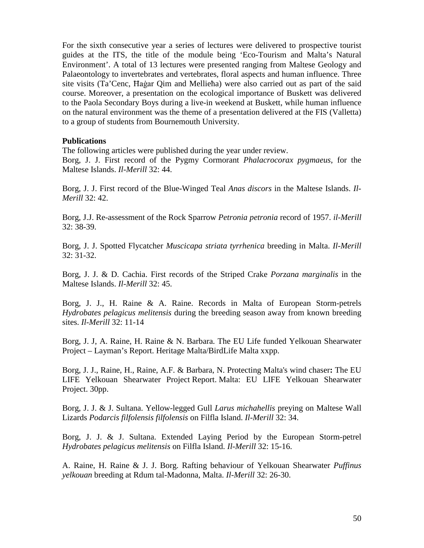For the sixth consecutive year a series of lectures were delivered to prospective tourist guides at the ITS, the title of the module being 'Eco-Tourism and Malta's Natural Environment'. A total of 13 lectures were presented ranging from Maltese Geology and Palaeontology to invertebrates and vertebrates, floral aspects and human influence. Three site visits (Ta'Cenc, Ħaġar Qim and Mellieħa) were also carried out as part of the said course. Moreover, a presentation on the ecological importance of Buskett was delivered to the Paola Secondary Boys during a live-in weekend at Buskett, while human influence on the natural environment was the theme of a presentation delivered at the FIS (Valletta) to a group of students from Bournemouth University.

#### **Publications**

The following articles were published during the year under review.

Borg, J. J. First record of the Pygmy Cormorant *Phalacrocorax pygmaeus*, for the Maltese Islands. *Il-Merill* 32: 44.

Borg, J. J. First record of the Blue-Winged Teal *Anas discors* in the Maltese Islands. *Il-Merill* 32: 42.

Borg, J.J. Re-assessment of the Rock Sparrow *Petronia petronia* record of 1957. *il-Merill* 32: 38-39.

Borg, J. J. Spotted Flycatcher *Muscicapa striata tyrrhenica* breeding in Malta. *Il-Merill* 32: 31-32.

Borg, J. J. & D. Cachia. First records of the Striped Crake *Porzana marginalis* in the Maltese Islands. *Il-Merill* 32: 45.

Borg, J. J., H. Raine & A. Raine. Records in Malta of European Storm-petrels *Hydrobates pelagicus melitensis* during the breeding season away from known breeding sites. *Il-Merill* 32: 11-14

Borg, J. J, A. Raine, H. Raine & N. Barbara. The EU Life funded Yelkouan Shearwater Project – Layman's Report. Heritage Malta/BirdLife Malta xxpp.

Borg, J. J., Raine, H., Raine, A.F. & Barbara, N. Protecting Malta's wind chaser**:** The EU LIFE Yelkouan Shearwater Project Report. Malta: EU LIFE Yelkouan Shearwater Project. 30pp.

Borg, J. J. & J. Sultana. Yellow-legged Gull *Larus michahellis* preying on Maltese Wall Lizards *Podarcis filfolensis filfolensis* on Filfla Island. *Il-Merill* 32: 34.

Borg, J. J. & J. Sultana. Extended Laying Period by the European Storm-petrel *Hydrobates pelagicus melitensis* on Filfla Island. *Il-Merill* 32: 15-16.

A. Raine, H. Raine & J. J. Borg. Rafting behaviour of Yelkouan Shearwater *Puffinus yelkouan* breeding at Rdum tal-Madonna, Malta. *Il-Merill* 32: 26-30.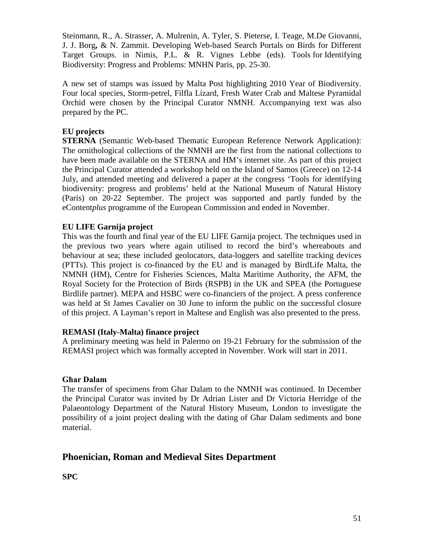Steinmann, R., A. Strasser, A. Mulrenin, A. Tyler, S. Pieterse, I. Teage, M.De Giovanni, J. J. Borg**,** & N. Zammit. Developing Web-based Search Portals on Birds for Different Target Groups. in Nimis, P.L. & R. Vignes Lebbe (eds). Tools for Identifying Biodiversity: Progress and Problems: MNHN Paris, pp. 25-30.

A new set of stamps was issued by Malta Post highlighting 2010 Year of Biodiversity. Four local species, Storm-petrel, Filfla Lizard, Fresh Water Crab and Maltese Pyramidal Orchid were chosen by the Principal Curator NMNH. Accompanying text was also prepared by the PC.

## **EU projects**

**STERNA** (Semantic Web-based Thematic European Reference Network Application): The ornithological collections of the NMNH are the first from the national collections to have been made available on the STERNA and HM's internet site. As part of this project the Principal Curator attended a workshop held on the Island of Samos (Greece) on 12-14 July, and attended meeting and delivered a paper at the congress 'Tools for identifying biodiversity: progress and problems' held at the National Museum of Natural History (Paris) on 20-22 September. The project was supported and partly funded by the eContent*plus* programme of the European Commission and ended in November.

## **EU LIFE Garnija project**

This was the fourth and final year of the EU LIFE Garnija project. The techniques used in the previous two years where again utilised to record the bird's whereabouts and behaviour at sea; these included geolocators, data-loggers and satellite tracking devices (PTTs). This project is co-financed by the EU and is managed by BirdLife Malta, the NMNH (HM), Centre for Fisheries Sciences, Malta Maritime Authority, the AFM, the Royal Society for the Protection of Birds (RSPB) in the UK and SPEA (the Portuguese Birdlife partner). MEPA and HSBC were co-financiers of the project. A press conference was held at St James Cavalier on 30 June to inform the public on the successful closure of this project. A Layman's report in Maltese and English was also presented to the press.

## **REMASI (Italy-Malta) finance project**

A preliminary meeting was held in Palermo on 19-21 February for the submission of the REMASI project which was formally accepted in November. Work will start in 2011.

## **Għar Dalam**

The transfer of specimens from Ghar Dalam to the NMNH was continued. In December the Principal Curator was invited by Dr Adrian Lister and Dr Victoria Herridge of the Palaeontology Department of the Natural History Museum, London to investigate the possibility of a joint project dealing with the dating of Għar Dalam sediments and bone material.

# **Phoenician, Roman and Medieval Sites Department**

**SPC**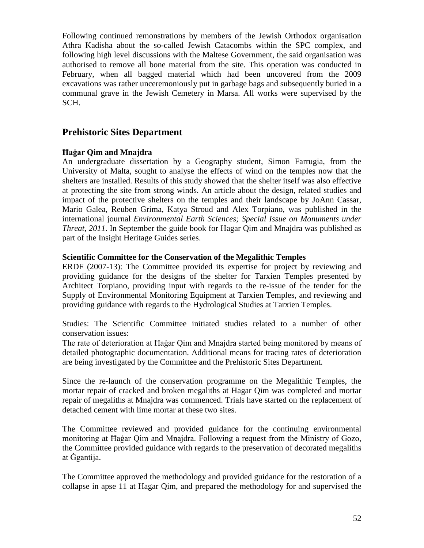Following continued remonstrations by members of the Jewish Orthodox organisation Athra Kadisha about the so-called Jewish Catacombs within the SPC complex, and following high level discussions with the Maltese Government, the said organisation was authorised to remove all bone material from the site. This operation was conducted in February, when all bagged material which had been uncovered from the 2009 excavations was rather unceremoniously put in garbage bags and subsequently buried in a communal grave in the Jewish Cemetery in Marsa. All works were supervised by the SCH.

## **Prehistoric Sites Department**

## **Ħaġar Qim and Mnajdra**

An undergraduate dissertation by a Geography student, Simon Farrugia, from the University of Malta, sought to analyse the effects of wind on the temples now that the shelters are installed. Results of this study showed that the shelter itself was also effective at protecting the site from strong winds. An article about the design, related studies and impact of the protective shelters on the temples and their landscape by JoAnn Cassar, Mario Galea, Reuben Grima, Katya Stroud and Alex Torpiano, was published in the international journal *Environmental Earth Sciences; Special Issue on Monuments under Threat, 2011*. In September the guide book for Hagar Qim and Mnajdra was published as part of the Insight Heritage Guides series.

## **Scientific Committee for the Conservation of the Megalithic Temples**

ERDF (2007-13): The Committee provided its expertise for project by reviewing and providing guidance for the designs of the shelter for Tarxien Temples presented by Architect Torpiano, providing input with regards to the re-issue of the tender for the Supply of Environmental Monitoring Equipment at Tarxien Temples, and reviewing and providing guidance with regards to the Hydrological Studies at Tarxien Temples.

Studies: The Scientific Committee initiated studies related to a number of other conservation issues:

The rate of deterioration at Ħaġar Qim and Mnajdra started being monitored by means of detailed photographic documentation. Additional means for tracing rates of deterioration are being investigated by the Committee and the Prehistoric Sites Department.

Since the re-launch of the conservation programme on the Megalithic Temples, the mortar repair of cracked and broken megaliths at Hagar Qim was completed and mortar repair of megaliths at Mnajdra was commenced. Trials have started on the replacement of detached cement with lime mortar at these two sites.

The Committee reviewed and provided guidance for the continuing environmental monitoring at Ħaġar Qim and Mnajdra. Following a request from the Ministry of Gozo, the Committee provided guidance with regards to the preservation of decorated megaliths at Ġgantija.

The Committee approved the methodology and provided guidance for the restoration of a collapse in apse 11 at Hagar Qim, and prepared the methodology for and supervised the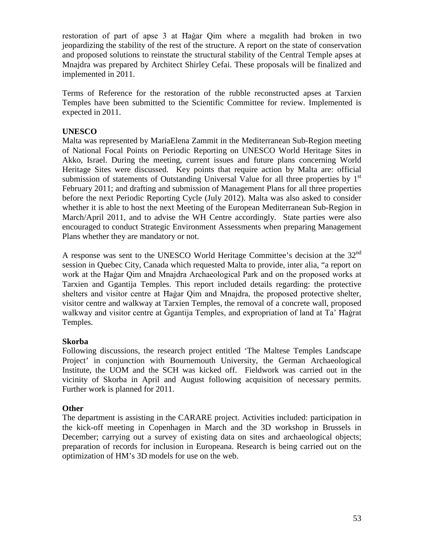restoration of part of apse 3 at Ħaġar Qim where a megalith had broken in two jeopardizing the stability of the rest of the structure. A report on the state of conservation and proposed solutions to reinstate the structural stability of the Central Temple apses at Mnajdra was prepared by Architect Shirley Cefai. These proposals will be finalized and implemented in 2011.

Terms of Reference for the restoration of the rubble reconstructed apses at Tarxien Temples have been submitted to the Scientific Committee for review. Implemented is expected in 2011.

## **UNESCO**

Malta was represented by MariaElena Zammit in the Mediterranean Sub-Region meeting of National Focal Points on Periodic Reporting on UNESCO World Heritage Sites in Akko, Israel. During the meeting, current issues and future plans concerning World Heritage Sites were discussed. Key points that require action by Malta are: official submission of statements of Outstanding Universal Value for all three properties by  $1<sup>st</sup>$ February 2011; and drafting and submission of Management Plans for all three properties before the next Periodic Reporting Cycle (July 2012). Malta was also asked to consider whether it is able to host the next Meeting of the European Mediterranean Sub-Region in March/April 2011, and to advise the WH Centre accordingly. State parties were also encouraged to conduct Strategic Environment Assessments when preparing Management Plans whether they are mandatory or not.

A response was sent to the UNESCO World Heritage Committee's decision at the  $32<sup>nd</sup>$ session in Quebec City, Canada which requested Malta to provide, inter alia, "a report on work at the Ħaġar Qim and Mnajdra Archaeological Park and on the proposed works at Tarxien and Ggantija Temples. This report included details regarding: the protective shelters and visitor centre at Ħaġar Qim and Mnajdra, the proposed protective shelter, visitor centre and walkway at Tarxien Temples, the removal of a concrete wall, proposed walkway and visitor centre at Ġgantija Temples, and expropriation of land at Ta' Ħaġrat Temples.

## **Skorba**

Following discussions, the research project entitled 'The Maltese Temples Landscape Project' in conjunction with Bournemouth University, the German Archaeological Institute, the UOM and the SCH was kicked off. Fieldwork was carried out in the vicinity of Skorba in April and August following acquisition of necessary permits. Further work is planned for 2011.

## **Other**

The department is assisting in the CARARE project. Activities included: participation in the kick-off meeting in Copenhagen in March and the 3D workshop in Brussels in December; carrying out a survey of existing data on sites and archaeological objects; preparation of records for inclusion in Europeana. Research is being carried out on the optimization of HM's 3D models for use on the web.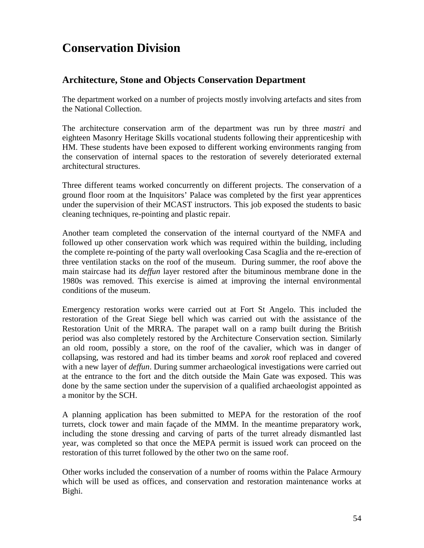# **Conservation Division**

# **Architecture, Stone and Objects Conservation Department**

The department worked on a number of projects mostly involving artefacts and sites from the National Collection.

The architecture conservation arm of the department was run by three *mastri* and eighteen Masonry Heritage Skills vocational students following their apprenticeship with HM. These students have been exposed to different working environments ranging from the conservation of internal spaces to the restoration of severely deteriorated external architectural structures.

Three different teams worked concurrently on different projects. The conservation of a ground floor room at the Inquisitors' Palace was completed by the first year apprentices under the supervision of their MCAST instructors. This job exposed the students to basic cleaning techniques, re-pointing and plastic repair.

Another team completed the conservation of the internal courtyard of the NMFA and followed up other conservation work which was required within the building, including the complete re-pointing of the party wall overlooking Casa Scaglia and the re-erection of three ventilation stacks on the roof of the museum. During summer, the roof above the main staircase had its *deffun* layer restored after the bituminous membrane done in the 1980s was removed. This exercise is aimed at improving the internal environmental conditions of the museum.

Emergency restoration works were carried out at Fort St Angelo. This included the restoration of the Great Siege bell which was carried out with the assistance of the Restoration Unit of the MRRA. The parapet wall on a ramp built during the British period was also completely restored by the Architecture Conservation section. Similarly an old room, possibly a store, on the roof of the cavalier, which was in danger of collapsing, was restored and had its timber beams and *xorok* roof replaced and covered with a new layer of *deffun*. During summer archaeological investigations were carried out at the entrance to the fort and the ditch outside the Main Gate was exposed. This was done by the same section under the supervision of a qualified archaeologist appointed as a monitor by the SCH.

A planning application has been submitted to MEPA for the restoration of the roof turrets, clock tower and main façade of the MMM. In the meantime preparatory work, including the stone dressing and carving of parts of the turret already dismantled last year, was completed so that once the MEPA permit is issued work can proceed on the restoration of this turret followed by the other two on the same roof.

Other works included the conservation of a number of rooms within the Palace Armoury which will be used as offices, and conservation and restoration maintenance works at Bighi.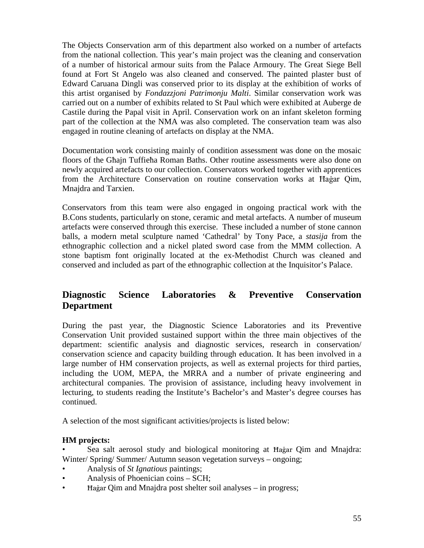The Objects Conservation arm of this department also worked on a number of artefacts from the national collection. This year's main project was the cleaning and conservation of a number of historical armour suits from the Palace Armoury. The Great Siege Bell found at Fort St Angelo was also cleaned and conserved. The painted plaster bust of Edward Caruana Dingli was conserved prior to its display at the exhibition of works of this artist organised by *Fondazzjoni Patrimonju Malti*. Similar conservation work was carried out on a number of exhibits related to St Paul which were exhibited at Auberge de Castile during the Papal visit in April. Conservation work on an infant skeleton forming part of the collection at the NMA was also completed. The conservation team was also engaged in routine cleaning of artefacts on display at the NMA.

Documentation work consisting mainly of condition assessment was done on the mosaic floors of the Għajn Tuffieħa Roman Baths. Other routine assessments were also done on newly acquired artefacts to our collection. Conservators worked together with apprentices from the Architecture Conservation on routine conservation works at Ħaġar Qim, Mnajdra and Tarxien.

Conservators from this team were also engaged in ongoing practical work with the B.Cons students, particularly on stone, ceramic and metal artefacts. A number of museum artefacts were conserved through this exercise. These included a number of stone cannon balls, a modern metal sculpture named 'Cathedral' by Tony Pace, a *stasija* from the ethnographic collection and a nickel plated sword case from the MMM collection. A stone baptism font originally located at the ex-Methodist Church was cleaned and conserved and included as part of the ethnographic collection at the Inquisitor's Palace.

# **Diagnostic Science Laboratories & Preventive Conservation Department**

During the past year, the Diagnostic Science Laboratories and its Preventive Conservation Unit provided sustained support within the three main objectives of the department: scientific analysis and diagnostic services, research in conservation/ conservation science and capacity building through education. It has been involved in a large number of HM conservation projects, as well as external projects for third parties, including the UOM, MEPA, the MRRA and a number of private engineering and architectural companies. The provision of assistance, including heavy involvement in lecturing, to students reading the Institute's Bachelor's and Master's degree courses has continued.

A selection of the most significant activities/projects is listed below:

## **HM projects:**

• Sea salt aerosol study and biological monitoring at Ħaġar Qim and Mnajdra: Winter/ Spring/ Summer/ Autumn season vegetation surveys – ongoing;

- Analysis of *St Ignatious* paintings;
- Analysis of Phoenician coins SCH;
- Ħaġar Qim and Mnajdra post shelter soil analyses in progress;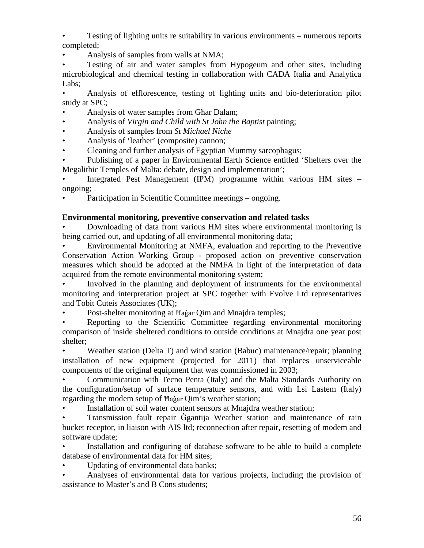• Testing of lighting units re suitability in various environments – numerous reports completed;

• Analysis of samples from walls at NMA;

Testing of air and water samples from Hypogeum and other sites, including microbiological and chemical testing in collaboration with CADA Italia and Analytica Labs;

• Analysis of efflorescence, testing of lighting units and bio-deterioration pilot study at SPC;

- Analysis of water samples from Għar Dalam;
- Analysis of *Virgin and Child with St John the Baptist* painting;
- Analysis of samples from *St Michael Niche*
- Analysis of 'leather' (composite) cannon;
- Cleaning and further analysis of Egyptian Mummy sarcophagus;

• Publishing of a paper in Environmental Earth Science entitled 'Shelters over the Megalithic Temples of Malta: debate, design and implementation';

• Integrated Pest Management (IPM) programme within various HM sites – ongoing;

Participation in Scientific Committee meetings – ongoing.

## **Environmental monitoring, preventive conservation and related tasks**

• Downloading of data from various HM sites where environmental monitoring is being carried out, and updating of all environmental monitoring data;

• Environmental Monitoring at NMFA, evaluation and reporting to the Preventive Conservation Action Working Group - proposed action on preventive conservation measures which should be adopted at the NMFA in light of the interpretation of data acquired from the remote environmental monitoring system;

• Involved in the planning and deployment of instruments for the environmental monitoring and interpretation project at SPC together with Evolve Ltd representatives and Tobit Cuteis Associates (UK);

Post-shelter monitoring at Hagar Qim and Mnajdra temples;

Reporting to the Scientific Committee regarding environmental monitoring comparison of inside sheltered conditions to outside conditions at Mnajdra one year post shelter;

• Weather station (Delta T) and wind station (Babuc) maintenance/repair; planning installation of new equipment (projected for 2011) that replaces unserviceable components of the original equipment that was commissioned in 2003;

• Communication with Tecno Penta (Italy) and the Malta Standards Authority on the configuration/setup of surface temperature sensors, and with Lsi Lastem (Italy) regarding the modem setup of Ħaġar Qim's weather station;

• Installation of soil water content sensors at Mnajdra weather station;

• Transmission fault repair Ġgantija Weather station and maintenance of rain bucket receptor, in liaison with AIS ltd; reconnection after repair, resetting of modem and software update;

Installation and configuring of database software to be able to build a complete database of environmental data for HM sites;

Updating of environmental data banks;

• Analyses of environmental data for various projects, including the provision of assistance to Master's and B Cons students;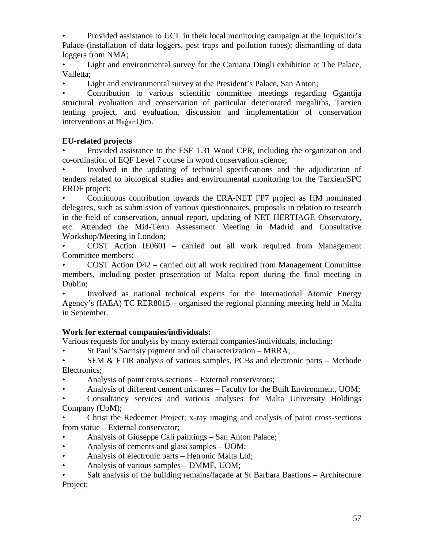• Provided assistance to UCL in their local monitoring campaign at the Inquisitor's Palace (installation of data loggers, pest traps and pollution tubes); dismantling of data loggers from NMA;

• Light and environmental survey for the Caruana Dingli exhibition at The Palace, Valletta;

Light and environmental survey at the President's Palace, San Anton;

• Contribution to various scientific committee meetings regarding Ggantija structural evaluation and conservation of particular deteriorated megaliths, Tarxien tenting project, and evaluation, discussion and implementation of conservation interventions at Ħaġar Qim.

## **EU-related projects**

• Provided assistance to the ESF 1.31 Wood CPR, including the organization and co-ordination of EQF Level 7 course in wood conservation science;

• Involved in the updating of technical specifications and the adjudication of tenders related to biological studies and environmental monitoring for the Tarxien/SPC ERDF project;

• Continuous contribution towards the ERA-NET FP7 project as HM nominated delegates, such as submission of various questionnaires, proposals in relation to research in the field of conservation, annual report, updating of NET HERTIAGE Observatory, etc. Attended the Mid-Term Assessment Meeting in Madrid and Consultative Workshop/Meeting in London;

• COST Action IE0601 – carried out all work required from Management Committee members;

• COST Action D42 – carried out all work required from Management Committee members, including poster presentation of Malta report during the final meeting in Dublin;

• Involved as national technical experts for the International Atomic Energy Agency's (IAEA) TC RER8015 – organised the regional planning meeting held in Malta in September.

## **Work for external companies/individuals:**

Various requests for analysis by many external companies/individuals, including:

• St Paul's Sacristy pigment and oil characterization – MRRA;

SEM  $&$  FTIR analysis of various samples, PCBs and electronic parts – Methode Electronics;

Analysis of paint cross sections – External conservators;

• Analysis of different cement mixtures – Faculty for the Built Environment, UOM;

• Consultancy services and various analyses for Malta University Holdings Company (UoM);

• Christ the Redeemer Project; x-ray imaging and analysis of paint cross-sections from statue – External conservator;

- Analysis of Giuseppe Calì paintings San Anton Palace;
- Analysis of cements and glass samples UOM;
- Analysis of electronic parts Hetronic Malta Ltd;
- Analysis of various samples DMME, UOM;

Salt analysis of the building remains/façade at St Barbara Bastions - Architecture Project;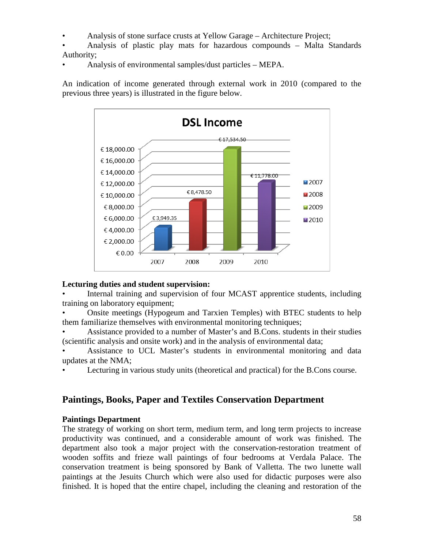- Analysis of stone surface crusts at Yellow Garage Architecture Project;
- Analysis of plastic play mats for hazardous compounds Malta Standards Authority;
- Analysis of environmental samples/dust particles MEPA.

An indication of income generated through external work in 2010 (compared to the previous three years) is illustrated in the figure below.



## **Lecturing duties and student supervision:**

Internal training and supervision of four MCAST apprentice students, including training on laboratory equipment;

• Onsite meetings (Hypogeum and Tarxien Temples) with BTEC students to help them familiarize themselves with environmental monitoring techniques;

• Assistance provided to a number of Master's and B.Cons. students in their studies (scientific analysis and onsite work) and in the analysis of environmental data;

• Assistance to UCL Master's students in environmental monitoring and data updates at the NMA;

• Lecturing in various study units (theoretical and practical) for the B.Cons course.

# **Paintings, Books, Paper and Textiles Conservation Department**

## **Paintings Department**

The strategy of working on short term, medium term, and long term projects to increase productivity was continued, and a considerable amount of work was finished. The department also took a major project with the conservation-restoration treatment of wooden soffits and frieze wall paintings of four bedrooms at Verdala Palace. The conservation treatment is being sponsored by Bank of Valletta. The two lunette wall paintings at the Jesuits Church which were also used for didactic purposes were also finished. It is hoped that the entire chapel, including the cleaning and restoration of the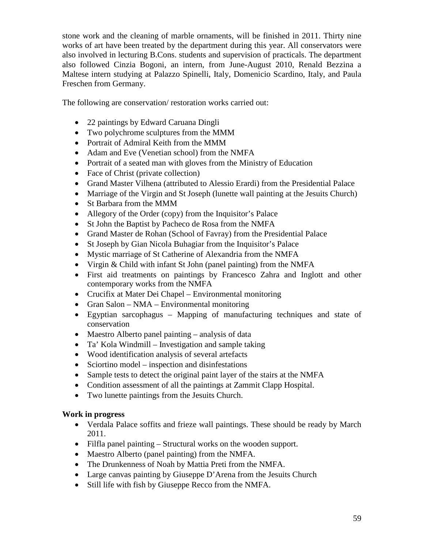stone work and the cleaning of marble ornaments, will be finished in 2011. Thirty nine works of art have been treated by the department during this year. All conservators were also involved in lecturing B.Cons. students and supervision of practicals. The department also followed Cinzia Bogoni, an intern, from June-August 2010, Renald Bezzina a Maltese intern studying at Palazzo Spinelli, Italy, Domenicio Scardino, Italy, and Paula Freschen from Germany.

The following are conservation/ restoration works carried out:

- 22 paintings by Edward Caruana Dingli
- Two polychrome sculptures from the MMM
- Portrait of Admiral Keith from the MMM
- Adam and Eve (Venetian school) from the NMFA
- Portrait of a seated man with gloves from the Ministry of Education
- Face of Christ (private collection)
- Grand Master Vilhena (attributed to Alessio Erardi) from the Presidential Palace
- Marriage of the Virgin and St Joseph (lunette wall painting at the Jesuits Church)
- St Barbara from the MMM
- Allegory of the Order (copy) from the Inquisitor's Palace
- St John the Baptist by Pacheco de Rosa from the NMFA
- Grand Master de Rohan (School of Favray) from the Presidential Palace
- St Joseph by Gian Nicola Buhagiar from the Inquisitor's Palace
- Mystic marriage of St Catherine of Alexandria from the NMFA
- Virgin & Child with infant St John (panel painting) from the NMFA
- First aid treatments on paintings by Francesco Zahra and Inglott and other contemporary works from the NMFA
- Crucifix at Mater Dei Chapel Environmental monitoring
- Gran Salon NMA Environmental monitoring
- Egyptian sarcophagus Mapping of manufacturing techniques and state of conservation
- Maestro Alberto panel painting analysis of data
- Ta' Kola Windmill Investigation and sample taking
- Wood identification analysis of several artefacts
- Sciortino model inspection and disinfestations
- Sample tests to detect the original paint layer of the stairs at the NMFA
- Condition assessment of all the paintings at Zammit Clapp Hospital.
- Two lunette paintings from the Jesuits Church.

## **Work in progress**

- Verdala Palace soffits and frieze wall paintings. These should be ready by March 2011.
- Filfla panel painting Structural works on the wooden support.
- Maestro Alberto (panel painting) from the NMFA.
- The Drunkenness of Noah by Mattia Preti from the NMFA.
- Large canvas painting by Giuseppe D'Arena from the Jesuits Church
- Still life with fish by Giuseppe Recco from the NMFA.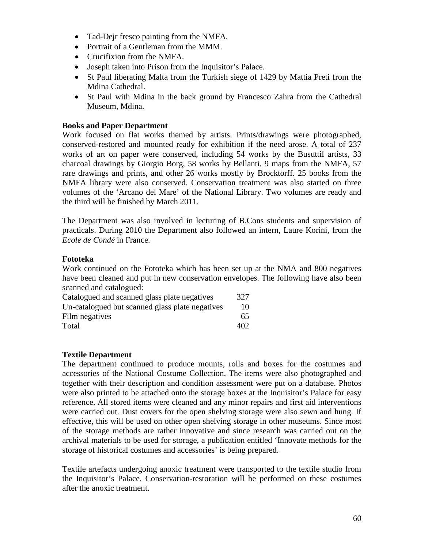- Tad-Dejr fresco painting from the NMFA.
- Portrait of a Gentleman from the MMM.
- Crucifixion from the NMFA.
- Joseph taken into Prison from the Inquisitor's Palace.
- St Paul liberating Malta from the Turkish siege of 1429 by Mattia Preti from the Mdina Cathedral.
- St Paul with Mdina in the back ground by Francesco Zahra from the Cathedral Museum, Mdina.

## **Books and Paper Department**

Work focused on flat works themed by artists. Prints/drawings were photographed, conserved-restored and mounted ready for exhibition if the need arose. A total of 237 works of art on paper were conserved, including 54 works by the Busuttil artists, 33 charcoal drawings by Giorgio Borg, 58 works by Bellanti, 9 maps from the NMFA, 57 rare drawings and prints, and other 26 works mostly by Brocktorff. 25 books from the NMFA library were also conserved. Conservation treatment was also started on three volumes of the 'Arcano del Mare' of the National Library. Two volumes are ready and the third will be finished by March 2011.

The Department was also involved in lecturing of B.Cons students and supervision of practicals. During 2010 the Department also followed an intern, Laure Korini, from the *Ecole de Condé* in France.

## **Fototeka**

Work continued on the Fototeka which has been set up at the NMA and 800 negatives have been cleaned and put in new conservation envelopes. The following have also been scanned and catalogued:

| Catalogued and scanned glass plate negatives    | 327 |
|-------------------------------------------------|-----|
| Un-catalogued but scanned glass plate negatives | 10  |
| Film negatives                                  | 65  |
| Total                                           | 402 |

## **Textile Department**

The department continued to produce mounts, rolls and boxes for the costumes and accessories of the National Costume Collection. The items were also photographed and together with their description and condition assessment were put on a database. Photos were also printed to be attached onto the storage boxes at the Inquisitor's Palace for easy reference. All stored items were cleaned and any minor repairs and first aid interventions were carried out. Dust covers for the open shelving storage were also sewn and hung. If effective, this will be used on other open shelving storage in other museums. Since most of the storage methods are rather innovative and since research was carried out on the archival materials to be used for storage, a publication entitled 'Innovate methods for the storage of historical costumes and accessories' is being prepared.

Textile artefacts undergoing anoxic treatment were transported to the textile studio from the Inquisitor's Palace. Conservation-restoration will be performed on these costumes after the anoxic treatment.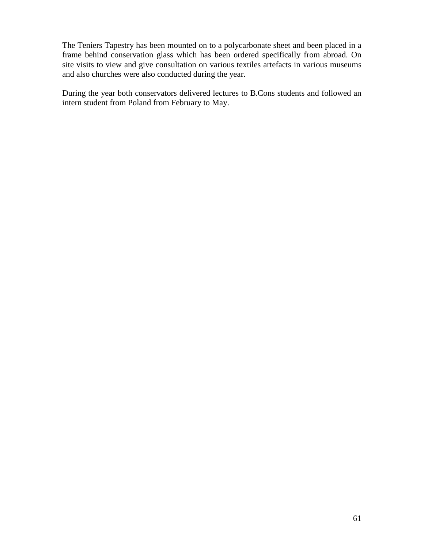The Teniers Tapestry has been mounted on to a polycarbonate sheet and been placed in a frame behind conservation glass which has been ordered specifically from abroad. On site visits to view and give consultation on various textiles artefacts in various museums and also churches were also conducted during the year.

During the year both conservators delivered lectures to B.Cons students and followed an intern student from Poland from February to May.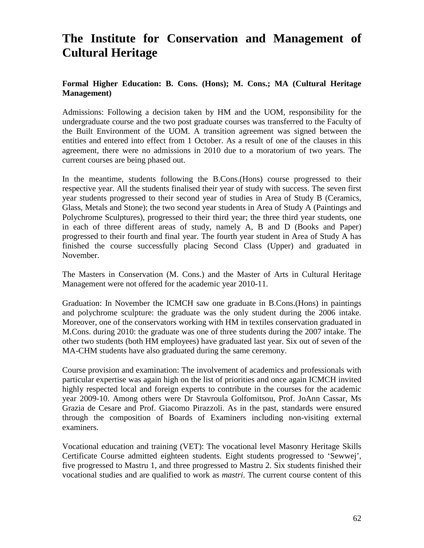# **The Institute for Conservation and Management of Cultural Heritage**

## **Formal Higher Education: B. Cons. (Hons); M. Cons.; MA (Cultural Heritage Management)**

Admissions: Following a decision taken by HM and the UOM, responsibility for the undergraduate course and the two post graduate courses was transferred to the Faculty of the Built Environment of the UOM. A transition agreement was signed between the entities and entered into effect from 1 October. As a result of one of the clauses in this agreement, there were no admissions in 2010 due to a moratorium of two years. The current courses are being phased out.

In the meantime, students following the B.Cons.(Hons) course progressed to their respective year. All the students finalised their year of study with success. The seven first year students progressed to their second year of studies in Area of Study B (Ceramics, Glass, Metals and Stone); the two second year students in Area of Study A (Paintings and Polychrome Sculptures), progressed to their third year; the three third year students, one in each of three different areas of study, namely A, B and D (Books and Paper) progressed to their fourth and final year. The fourth year student in Area of Study A has finished the course successfully placing Second Class (Upper) and graduated in November.

The Masters in Conservation (M. Cons.) and the Master of Arts in Cultural Heritage Management were not offered for the academic year 2010-11.

Graduation: In November the ICMCH saw one graduate in B.Cons.(Hons) in paintings and polychrome sculpture: the graduate was the only student during the 2006 intake. Moreover, one of the conservators working with HM in textiles conservation graduated in M.Cons. during 2010: the graduate was one of three students during the 2007 intake. The other two students (both HM employees) have graduated last year. Six out of seven of the MA-CHM students have also graduated during the same ceremony.

Course provision and examination: The involvement of academics and professionals with particular expertise was again high on the list of priorities and once again ICMCH invited highly respected local and foreign experts to contribute in the courses for the academic year 2009-10. Among others were Dr Stavroula Golfomitsou, Prof. JoAnn Cassar, Ms Grazia de Cesare and Prof. Giacomo Pirazzoli. As in the past, standards were ensured through the composition of Boards of Examiners including non-visiting external examiners.

Vocational education and training (VET): The vocational level Masonry Heritage Skills Certificate Course admitted eighteen students. Eight students progressed to 'Sewwej', five progressed to Mastru 1, and three progressed to Mastru 2. Six students finished their vocational studies and are qualified to work as *mastri*. The current course content of this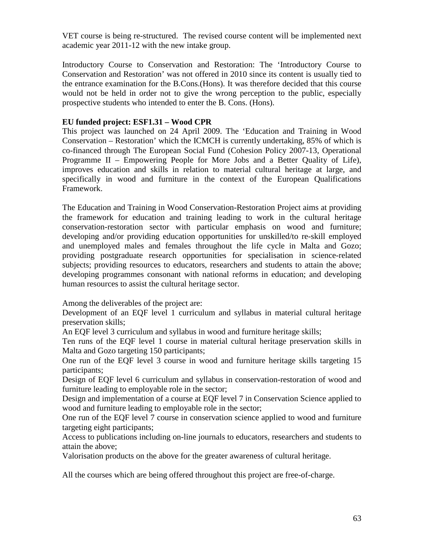VET course is being re-structured. The revised course content will be implemented next academic year 2011-12 with the new intake group.

Introductory Course to Conservation and Restoration: The 'Introductory Course to Conservation and Restoration' was not offered in 2010 since its content is usually tied to the entrance examination for the B.Cons.(Hons). It was therefore decided that this course would not be held in order not to give the wrong perception to the public, especially prospective students who intended to enter the B. Cons. (Hons).

## **EU funded project: ESF1.31 – Wood CPR**

This project was launched on 24 April 2009. The 'Education and Training in Wood Conservation – Restoration' which the ICMCH is currently undertaking, 85% of which is co-financed through The European Social Fund (Cohesion Policy 2007-13, Operational Programme II – Empowering People for More Jobs and a Better Quality of Life), improves education and skills in relation to material cultural heritage at large, and specifically in wood and furniture in the context of the European Qualifications Framework.

The Education and Training in Wood Conservation-Restoration Project aims at providing the framework for education and training leading to work in the cultural heritage conservation-restoration sector with particular emphasis on wood and furniture; developing and/or providing education opportunities for unskilled/to re-skill employed and unemployed males and females throughout the life cycle in Malta and Gozo; providing postgraduate research opportunities for specialisation in science-related subjects; providing resources to educators, researchers and students to attain the above; developing programmes consonant with national reforms in education; and developing human resources to assist the cultural heritage sector.

Among the deliverables of the project are:

Development of an EQF level 1 curriculum and syllabus in material cultural heritage preservation skills;

An EQF level 3 curriculum and syllabus in wood and furniture heritage skills;

Ten runs of the EQF level 1 course in material cultural heritage preservation skills in Malta and Gozo targeting 150 participants;

One run of the EQF level 3 course in wood and furniture heritage skills targeting 15 participants;

Design of EQF level 6 curriculum and syllabus in conservation-restoration of wood and furniture leading to employable role in the sector;

Design and implementation of a course at EQF level 7 in Conservation Science applied to wood and furniture leading to employable role in the sector;

One run of the EQF level 7 course in conservation science applied to wood and furniture targeting eight participants;

Access to publications including on-line journals to educators, researchers and students to attain the above;

Valorisation products on the above for the greater awareness of cultural heritage.

All the courses which are being offered throughout this project are free-of-charge.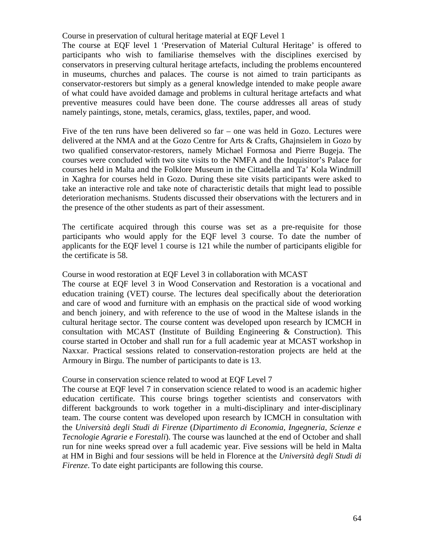Course in preservation of cultural heritage material at EQF Level 1

The course at EQF level 1 'Preservation of Material Cultural Heritage' is offered to participants who wish to familiarise themselves with the disciplines exercised by conservators in preserving cultural heritage artefacts, including the problems encountered in museums, churches and palaces. The course is not aimed to train participants as conservator-restorers but simply as a general knowledge intended to make people aware of what could have avoided damage and problems in cultural heritage artefacts and what preventive measures could have been done. The course addresses all areas of study namely paintings, stone, metals, ceramics, glass, textiles, paper, and wood.

Five of the ten runs have been delivered so far – one was held in Gozo. Lectures were delivered at the NMA and at the Gozo Centre for Arts & Crafts, Għajnsielem in Gozo by two qualified conservator-restorers, namely Michael Formosa and Pierre Bugeja. The courses were concluded with two site visits to the NMFA and the Inquisitor's Palace for courses held in Malta and the Folklore Museum in the Cittadella and Ta' Kola Windmill in Xaghra for courses held in Gozo. During these site visits participants were asked to take an interactive role and take note of characteristic details that might lead to possible deterioration mechanisms. Students discussed their observations with the lecturers and in the presence of the other students as part of their assessment.

The certificate acquired through this course was set as a pre-requisite for those participants who would apply for the EQF level 3 course. To date the number of applicants for the EQF level 1 course is 121 while the number of participants eligible for the certificate is 58.

## Course in wood restoration at EQF Level 3 in collaboration with MCAST

The course at EQF level 3 in Wood Conservation and Restoration is a vocational and education training (VET) course. The lectures deal specifically about the deterioration and care of wood and furniture with an emphasis on the practical side of wood working and bench joinery, and with reference to the use of wood in the Maltese islands in the cultural heritage sector. The course content was developed upon research by ICMCH in consultation with MCAST (Institute of Building Engineering & Construction). This course started in October and shall run for a full academic year at MCAST workshop in Naxxar. Practical sessions related to conservation-restoration projects are held at the Armoury in Birgu. The number of participants to date is 13.

#### Course in conservation science related to wood at EQF Level 7

The course at EQF level 7 in conservation science related to wood is an academic higher education certificate. This course brings together scientists and conservators with different backgrounds to work together in a multi-disciplinary and inter-disciplinary team. The course content was developed upon research by ICMCH in consultation with the *Università degli Studi di Firenze* (*Dipartimento di Economia, Ingegneria, Scienze e Tecnologie Agrarie e Forestali*). The course was launched at the end of October and shall run for nine weeks spread over a full academic year. Five sessions will be held in Malta at HM in Bighi and four sessions will be held in Florence at the *Università degli Studi di Firenze*. To date eight participants are following this course.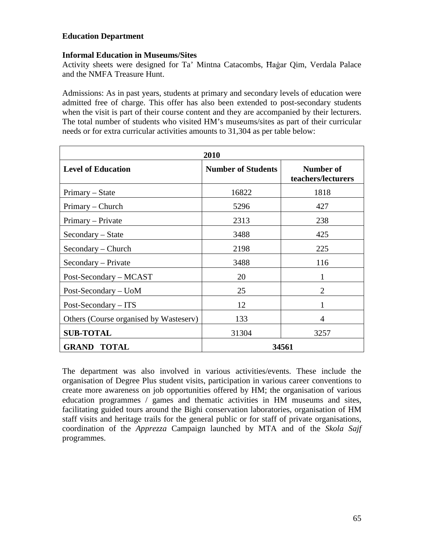## **Education Department**

## **Informal Education in Museums/Sites**

Activity sheets were designed for Ta' Mintna Catacombs, Ħaġar Qim, Verdala Palace and the NMFA Treasure Hunt.

Admissions: As in past years, students at primary and secondary levels of education were admitted free of charge. This offer has also been extended to post-secondary students when the visit is part of their course content and they are accompanied by their lecturers. The total number of students who visited HM's museums/sites as part of their curricular needs or for extra curricular activities amounts to 31,304 as per table below:

| 2010                                   |                           |                                 |  |
|----------------------------------------|---------------------------|---------------------------------|--|
| <b>Level of Education</b>              | <b>Number of Students</b> | Number of<br>teachers/lecturers |  |
| Primary – State                        | 16822                     | 1818                            |  |
| Primary – Church                       | 5296                      | 427                             |  |
| Primary – Private                      | 2313                      | 238                             |  |
| Secondary – State                      | 3488                      | 425                             |  |
| Secondary - Church                     | 2198                      | 225                             |  |
| Secondary – Private                    | 3488                      | 116                             |  |
| Post-Secondary – MCAST                 | 20                        | 1                               |  |
| Post-Secondary - UoM                   | 25                        | $\mathcal{D}_{\mathcal{L}}$     |  |
| Post-Secondary – ITS                   | 12                        |                                 |  |
| Others (Course organised by Wasteserv) | 133                       | 4                               |  |
| <b>SUB-TOTAL</b>                       | 31304                     | 3257                            |  |
| <b>GRAND TOTAL</b>                     |                           | 34561                           |  |

The department was also involved in various activities/events. These include the organisation of Degree Plus student visits, participation in various career conventions to create more awareness on job opportunities offered by HM; the organisation of various education programmes / games and thematic activities in HM museums and sites, facilitating guided tours around the Bighi conservation laboratories, organisation of HM staff visits and heritage trails for the general public or for staff of private organisations, coordination of the *Apprezza* Campaign launched by MTA and of the *Skola Sajf* programmes.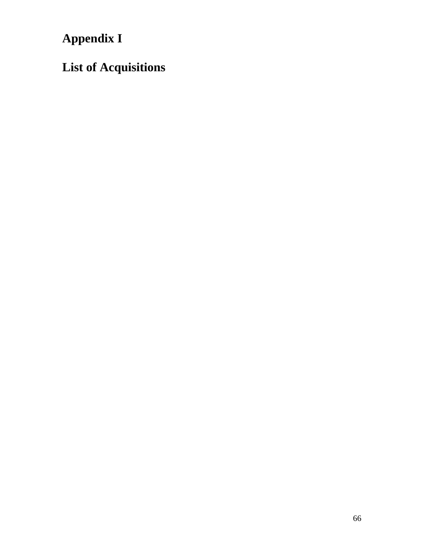**Appendix I**

**List of Acquisitions**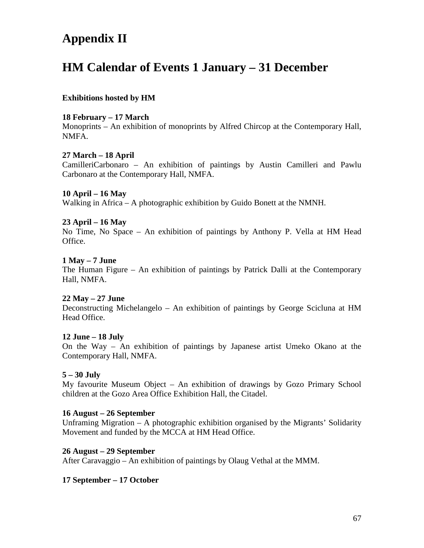# **Appendix II**

# **HM Calendar of Events 1 January – 31 December**

## **Exhibitions hosted by HM**

## **18 February – 17 March**

Monoprints – An exhibition of monoprints by Alfred Chircop at the Contemporary Hall, NMFA.

#### **27 March – 18 April**

CamilleriCarbonaro – An exhibition of paintings by Austin Camilleri and Pawlu Carbonaro at the Contemporary Hall, NMFA.

#### **10 April – 16 May**

Walking in Africa – A photographic exhibition by Guido Bonett at the NMNH.

#### **23 April – 16 May**

No Time, No Space – An exhibition of paintings by Anthony P. Vella at HM Head Office.

#### **1 May – 7 June**

The Human Figure – An exhibition of paintings by Patrick Dalli at the Contemporary Hall, NMFA.

## **22 May – 27 June**

Deconstructing Michelangelo – An exhibition of paintings by George Scicluna at HM Head Office.

#### **12 June – 18 July**

On the Way – An exhibition of paintings by Japanese artist Umeko Okano at the Contemporary Hall, NMFA.

## **5 – 30 July**

My favourite Museum Object – An exhibition of drawings by Gozo Primary School children at the Gozo Area Office Exhibition Hall, the Citadel.

#### **16 August – 26 September**

Unframing Migration – A photographic exhibition organised by the Migrants' Solidarity Movement and funded by the MCCA at HM Head Office.

#### **26 August – 29 September**

After Caravaggio – An exhibition of paintings by Olaug Vethal at the MMM.

## **17 September – 17 October**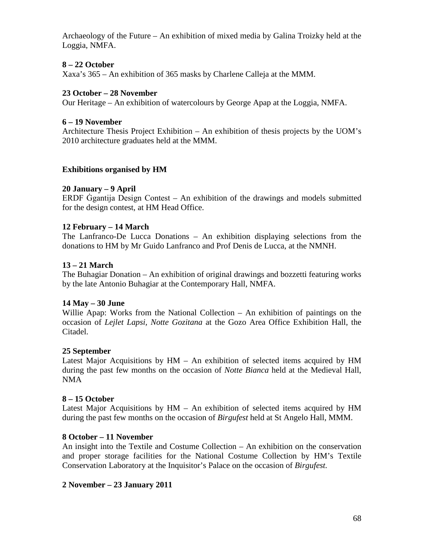Archaeology of the Future – An exhibition of mixed media by Galina Troizky held at the Loggia, NMFA.

## **8 – 22 October**

Xaxa's 365 – An exhibition of 365 masks by Charlene Calleja at the MMM.

## **23 October – 28 November**

Our Heritage – An exhibition of watercolours by George Apap at the Loggia, NMFA.

#### **6 – 19 November**

Architecture Thesis Project Exhibition – An exhibition of thesis projects by the UOM's 2010 architecture graduates held at the MMM.

#### **Exhibitions organised by HM**

#### **20 January – 9 April**

ERDF Ġgantija Design Contest – An exhibition of the drawings and models submitted for the design contest, at HM Head Office.

#### **12 February – 14 March**

The Lanfranco-De Lucca Donations – An exhibition displaying selections from the donations to HM by Mr Guido Lanfranco and Prof Denis de Lucca, at the NMNH.

#### **13 – 21 March**

The Buhagiar Donation – An exhibition of original drawings and bozzetti featuring works by the late Antonio Buhagiar at the Contemporary Hall, NMFA.

#### **14 May – 30 June**

Willie Apap: Works from the National Collection – An exhibition of paintings on the occasion of *Lejlet Lapsi, Notte Gozitana* at the Gozo Area Office Exhibition Hall, the Citadel.

#### **25 September**

Latest Major Acquisitions by HM – An exhibition of selected items acquired by HM during the past few months on the occasion of *Notte Bianca* held at the Medieval Hall, NMA

#### **8 – 15 October**

Latest Major Acquisitions by HM – An exhibition of selected items acquired by HM during the past few months on the occasion of *Birgufest* held at St Angelo Hall, MMM.

#### **8 October – 11 November**

An insight into the Textile and Costume Collection – An exhibition on the conservation and proper storage facilities for the National Costume Collection by HM's Textile Conservation Laboratory at the Inquisitor's Palace on the occasion of *Birgufest.*

## **2 November – 23 January 2011**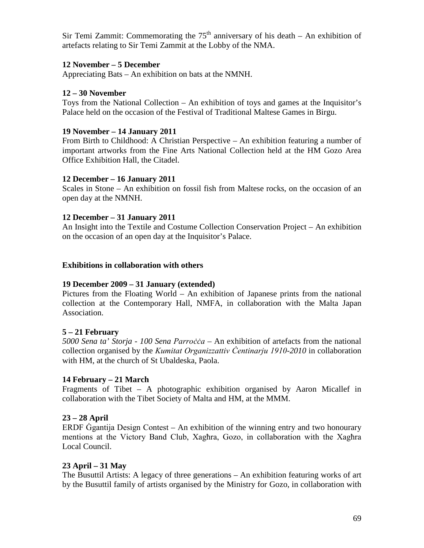Sir Temi Zammit: Commemorating the  $75<sup>th</sup>$  anniversary of his death – An exhibition of artefacts relating to Sir Temi Zammit at the Lobby of the NMA.

## **12 November – 5 December**

Appreciating Bats – An exhibition on bats at the NMNH.

## **12 – 30 November**

Toys from the National Collection – An exhibition of toys and games at the Inquisitor's Palace held on the occasion of the Festival of Traditional Maltese Games in Birgu.

## **19 November – 14 January 2011**

From Birth to Childhood: A Christian Perspective – An exhibition featuring a number of important artworks from the Fine Arts National Collection held at the HM Gozo Area Office Exhibition Hall, the Citadel.

#### **12 December – 16 January 2011**

Scales in Stone – An exhibition on fossil fish from Maltese rocks, on the occasion of an open day at the NMNH.

#### **12 December – 31 January 2011**

An Insight into the Textile and Costume Collection Conservation Project – An exhibition on the occasion of an open day at the Inquisitor's Palace.

#### **Exhibitions in collaboration with others**

## **19 December 2009 – 31 January (extended)**

Pictures from the Floating World – An exhibition of Japanese prints from the national collection at the Contemporary Hall, NMFA, in collaboration with the Malta Japan Association.

## **5 – 21 February**

*5000 Sena ta' Storja - 100 Sena Parroċċa* – An exhibition of artefacts from the national collection organised by the *Kumitat Organizzattiv Ċentinarju 1910-2010* in collaboration with HM, at the church of St Ubaldeska, Paola.

## **14 February – 21 March**

Fragments of Tibet – A photographic exhibition organised by Aaron Micallef in collaboration with the Tibet Society of Malta and HM, at the MMM.

## **23 – 28 April**

ERDF Ġgantija Design Contest – An exhibition of the winning entry and two honourary mentions at the Victory Band Club, Xagħra, Gozo, in collaboration with the Xagħra Local Council.

## **23 April – 31 May**

The Busuttil Artists: A legacy of three generations – An exhibition featuring works of art by the Busuttil family of artists organised by the Ministry for Gozo, in collaboration with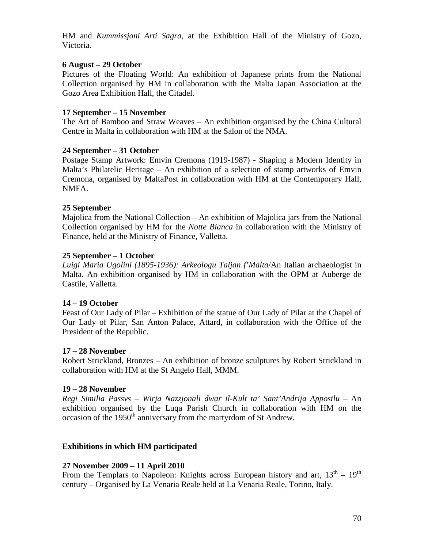HM and *Kummissjoni Arti Sagra,* at the Exhibition Hall of the Ministry of Gozo, Victoria.

## **6 August – 29 October**

Pictures of the Floating World: An exhibition of Japanese prints from the National Collection organised by HM in collaboration with the Malta Japan Association at the Gozo Area Exhibition Hall, the Citadel.

## **17 September – 15 November**

The Art of Bamboo and Straw Weaves – An exhibition organised by the China Cultural Centre in Malta in collaboration with HM at the Salon of the NMA.

## **24 September – 31 October**

Postage Stamp Artwork: Emvin Cremona (1919-1987) - Shaping a Modern Identity in Malta's Philatelic Heritage – An exhibition of a selection of stamp artworks of Emvin Cremona, organised by MaltaPost in collaboration with HM at the Contemporary Hall, NMFA.

## **25 September**

Majolica from the National Collection – An exhibition of Majolica jars from the National Collection organised by HM for the *Notte Bianca* in collaboration with the Ministry of Finance, held at the Ministry of Finance, Valletta.

## **25 September – 1 October**

*Luigi Maria Ugolini (1895-1936): Arkeologu Taljan f'Malta*/An Italian archaeologist in Malta. An exhibition organised by HM in collaboration with the OPM at Auberge de Castile, Valletta.

## **14 – 19 October**

Feast of Our Lady of Pilar – Exhibition of the statue of Our Lady of Pilar at the Chapel of Our Lady of Pilar, San Anton Palace, Attard, in collaboration with the Office of the President of the Republic.

## **17 – 28 November**

Robert Strickland, Bronzes – An exhibition of bronze sculptures by Robert Strickland in collaboration with HM at the St Angelo Hall, MMM.

## **19 – 28 November**

*Regi Similia Passvs – Wirja Nazzjonali dwar il-Kult ta' Sant'Andrija Appostlu* – An exhibition organised by the Luqa Parish Church in collaboration with HM on the occasion of the 1950<sup>th</sup> anniversary from the martyrdom of St Andrew.

## **Exhibitions in which HM participated**

## **27 November 2009 – 11 April 2010**

From the Templars to Napoleon: Knights across European history and art,  $13<sup>th</sup> - 19<sup>th</sup>$ century – Organised by La Venaria Reale held at La Venaria Reale, Torino, Italy.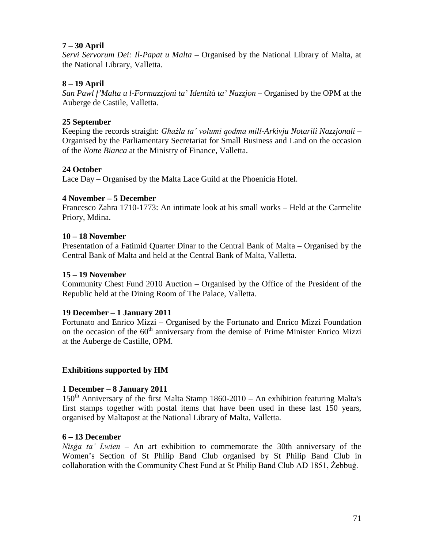## **7 – 30 April**

*Servi Servorum Dei: Il-Papat u Malta* – Organised by the National Library of Malta, at the National Library, Valletta.

## **8 – 19 April**

*San Pawl f'Malta u l-Formazzjoni ta' Identità ta' Nazzjon* – Organised by the OPM at the Auberge de Castile, Valletta.

## **25 September**

Keeping the records straight: *Għażla ta' volumi qodma mill-Arkivju Notarili Nazzjonali* – Organised by the Parliamentary Secretariat for Small Business and Land on the occasion of the *Notte Bianca* at the Ministry of Finance, Valletta.

## **24 October**

Lace Day – Organised by the Malta Lace Guild at the Phoenicia Hotel.

## **4 November – 5 December**

Francesco Zahra 1710-1773: An intimate look at his small works – Held at the Carmelite Priory, Mdina.

## **10 – 18 November**

Presentation of a Fatimid Quarter Dinar to the Central Bank of Malta – Organised by the Central Bank of Malta and held at the Central Bank of Malta, Valletta.

## **15 – 19 November**

Community Chest Fund 2010 Auction – Organised by the Office of the President of the Republic held at the Dining Room of The Palace, Valletta.

## **19 December – 1 January 2011**

Fortunato and Enrico Mizzi – Organised by the Fortunato and Enrico Mizzi Foundation on the occasion of the  $60<sup>th</sup>$  anniversary from the demise of Prime Minister Enrico Mizzi at the Auberge de Castille, OPM.

## **Exhibitions supported by HM**

## **1 December – 8 January 2011**

 $150<sup>th</sup>$  Anniversary of the first Malta Stamp 1860-2010 – An exhibition featuring Malta's first stamps together with postal items that have been used in these last 150 years, organised by Maltapost at the National Library of Malta, Valletta.

## **6 – 13 December**

*Nisġa ta' Lwien* – An art exhibition to commemorate the 30th anniversary of the Women's Section of St Philip Band Club organised by St Philip Band Club in collaboration with the Community Chest Fund at St Philip Band Club AD 1851, Żebbuġ.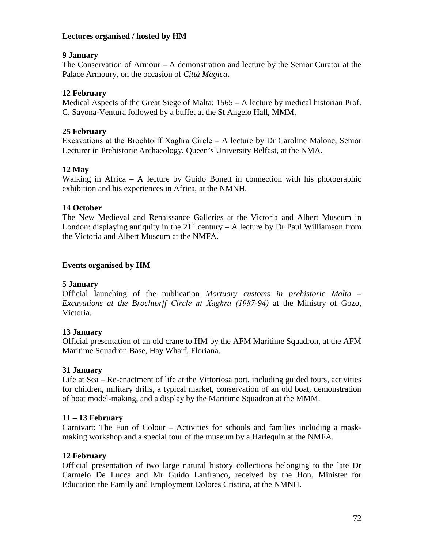## **Lectures organised / hosted by HM**

## **9 January**

The Conservation of Armour – A demonstration and lecture by the Senior Curator at the Palace Armoury, on the occasion of *Città Magica*.

## **12 February**

Medical Aspects of the Great Siege of Malta: 1565 – A lecture by medical historian Prof. C. Savona-Ventura followed by a buffet at the St Angelo Hall, MMM.

## **25 February**

Excavations at the Brochtorff Xagħra Circle – A lecture by Dr Caroline Malone, Senior Lecturer in Prehistoric Archaeology, Queen's University Belfast, at the NMA.

## **12 May**

Walking in Africa – A lecture by Guido Bonett in connection with his photographic exhibition and his experiences in Africa, at the NMNH.

## **14 October**

The New Medieval and Renaissance Galleries at the Victoria and Albert Museum in London: displaying antiquity in the  $21<sup>st</sup>$  century – A lecture by Dr Paul Williamson from the Victoria and Albert Museum at the NMFA.

## **Events organised by HM**

## **5 January**

Official launching of the publication *Mortuary customs in prehistoric Malta* – *Excavations at the Brochtorff Circle at Xagħra (1987-94)* at the Ministry of Gozo, Victoria.

## **13 January**

Official presentation of an old crane to HM by the AFM Maritime Squadron, at the AFM Maritime Squadron Base, Hay Wharf, Floriana.

## **31 January**

Life at Sea – Re-enactment of life at the Vittoriosa port, including guided tours, activities for children, military drills, a typical market, conservation of an old boat, demonstration of boat model-making, and a display by the Maritime Squadron at the MMM.

## **11 – 13 February**

Carnivart: The Fun of Colour – Activities for schools and families including a maskmaking workshop and a special tour of the museum by a Harlequin at the NMFA.

## **12 February**

Official presentation of two large natural history collections belonging to the late Dr Carmelo De Lucca and Mr Guido Lanfranco, received by the Hon. Minister for Education the Family and Employment Dolores Cristina, at the NMNH.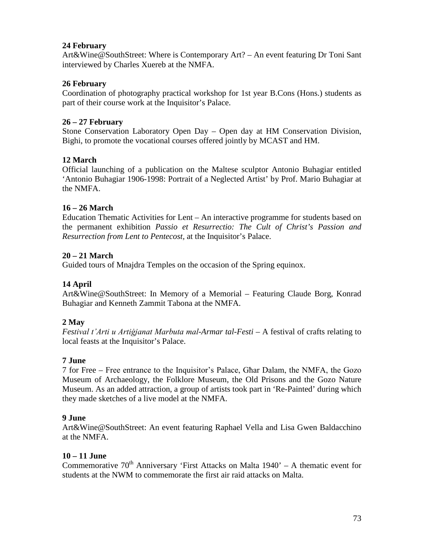# **24 February**

Art&Wine@SouthStreet: Where is Contemporary Art? – An event featuring Dr Toni Sant interviewed by Charles Xuereb at the NMFA.

# **26 February**

Coordination of photography practical workshop for 1st year B.Cons (Hons.) students as part of their course work at the Inquisitor's Palace.

# **26 – 27 February**

Stone Conservation Laboratory Open Day – Open day at HM Conservation Division, Bighi, to promote the vocational courses offered jointly by MCAST and HM.

# **12 March**

Official launching of a publication on the Maltese sculptor Antonio Buhagiar entitled 'Antonio Buhagiar 1906-1998: Portrait of a Neglected Artist' by Prof. Mario Buhagiar at the NMFA.

# **16 – 26 March**

Education Thematic Activities for Lent – An interactive programme for students based on the permanent exhibition *Passio et Resurrectio: The Cult of Christ's Passion and Resurrection from Lent to Pentecost,* at the Inquisitor's Palace.

# **20 – 21 March**

Guided tours of Mnajdra Temples on the occasion of the Spring equinox.

# **14 April**

Art&Wine@SouthStreet: In Memory of a Memorial – Featuring Claude Borg, Konrad Buhagiar and Kenneth Zammit Tabona at the NMFA.

# **2 May**

*Festival t'Arti u Artiġjanat Marbuta mal-Armar tal-Festi* – A festival of crafts relating to local feasts at the Inquisitor's Palace.

# **7 June**

7 for Free – Free entrance to the Inquisitor's Palace, Għar Dalam, the NMFA, the Gozo Museum of Archaeology, the Folklore Museum, the Old Prisons and the Gozo Nature Museum. As an added attraction, a group of artists took part in 'Re-Painted' during which they made sketches of a live model at the NMFA.

# **9 June**

Art&Wine@SouthStreet: An event featuring Raphael Vella and Lisa Gwen Baldacchino at the NMFA.

# **10 – 11 June**

Commemorative  $70<sup>th</sup>$  Anniversary 'First Attacks on Malta 1940' – A thematic event for students at the NWM to commemorate the first air raid attacks on Malta.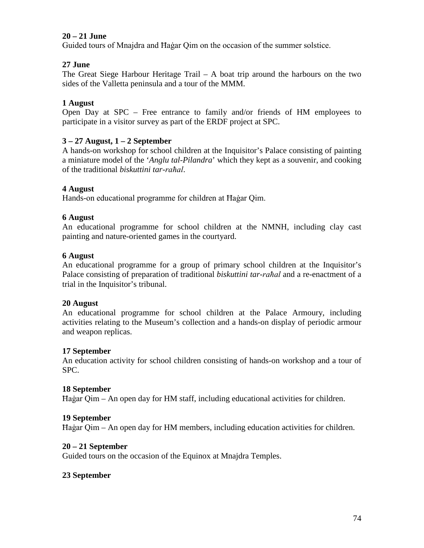# **20 – 21 June**

Guided tours of Mnajdra and Ħaġar Qim on the occasion of the summer solstice.

# **27 June**

The Great Siege Harbour Heritage Trail – A boat trip around the harbours on the two sides of the Valletta peninsula and a tour of the MMM.

### **1 August**

Open Day at SPC – Free entrance to family and/or friends of HM employees to participate in a visitor survey as part of the ERDF project at SPC.

### **3 – 27 August, 1 – 2 September**

A hands-on workshop for school children at the Inquisitor's Palace consisting of painting a miniature model of the '*Anglu tal-Pilandra*' which they kept as a souvenir, and cooking of the traditional *biskuttini tar-raħal*.

### **4 August**

Hands-on educational programme for children at Ħaġar Qim.

#### **6 August**

An educational programme for school children at the NMNH, including clay cast painting and nature-oriented games in the courtyard.

#### **6 August**

An educational programme for a group of primary school children at the Inquisitor's Palace consisting of preparation of traditional *biskuttini tar-raħal* and a re-enactment of a trial in the Inquisitor's tribunal.

#### **20 August**

An educational programme for school children at the Palace Armoury, including activities relating to the Museum's collection and a hands-on display of periodic armour and weapon replicas.

#### **17 September**

An education activity for school children consisting of hands-on workshop and a tour of SPC.

#### **18 September**

Ħaġar Qim – An open day for HM staff, including educational activities for children.

#### **19 September**

Ħaġar Qim – An open day for HM members, including education activities for children.

#### **20 – 21 September**

Guided tours on the occasion of the Equinox at Mnajdra Temples.

# **23 September**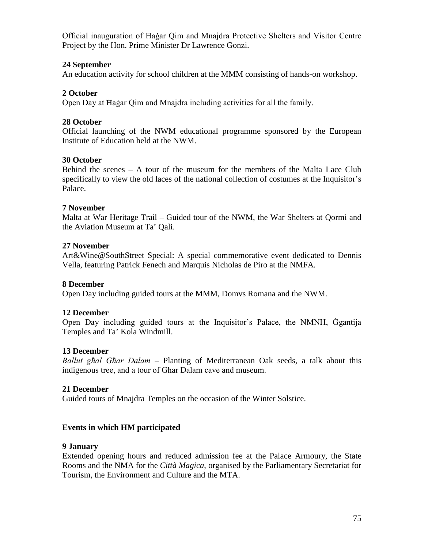Official inauguration of Ħaġar Qim and Mnajdra Protective Shelters and Visitor Centre Project by the Hon. Prime Minister Dr Lawrence Gonzi.

# **24 September**

An education activity for school children at the MMM consisting of hands-on workshop.

### **2 October**

Open Day at Ħaġar Qim and Mnajdra including activities for all the family.

### **28 October**

Official launching of the NWM educational programme sponsored by the European Institute of Education held at the NWM.

### **30 October**

Behind the scenes – A tour of the museum for the members of the Malta Lace Club specifically to view the old laces of the national collection of costumes at the Inquisitor's Palace.

#### **7 November**

Malta at War Heritage Trail – Guided tour of the NWM, the War Shelters at Qormi and the Aviation Museum at Ta' Qali.

### **27 November**

Art&Wine@SouthStreet Special: A special commemorative event dedicated to Dennis Vella, featuring Patrick Fenech and Marquis Nicholas de Piro at the NMFA.

#### **8 December**

Open Day including guided tours at the MMM, Domvs Romana and the NWM.

#### **12 December**

Open Day including guided tours at the Inquisitor's Palace, the NMNH, Ġgantija Temples and Ta' Kola Windmill.

#### **13 December**

*Ballut għal Għar Dalam* – Planting of Mediterranean Oak seeds, a talk about this indigenous tree, and a tour of Għar Dalam cave and museum.

#### **21 December**

Guided tours of Mnajdra Temples on the occasion of the Winter Solstice.

#### **Events in which HM participated**

#### **9 January**

Extended opening hours and reduced admission fee at the Palace Armoury, the State Rooms and the NMA for the *Città Magica*, organised by the Parliamentary Secretariat for Tourism, the Environment and Culture and the MTA.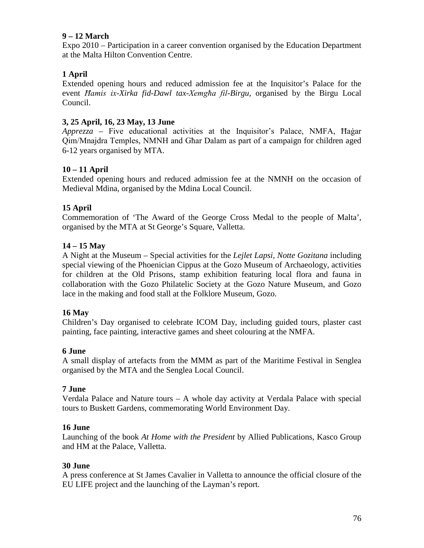# **9 – 12 March**

Expo 2010 – Participation in a career convention organised by the Education Department at the Malta Hilton Convention Centre.

# **1 April**

Extended opening hours and reduced admission fee at the Inquisitor's Palace for the event *Ħamis ix-Xirka fid-Dawl tax-Xemgħa fil-Birgu,* organised by the Birgu Local Council.

# **3, 25 April, 16, 23 May, 13 June**

*Apprezza* – Five educational activities at the Inquisitor's Palace, NMFA, Ħaġar Qim/Mnajdra Temples, NMNH and Għar Dalam as part of a campaign for children aged 6-12 years organised by MTA.

# **10 – 11 April**

Extended opening hours and reduced admission fee at the NMNH on the occasion of Medieval Mdina, organised by the Mdina Local Council.

# **15 April**

Commemoration of 'The Award of the George Cross Medal to the people of Malta', organised by the MTA at St George's Square, Valletta.

# **14 – 15 May**

A Night at the Museum – Special activities for the *Lejlet Lapsi, Notte Gozitana* including special viewing of the Phoenician Cippus at the Gozo Museum of Archaeology, activities for children at the Old Prisons, stamp exhibition featuring local flora and fauna in collaboration with the Gozo Philatelic Society at the Gozo Nature Museum, and Gozo lace in the making and food stall at the Folklore Museum, Gozo.

# **16 May**

Children's Day organised to celebrate ICOM Day, including guided tours, plaster cast painting, face painting, interactive games and sheet colouring at the NMFA.

# **6 June**

A small display of artefacts from the MMM as part of the Maritime Festival in Senglea organised by the MTA and the Senglea Local Council.

# **7 June**

Verdala Palace and Nature tours – A whole day activity at Verdala Palace with special tours to Buskett Gardens, commemorating World Environment Day.

# **16 June**

Launching of the book *At Home with the President* by Allied Publications, Kasco Group and HM at the Palace, Valletta.

# **30 June**

A press conference at St James Cavalier in Valletta to announce the official closure of the EU LIFE project and the launching of the Layman's report.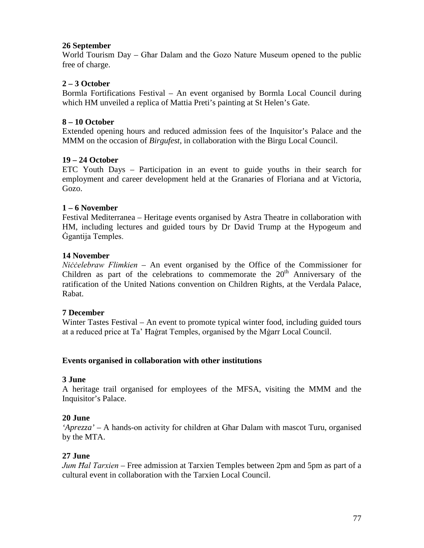### **26 September**

World Tourism Day – Għar Dalam and the Gozo Nature Museum opened to the public free of charge.

# **2 – 3 October**

Bormla Fortifications Festival – An event organised by Bormla Local Council during which HM unveiled a replica of Mattia Preti's painting at St Helen's Gate.

### **8 – 10 October**

Extended opening hours and reduced admission fees of the Inquisitor's Palace and the MMM on the occasion of *Birgufest*, in collaboration with the Birgu Local Council.

### **19 – 24 October**

ETC Youth Days – Participation in an event to guide youths in their search for employment and career development held at the Granaries of Floriana and at Victoria, Gozo.

#### **1 – 6 November**

Festival Mediterranea – Heritage events organised by Astra Theatre in collaboration with HM, including lectures and guided tours by Dr David Trump at the Hypogeum and Ġgantija Temples.

#### **14 November**

*Niċċelebraw Flimkien* – An event organised by the Office of the Commissioner for Children as part of the celebrations to commemorate the  $20<sup>th</sup>$  Anniversary of the ratification of the United Nations convention on Children Rights, at the Verdala Palace, Rabat.

#### **7 December**

Winter Tastes Festival – An event to promote typical winter food, including guided tours at a reduced price at Ta' Ħaġrat Temples, organised by the Mġarr Local Council.

#### **Events organised in collaboration with other institutions**

#### **3 June**

A heritage trail organised for employees of the MFSA, visiting the MMM and the Inquisitor's Palace.

#### **20 June**

*'Aprezza'* – A hands-on activity for children at Għar Dalam with mascot Turu, organised by the MTA.

#### **27 June**

*Jum Ħal Tarxien* – Free admission at Tarxien Temples between 2pm and 5pm as part of a cultural event in collaboration with the Tarxien Local Council.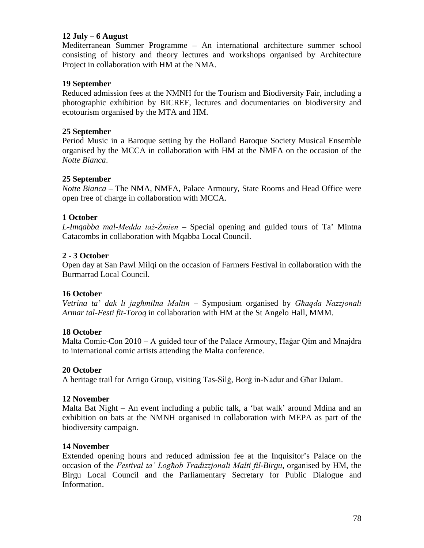### **12 July – 6 August**

Mediterranean Summer Programme – An international architecture summer school consisting of history and theory lectures and workshops organised by Architecture Project in collaboration with HM at the NMA.

### **19 September**

Reduced admission fees at the NMNH for the Tourism and Biodiversity Fair, including a photographic exhibition by BICREF, lectures and documentaries on biodiversity and ecotourism organised by the MTA and HM.

### **25 September**

Period Music in a Baroque setting by the Holland Baroque Society Musical Ensemble organised by the MCCA in collaboration with HM at the NMFA on the occasion of the *Notte Bianca*.

### **25 September**

*Notte Bianca* – The NMA, NMFA, Palace Armoury, State Rooms and Head Office were open free of charge in collaboration with MCCA.

### **1 October**

*L-Imqabba mal-Medda taż-Żmien* – Special opening and guided tours of Ta' Mintna Catacombs in collaboration with Mqabba Local Council.

### **2 - 3 October**

Open day at San Pawl Milqi on the occasion of Farmers Festival in collaboration with the Burmarrad Local Council.

#### **16 October**

*Vetrina ta' dak li jagħmilna Maltin* – Symposium organised by *Għaqda Nazzjonali Armar tal-Festi fit-Toroq* in collaboration with HM at the St Angelo Hall, MMM.

#### **18 October**

Malta Comic-Con 2010 – A guided tour of the Palace Armoury, Ħaġar Qim and Mnajdra to international comic artists attending the Malta conference.

#### **20 October**

A heritage trail for Arrigo Group, visiting Tas-Silġ, Borġ in-Nadur and Għar Dalam.

#### **12 November**

Malta Bat Night – An event including a public talk, a 'bat walk' around Mdina and an exhibition on bats at the NMNH organised in collaboration with MEPA as part of the biodiversity campaign.

#### **14 November**

Extended opening hours and reduced admission fee at the Inquisitor's Palace on the occasion of the *Festival ta' Logħob Tradizzjonali Malti fil-Birgu*, organised by HM, the Birgu Local Council and the Parliamentary Secretary for Public Dialogue and Information.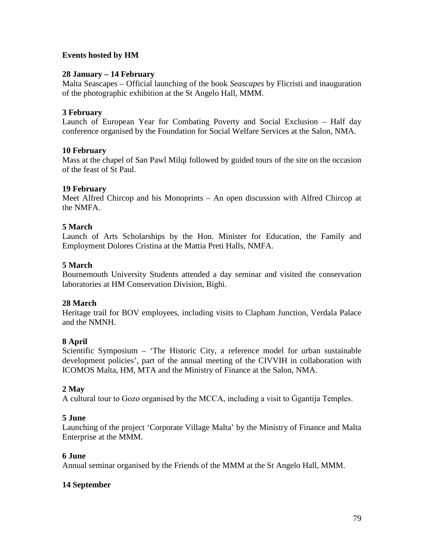# **Events hosted by HM**

### **28 January – 14 February**

Malta Seascapes – Official launching of the book *Seascapes* by Flicristi and inauguration of the photographic exhibition at the St Angelo Hall, MMM.

### **3 February**

Launch of European Year for Combating Poverty and Social Exclusion – Half day conference organised by the Foundation for Social Welfare Services at the Salon, NMA.

#### **10 February**

Mass at the chapel of San Pawl Milqi followed by guided tours of the site on the occasion of the feast of St Paul.

### **19 February**

Meet Alfred Chircop and his Monoprints – An open discussion with Alfred Chircop at the NMFA.

### **5 March**

Launch of Arts Scholarships by the Hon. Minister for Education, the Family and Employment Dolores Cristina at the Mattia Preti Halls, NMFA.

### **5 March**

Bournemouth University Students attended a day seminar and visited the conservation laboratories at HM Conservation Division, Bighi.

#### **28 March**

Heritage trail for BOV employees, including visits to Clapham Junction, Verdala Palace and the NMNH.

# **8 April**

Scientific Symposium – 'The Historic City, a reference model for urban sustainable development policies', part of the annual meeting of the CIVVIH in collaboration with ICOMOS Malta, HM, MTA and the Ministry of Finance at the Salon, NMA.

# **2 May**

A cultural tour to Gozo organised by the MCCA, including a visit to Ġgantija Temples.

#### **5 June**

Launching of the project 'Corporate Village Malta' by the Ministry of Finance and Malta Enterprise at the MMM.

#### **6 June**

Annual seminar organised by the Friends of the MMM at the St Angelo Hall, MMM.

#### **14 September**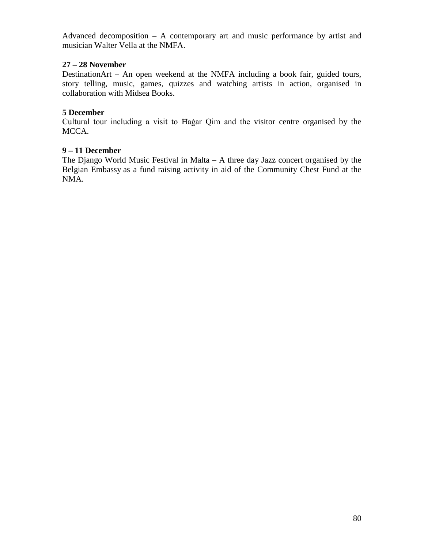Advanced decomposition – A contemporary art and music performance by artist and musician Walter Vella at the NMFA.

# **27 – 28 November**

DestinationArt – An open weekend at the NMFA including a book fair, guided tours, story telling, music, games, quizzes and watching artists in action, organised in collaboration with Midsea Books.

# **5 December**

Cultural tour including a visit to Ħaġar Qim and the visitor centre organised by the MCCA.

# **9 – 11 December**

The Django World Music Festival in Malta – A three day Jazz concert organised by the Belgian Embassy as a fund raising activity in aid of the Community Chest Fund at the NMA.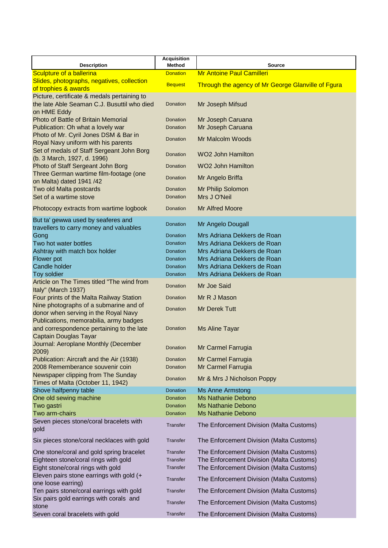|                                                                               | <b>Acquisition</b>               |                                                    |  |  |
|-------------------------------------------------------------------------------|----------------------------------|----------------------------------------------------|--|--|
| <b>Description</b><br>Sculpture of a ballerina                                | <b>Method</b><br><b>Donation</b> | <b>Source</b><br><b>Mr Antoine Paul Camilleri</b>  |  |  |
| Slides, photographs, negatives, collection                                    |                                  |                                                    |  |  |
| of trophies & awards                                                          | <b>Bequest</b>                   | Through the agency of Mr George Glanville of Fgura |  |  |
| Picture, certificate & medals pertaining to                                   |                                  |                                                    |  |  |
| the late Able Seaman C.J. Busuttil who died                                   | Donation                         | Mr Joseph Mifsud                                   |  |  |
| on HME Eddy                                                                   |                                  |                                                    |  |  |
| Photo of Battle of Britain Memorial                                           | <b>Donation</b>                  | Mr Joseph Caruana                                  |  |  |
| Publication: Oh what a lovely war                                             | Donation                         | Mr Joseph Caruana                                  |  |  |
| Photo of Mr. Cyril Jones DSM & Bar in                                         | Donation                         | Mr Malcolm Woods                                   |  |  |
| Royal Navy uniform with his parents                                           |                                  |                                                    |  |  |
| Set of medals of Staff Sergeant John Borg                                     | Donation                         | <b>WO2 John Hamilton</b>                           |  |  |
| (b. 3 March, 1927, d. 1996)<br>Photo of Staff Sergeant John Borg              | Donation                         | <b>WO2 John Hamilton</b>                           |  |  |
| Three German wartime film-footage (one                                        |                                  |                                                    |  |  |
| on Malta) dated 1941 /42                                                      | Donation                         | Mr Angelo Briffa                                   |  |  |
| Two old Malta postcards                                                       | Donation                         | Mr Philip Solomon                                  |  |  |
| Set of a wartime stove                                                        | Donation                         | Mrs J O'Neil                                       |  |  |
|                                                                               |                                  | <b>Mr Alfred Moore</b>                             |  |  |
| Photocopy extracts from wartime logbook                                       | Donation                         |                                                    |  |  |
| But ta' gewwa used by seaferes and<br>travellers to carry money and valuables | Donation                         | Mr Angelo Dougall                                  |  |  |
| Gong                                                                          | Donation                         | Mrs Adriana Dekkers de Roan                        |  |  |
| Two hot water bottles                                                         | Donation                         | Mrs Adriana Dekkers de Roan                        |  |  |
| Ashtray with match box holder                                                 | Donation                         | Mrs Adriana Dekkers de Roan                        |  |  |
| Flower pot                                                                    | Donation                         | Mrs Adriana Dekkers de Roan                        |  |  |
| Candle holder                                                                 | Donation                         | Mrs Adriana Dekkers de Roan                        |  |  |
| Toy soldier                                                                   | Donation                         | Mrs Adriana Dekkers de Roan                        |  |  |
| Article on The Times titled "The wind from                                    | Donation                         | Mr Joe Said                                        |  |  |
| Italy" (March 1937)<br>Four prints of the Malta Railway Station               | Donation                         |                                                    |  |  |
| Nine photographs of a submarine and of                                        |                                  | Mr R J Mason                                       |  |  |
| donor when serving in the Royal Navy                                          | Donation                         | <b>Mr Derek Tutt</b>                               |  |  |
| Publications, memorabilia, army badges                                        |                                  |                                                    |  |  |
| and correspondence pertaining to the late                                     | Donation                         | <b>Ms Aline Tayar</b>                              |  |  |
| <b>Captain Douglas Tayar</b>                                                  |                                  |                                                    |  |  |
| Journal: Aeroplane Monthly (December                                          | Donation                         | Mr Carmel Farrugia                                 |  |  |
| 2009)                                                                         |                                  |                                                    |  |  |
| Publication: Aircraft and the Air (1938)                                      | <b>Donation</b>                  | Mr Carmel Farrugia                                 |  |  |
| 2008 Rememberance souvenir coin                                               | Donation                         | Mr Carmel Farrugia                                 |  |  |
| Newspaper clipping from The Sunday<br>Times of Malta (October 11, 1942)       | <b>Donation</b>                  | Mr & Mrs J Nicholson Poppy                         |  |  |
| Shove halfpenny table                                                         | Donation                         | <b>Ms Anne Armstong</b>                            |  |  |
| One old sewing machine                                                        | Donation                         | <b>Ms Nathanie Debono</b>                          |  |  |
| Two gastri                                                                    | Donation                         | <b>Ms Nathanie Debono</b>                          |  |  |
| Two arm-chairs                                                                | Donation                         | <b>Ms Nathanie Debono</b>                          |  |  |
| Seven pieces stone/coral bracelets with<br>gold                               | Transfer                         | The Enforcement Division (Malta Customs)           |  |  |
| Six pieces stone/coral necklaces with gold                                    | Transfer                         | The Enforcement Division (Malta Customs)           |  |  |
| One stone/coral and gold spring bracelet                                      | Transfer                         | The Enforcement Division (Malta Customs)           |  |  |
| Eighteen stone/coral rings with gold                                          | <b>Transfer</b>                  | The Enforcement Division (Malta Customs)           |  |  |
| Eight stone/coral rings with gold                                             | Transfer                         | The Enforcement Division (Malta Customs)           |  |  |
| Eleven pairs stone earrings with gold (+                                      | Transfer                         | The Enforcement Division (Malta Customs)           |  |  |
| one loose earring)                                                            |                                  |                                                    |  |  |
| Ten pairs stone/coral earrings with gold                                      | Transfer                         | The Enforcement Division (Malta Customs)           |  |  |
| Six pairs gold earrings with corals and<br>stone                              | Transfer                         | The Enforcement Division (Malta Customs)           |  |  |
| Seven coral bracelets with gold                                               | Transfer                         | The Enforcement Division (Malta Customs)           |  |  |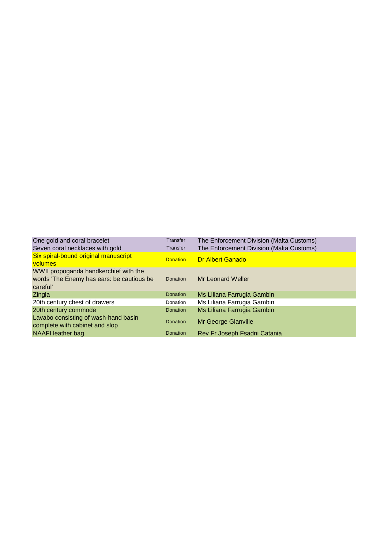| One gold and coral bracelet                                                                    | <b>Transfer</b> | The Enforcement Division (Malta Customs) |
|------------------------------------------------------------------------------------------------|-----------------|------------------------------------------|
| Seven coral necklaces with gold                                                                | <b>Transfer</b> | The Enforcement Division (Malta Customs) |
| Six spiral-bound original manuscript<br>volumes                                                | <b>Donation</b> | <b>Dr Albert Ganado</b>                  |
| WWII propoganda handkerchief with the<br>words 'The Enemy has ears: be cautious be<br>careful' | <b>Donation</b> | Mr Leonard Weller                        |
| Zingla                                                                                         | <b>Donation</b> | Ms Liliana Farrugia Gambin               |
| 20th century chest of drawers                                                                  | Donation        | Ms Liliana Farrugia Gambin               |
| 20th century commode                                                                           | <b>Donation</b> | Ms Liliana Farrugia Gambin               |
| Lavabo consisting of wash-hand basin<br>complete with cabinet and slop                         | <b>Donation</b> | Mr George Glanville                      |
| NAAFI leather bag                                                                              | <b>Donation</b> | Rev Fr Joseph Fsadni Catania             |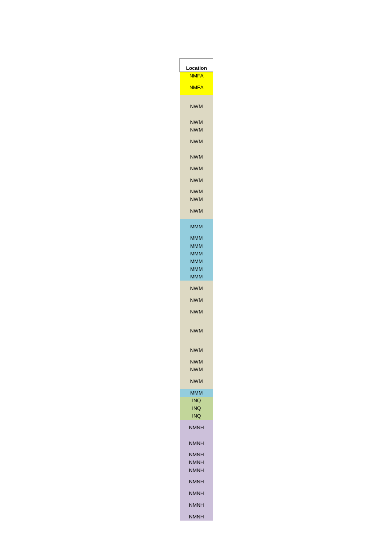

| NWM        |  |
|------------|--|
| NWM        |  |
| <b>NWM</b> |  |
| NWM        |  |
| NWM        |  |
| <b>NWM</b> |  |
| <b>NWM</b> |  |
| MMM        |  |
| MMM        |  |
| MMM        |  |
| MMM        |  |
| MMM        |  |
|            |  |

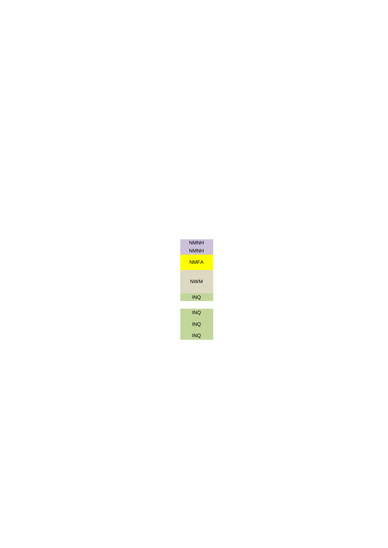



INQ INQ INQ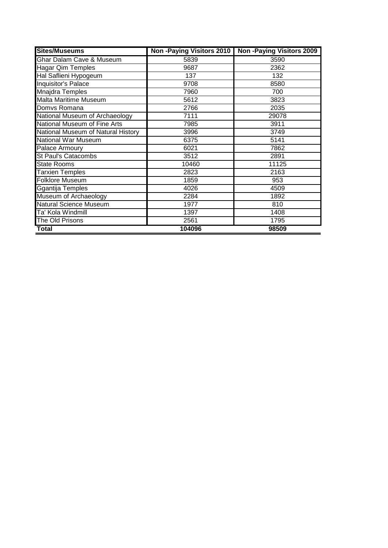| <b>Sites/Museums</b>               |        | Non-Paying Visitors 2010   Non-Paying Visitors 2009 |
|------------------------------------|--------|-----------------------------------------------------|
| Ghar Dalam Cave & Museum           | 5839   | 3590                                                |
| <b>Hagar Qim Temples</b>           | 9687   | 2362                                                |
| Hal Saflieni Hypogeum              | 137    | 132                                                 |
| Inquisitor's Palace                | 9708   | 8580                                                |
| <b>Mnajdra Temples</b>             | 7960   | 700                                                 |
| <b>Malta Maritime Museum</b>       | 5612   | 3823                                                |
| Domvs Romana                       | 2766   | 2035                                                |
| National Museum of Archaeology     | 7111   | 29078                                               |
| National Museum of Fine Arts       | 7985   | 3911                                                |
| National Museum of Natural History | 3996   | 3749                                                |
| <b>National War Museum</b>         | 6375   | 5141                                                |
| Palace Armoury                     | 6021   | 7862                                                |
| <b>St Paul's Catacombs</b>         | 3512   | 2891                                                |
| <b>State Rooms</b>                 | 10460  | 11125                                               |
| <b>Tarxien Temples</b>             | 2823   | 2163                                                |
| <b>Folklore Museum</b>             | 1859   | 953                                                 |
| Ggantija Temples                   | 4026   | 4509                                                |
| Museum of Archaeology              | 2284   | 1892                                                |
| <b>Natural Science Museum</b>      | 1977   | 810                                                 |
| Ta' Kola Windmill                  | 1397   | 1408                                                |
| The Old Prisons                    | 2561   | 1795                                                |
| <b>Total</b>                       | 104096 | 98509                                               |